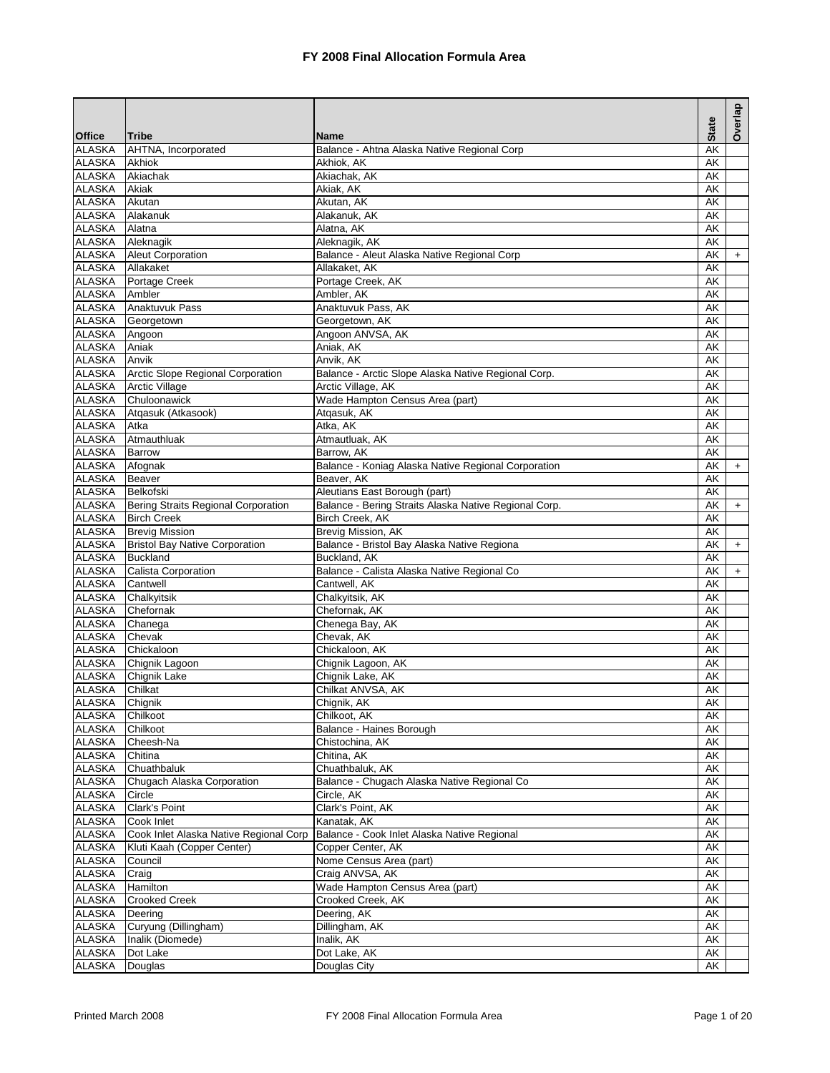| <b>Tribe</b><br><b>Name</b><br>AHTNA, Incorporated<br>Balance - Ahtna Alaska Native Regional Corp<br>AK<br>Akhiok<br><b>ALASKA</b><br>Akhiok, AK<br>AK<br><b>ALASKA</b><br>Akiachak<br>Akiachak, AK<br>AK<br><b>ALASKA</b><br>Akiak<br>Akiak, AK<br>AK<br><b>ALASKA</b><br>Akutan<br>Akutan, AK<br>AK<br><b>ALASKA</b><br>Alakanuk, AK<br>Alakanuk<br>AK<br><b>ALASKA</b><br>Alatna, AK<br>Alatna<br>AK<br><b>ALASKA</b><br>Aleknagik<br>Aleknagik, AK<br>AK<br><b>ALASKA</b><br><b>Aleut Corporation</b><br>Balance - Aleut Alaska Native Regional Corp<br>AK<br>$+$<br><b>ALASKA</b><br>Allakaket<br>Allakaket, AK<br>AK<br><b>ALASKA</b><br>Portage Creek<br>Portage Creek, AK<br>AK<br>Ambler, AK<br>ALASKA<br>Ambler<br>AK<br>ALASKA<br>Anaktuvuk Pass<br>Anaktuvuk Pass, AK<br>AK<br><b>ALASKA</b><br>Georgetown, AK<br>Georgetown<br>AK<br>Angoon ANVSA, AK<br><b>ALASKA</b><br>Angoon<br>AK<br><b>ALASKA</b><br>Aniak<br>Aniak, AK<br>AK<br><b>ALASKA</b><br>Anvik<br>Anvik, AK<br>AK<br>Arctic Slope Regional Corporation<br><b>ALASKA</b><br>Balance - Arctic Slope Alaska Native Regional Corp.<br>AK<br><b>ALASKA</b><br><b>Arctic Village</b><br>Arctic Village, AK<br>AK<br>Chuloonawick<br>Wade Hampton Census Area (part)<br><b>ALASKA</b><br>AK<br><b>ALASKA</b><br>Atgasuk (Atkasook)<br>Atgasuk, AK<br>AK<br><b>ALASKA</b><br>Atka<br>AK<br>Atka, AK<br>Atmauthluak<br>ALASKA<br>Atmautluak, AK<br>AK<br><b>ALASKA</b><br><b>Barrow</b><br>AK<br>Barrow, AK<br><b>ALASKA</b><br>Afognak<br>Balance - Koniag Alaska Native Regional Corporation<br>AK<br>$+$<br><b>ALASKA</b><br><b>Beaver</b><br>Beaver, AK<br>AΚ<br><b>ALASKA</b><br>Belkofski<br>Aleutians East Borough (part)<br>AK<br>Balance - Bering Straits Alaska Native Regional Corp.<br>ALASKA<br>Bering Straits Regional Corporation<br>AK<br>$\ddot{}$<br><b>ALASKA</b><br><b>Birch Creek</b><br>Birch Creek, AK<br>AK<br><b>ALASKA</b><br><b>Brevig Mission</b><br>Brevig Mission, AK<br>AK<br><b>Bristol Bay Native Corporation</b><br>Balance - Bristol Bay Alaska Native Regiona<br><b>ALASKA</b><br>AK<br>$\ddot{}$<br><b>ALASKA</b><br><b>Buckland</b><br>Buckland, AK<br>AK<br>Calista Corporation<br>Balance - Calista Alaska Native Regional Co<br>AK<br>$\ddot{}$<br>Cantwell<br>Cantwell, AK<br>AK<br>Chalkyitsik<br>Chalkyitsik, AK<br>AK<br>Chefornak<br>Chefornak, AK<br>AΚ<br>Chanega<br>Chenega Bay, AK<br>AK<br>Chevak, AK<br>Chevak<br>AK<br><b>ALASKA</b><br>Chickaloon, AK<br>Chickaloon<br>AK<br><b>ALASKA</b><br>Chignik Lagoon<br>Chignik Lagoon, AK<br>AK<br><b>ALASKA</b><br>Chignik Lake<br>Chignik Lake, AK<br>AK<br><b>ALASKA</b><br>Chilkat<br>Chilkat ANVSA, AK<br>AK<br><b>ALASKA</b><br>Chignik<br>AK<br>Chignik, AK<br><b>ALASKA</b><br>Chilkoot<br>Chilkoot, AK<br>AK<br><b>ALASKA</b><br>Chilkoot<br>Balance - Haines Borough<br>AK<br><b>ALASKA</b><br>Cheesh-Na<br>Chistochina, AK<br>AK<br><b>ALASKA</b><br>Chitina, AK<br>AK<br>Chitina<br><b>ALASKA</b><br>Chuathbaluk<br>Chuathbaluk, AK<br>AK<br>Chugach Alaska Corporation<br>Balance - Chugach Alaska Native Regional Co<br><b>ALASKA</b><br>AK<br><b>ALASKA</b><br>Circle<br>Circle, AK<br>AK<br><b>ALASKA</b><br>Clark's Point<br>Clark's Point, AK<br>AK<br>Kanatak, AK<br>ALASKA<br>Cook Inlet<br>AK<br><b>ALASKA</b><br>Cook Inlet Alaska Native Regional Corp<br>Balance - Cook Inlet Alaska Native Regional<br>AK<br><b>ALASKA</b><br>Kluti Kaah (Copper Center)<br>Copper Center, AK<br>AK<br>ALASKA<br>Nome Census Area (part)<br>AK<br>Council<br><b>ALASKA</b><br>Craig ANVSA, AK<br>AK<br>Craig<br><b>ALASKA</b><br>Hamilton<br>Wade Hampton Census Area (part)<br>AK<br><b>ALASKA</b><br><b>Crooked Creek</b><br>Crooked Creek, AK<br>AK<br><b>ALASKA</b><br>Deering, AK<br>AK<br>Deering<br>Curyung (Dillingham)<br>Dillingham, AK<br><b>ALASKA</b><br>AK<br><b>ALASKA</b><br>Inalik (Diomede)<br>Inalik, AK<br>AK<br><b>ALASKA</b><br>Dot Lake<br>Dot Lake, AK<br>AK |               |         |              |              | Overlap |
|-----------------------------------------------------------------------------------------------------------------------------------------------------------------------------------------------------------------------------------------------------------------------------------------------------------------------------------------------------------------------------------------------------------------------------------------------------------------------------------------------------------------------------------------------------------------------------------------------------------------------------------------------------------------------------------------------------------------------------------------------------------------------------------------------------------------------------------------------------------------------------------------------------------------------------------------------------------------------------------------------------------------------------------------------------------------------------------------------------------------------------------------------------------------------------------------------------------------------------------------------------------------------------------------------------------------------------------------------------------------------------------------------------------------------------------------------------------------------------------------------------------------------------------------------------------------------------------------------------------------------------------------------------------------------------------------------------------------------------------------------------------------------------------------------------------------------------------------------------------------------------------------------------------------------------------------------------------------------------------------------------------------------------------------------------------------------------------------------------------------------------------------------------------------------------------------------------------------------------------------------------------------------------------------------------------------------------------------------------------------------------------------------------------------------------------------------------------------------------------------------------------------------------------------------------------------------------------------------------------------------------------------------------------------------------------------------------------------------------------------------------------------------------------------------------------------------------------------------------------------------------------------------------------------------------------------------------------------------------------------------------------------------------------------------------------------------------------------------------------------------------------------------------------------------------------------------------------------------------------------------------------------------------------------------------------------------------------------------------------------------------------------------------------------------------------------------------------------------------------------------------------------------------------------------------------------------------------------------------------------------------------------------------------------------------------------------------------------------------------------------------------------------------------------------------------------------------------------------------------------------------------------------------------------------------------------------------------------|---------------|---------|--------------|--------------|---------|
|                                                                                                                                                                                                                                                                                                                                                                                                                                                                                                                                                                                                                                                                                                                                                                                                                                                                                                                                                                                                                                                                                                                                                                                                                                                                                                                                                                                                                                                                                                                                                                                                                                                                                                                                                                                                                                                                                                                                                                                                                                                                                                                                                                                                                                                                                                                                                                                                                                                                                                                                                                                                                                                                                                                                                                                                                                                                                                                                                                                                                                                                                                                                                                                                                                                                                                                                                                                                                                                                                                                                                                                                                                                                                                                                                                                                                                                                                                                                                                 | <b>Office</b> |         |              | <b>State</b> |         |
|                                                                                                                                                                                                                                                                                                                                                                                                                                                                                                                                                                                                                                                                                                                                                                                                                                                                                                                                                                                                                                                                                                                                                                                                                                                                                                                                                                                                                                                                                                                                                                                                                                                                                                                                                                                                                                                                                                                                                                                                                                                                                                                                                                                                                                                                                                                                                                                                                                                                                                                                                                                                                                                                                                                                                                                                                                                                                                                                                                                                                                                                                                                                                                                                                                                                                                                                                                                                                                                                                                                                                                                                                                                                                                                                                                                                                                                                                                                                                                 | <b>ALASKA</b> |         |              |              |         |
|                                                                                                                                                                                                                                                                                                                                                                                                                                                                                                                                                                                                                                                                                                                                                                                                                                                                                                                                                                                                                                                                                                                                                                                                                                                                                                                                                                                                                                                                                                                                                                                                                                                                                                                                                                                                                                                                                                                                                                                                                                                                                                                                                                                                                                                                                                                                                                                                                                                                                                                                                                                                                                                                                                                                                                                                                                                                                                                                                                                                                                                                                                                                                                                                                                                                                                                                                                                                                                                                                                                                                                                                                                                                                                                                                                                                                                                                                                                                                                 |               |         |              |              |         |
|                                                                                                                                                                                                                                                                                                                                                                                                                                                                                                                                                                                                                                                                                                                                                                                                                                                                                                                                                                                                                                                                                                                                                                                                                                                                                                                                                                                                                                                                                                                                                                                                                                                                                                                                                                                                                                                                                                                                                                                                                                                                                                                                                                                                                                                                                                                                                                                                                                                                                                                                                                                                                                                                                                                                                                                                                                                                                                                                                                                                                                                                                                                                                                                                                                                                                                                                                                                                                                                                                                                                                                                                                                                                                                                                                                                                                                                                                                                                                                 |               |         |              |              |         |
|                                                                                                                                                                                                                                                                                                                                                                                                                                                                                                                                                                                                                                                                                                                                                                                                                                                                                                                                                                                                                                                                                                                                                                                                                                                                                                                                                                                                                                                                                                                                                                                                                                                                                                                                                                                                                                                                                                                                                                                                                                                                                                                                                                                                                                                                                                                                                                                                                                                                                                                                                                                                                                                                                                                                                                                                                                                                                                                                                                                                                                                                                                                                                                                                                                                                                                                                                                                                                                                                                                                                                                                                                                                                                                                                                                                                                                                                                                                                                                 |               |         |              |              |         |
|                                                                                                                                                                                                                                                                                                                                                                                                                                                                                                                                                                                                                                                                                                                                                                                                                                                                                                                                                                                                                                                                                                                                                                                                                                                                                                                                                                                                                                                                                                                                                                                                                                                                                                                                                                                                                                                                                                                                                                                                                                                                                                                                                                                                                                                                                                                                                                                                                                                                                                                                                                                                                                                                                                                                                                                                                                                                                                                                                                                                                                                                                                                                                                                                                                                                                                                                                                                                                                                                                                                                                                                                                                                                                                                                                                                                                                                                                                                                                                 |               |         |              |              |         |
|                                                                                                                                                                                                                                                                                                                                                                                                                                                                                                                                                                                                                                                                                                                                                                                                                                                                                                                                                                                                                                                                                                                                                                                                                                                                                                                                                                                                                                                                                                                                                                                                                                                                                                                                                                                                                                                                                                                                                                                                                                                                                                                                                                                                                                                                                                                                                                                                                                                                                                                                                                                                                                                                                                                                                                                                                                                                                                                                                                                                                                                                                                                                                                                                                                                                                                                                                                                                                                                                                                                                                                                                                                                                                                                                                                                                                                                                                                                                                                 |               |         |              |              |         |
|                                                                                                                                                                                                                                                                                                                                                                                                                                                                                                                                                                                                                                                                                                                                                                                                                                                                                                                                                                                                                                                                                                                                                                                                                                                                                                                                                                                                                                                                                                                                                                                                                                                                                                                                                                                                                                                                                                                                                                                                                                                                                                                                                                                                                                                                                                                                                                                                                                                                                                                                                                                                                                                                                                                                                                                                                                                                                                                                                                                                                                                                                                                                                                                                                                                                                                                                                                                                                                                                                                                                                                                                                                                                                                                                                                                                                                                                                                                                                                 |               |         |              |              |         |
|                                                                                                                                                                                                                                                                                                                                                                                                                                                                                                                                                                                                                                                                                                                                                                                                                                                                                                                                                                                                                                                                                                                                                                                                                                                                                                                                                                                                                                                                                                                                                                                                                                                                                                                                                                                                                                                                                                                                                                                                                                                                                                                                                                                                                                                                                                                                                                                                                                                                                                                                                                                                                                                                                                                                                                                                                                                                                                                                                                                                                                                                                                                                                                                                                                                                                                                                                                                                                                                                                                                                                                                                                                                                                                                                                                                                                                                                                                                                                                 |               |         |              |              |         |
|                                                                                                                                                                                                                                                                                                                                                                                                                                                                                                                                                                                                                                                                                                                                                                                                                                                                                                                                                                                                                                                                                                                                                                                                                                                                                                                                                                                                                                                                                                                                                                                                                                                                                                                                                                                                                                                                                                                                                                                                                                                                                                                                                                                                                                                                                                                                                                                                                                                                                                                                                                                                                                                                                                                                                                                                                                                                                                                                                                                                                                                                                                                                                                                                                                                                                                                                                                                                                                                                                                                                                                                                                                                                                                                                                                                                                                                                                                                                                                 |               |         |              |              |         |
|                                                                                                                                                                                                                                                                                                                                                                                                                                                                                                                                                                                                                                                                                                                                                                                                                                                                                                                                                                                                                                                                                                                                                                                                                                                                                                                                                                                                                                                                                                                                                                                                                                                                                                                                                                                                                                                                                                                                                                                                                                                                                                                                                                                                                                                                                                                                                                                                                                                                                                                                                                                                                                                                                                                                                                                                                                                                                                                                                                                                                                                                                                                                                                                                                                                                                                                                                                                                                                                                                                                                                                                                                                                                                                                                                                                                                                                                                                                                                                 |               |         |              |              |         |
|                                                                                                                                                                                                                                                                                                                                                                                                                                                                                                                                                                                                                                                                                                                                                                                                                                                                                                                                                                                                                                                                                                                                                                                                                                                                                                                                                                                                                                                                                                                                                                                                                                                                                                                                                                                                                                                                                                                                                                                                                                                                                                                                                                                                                                                                                                                                                                                                                                                                                                                                                                                                                                                                                                                                                                                                                                                                                                                                                                                                                                                                                                                                                                                                                                                                                                                                                                                                                                                                                                                                                                                                                                                                                                                                                                                                                                                                                                                                                                 |               |         |              |              |         |
|                                                                                                                                                                                                                                                                                                                                                                                                                                                                                                                                                                                                                                                                                                                                                                                                                                                                                                                                                                                                                                                                                                                                                                                                                                                                                                                                                                                                                                                                                                                                                                                                                                                                                                                                                                                                                                                                                                                                                                                                                                                                                                                                                                                                                                                                                                                                                                                                                                                                                                                                                                                                                                                                                                                                                                                                                                                                                                                                                                                                                                                                                                                                                                                                                                                                                                                                                                                                                                                                                                                                                                                                                                                                                                                                                                                                                                                                                                                                                                 |               |         |              |              |         |
|                                                                                                                                                                                                                                                                                                                                                                                                                                                                                                                                                                                                                                                                                                                                                                                                                                                                                                                                                                                                                                                                                                                                                                                                                                                                                                                                                                                                                                                                                                                                                                                                                                                                                                                                                                                                                                                                                                                                                                                                                                                                                                                                                                                                                                                                                                                                                                                                                                                                                                                                                                                                                                                                                                                                                                                                                                                                                                                                                                                                                                                                                                                                                                                                                                                                                                                                                                                                                                                                                                                                                                                                                                                                                                                                                                                                                                                                                                                                                                 |               |         |              |              |         |
|                                                                                                                                                                                                                                                                                                                                                                                                                                                                                                                                                                                                                                                                                                                                                                                                                                                                                                                                                                                                                                                                                                                                                                                                                                                                                                                                                                                                                                                                                                                                                                                                                                                                                                                                                                                                                                                                                                                                                                                                                                                                                                                                                                                                                                                                                                                                                                                                                                                                                                                                                                                                                                                                                                                                                                                                                                                                                                                                                                                                                                                                                                                                                                                                                                                                                                                                                                                                                                                                                                                                                                                                                                                                                                                                                                                                                                                                                                                                                                 |               |         |              |              |         |
|                                                                                                                                                                                                                                                                                                                                                                                                                                                                                                                                                                                                                                                                                                                                                                                                                                                                                                                                                                                                                                                                                                                                                                                                                                                                                                                                                                                                                                                                                                                                                                                                                                                                                                                                                                                                                                                                                                                                                                                                                                                                                                                                                                                                                                                                                                                                                                                                                                                                                                                                                                                                                                                                                                                                                                                                                                                                                                                                                                                                                                                                                                                                                                                                                                                                                                                                                                                                                                                                                                                                                                                                                                                                                                                                                                                                                                                                                                                                                                 |               |         |              |              |         |
|                                                                                                                                                                                                                                                                                                                                                                                                                                                                                                                                                                                                                                                                                                                                                                                                                                                                                                                                                                                                                                                                                                                                                                                                                                                                                                                                                                                                                                                                                                                                                                                                                                                                                                                                                                                                                                                                                                                                                                                                                                                                                                                                                                                                                                                                                                                                                                                                                                                                                                                                                                                                                                                                                                                                                                                                                                                                                                                                                                                                                                                                                                                                                                                                                                                                                                                                                                                                                                                                                                                                                                                                                                                                                                                                                                                                                                                                                                                                                                 |               |         |              |              |         |
|                                                                                                                                                                                                                                                                                                                                                                                                                                                                                                                                                                                                                                                                                                                                                                                                                                                                                                                                                                                                                                                                                                                                                                                                                                                                                                                                                                                                                                                                                                                                                                                                                                                                                                                                                                                                                                                                                                                                                                                                                                                                                                                                                                                                                                                                                                                                                                                                                                                                                                                                                                                                                                                                                                                                                                                                                                                                                                                                                                                                                                                                                                                                                                                                                                                                                                                                                                                                                                                                                                                                                                                                                                                                                                                                                                                                                                                                                                                                                                 |               |         |              |              |         |
|                                                                                                                                                                                                                                                                                                                                                                                                                                                                                                                                                                                                                                                                                                                                                                                                                                                                                                                                                                                                                                                                                                                                                                                                                                                                                                                                                                                                                                                                                                                                                                                                                                                                                                                                                                                                                                                                                                                                                                                                                                                                                                                                                                                                                                                                                                                                                                                                                                                                                                                                                                                                                                                                                                                                                                                                                                                                                                                                                                                                                                                                                                                                                                                                                                                                                                                                                                                                                                                                                                                                                                                                                                                                                                                                                                                                                                                                                                                                                                 |               |         |              |              |         |
|                                                                                                                                                                                                                                                                                                                                                                                                                                                                                                                                                                                                                                                                                                                                                                                                                                                                                                                                                                                                                                                                                                                                                                                                                                                                                                                                                                                                                                                                                                                                                                                                                                                                                                                                                                                                                                                                                                                                                                                                                                                                                                                                                                                                                                                                                                                                                                                                                                                                                                                                                                                                                                                                                                                                                                                                                                                                                                                                                                                                                                                                                                                                                                                                                                                                                                                                                                                                                                                                                                                                                                                                                                                                                                                                                                                                                                                                                                                                                                 |               |         |              |              |         |
|                                                                                                                                                                                                                                                                                                                                                                                                                                                                                                                                                                                                                                                                                                                                                                                                                                                                                                                                                                                                                                                                                                                                                                                                                                                                                                                                                                                                                                                                                                                                                                                                                                                                                                                                                                                                                                                                                                                                                                                                                                                                                                                                                                                                                                                                                                                                                                                                                                                                                                                                                                                                                                                                                                                                                                                                                                                                                                                                                                                                                                                                                                                                                                                                                                                                                                                                                                                                                                                                                                                                                                                                                                                                                                                                                                                                                                                                                                                                                                 |               |         |              |              |         |
|                                                                                                                                                                                                                                                                                                                                                                                                                                                                                                                                                                                                                                                                                                                                                                                                                                                                                                                                                                                                                                                                                                                                                                                                                                                                                                                                                                                                                                                                                                                                                                                                                                                                                                                                                                                                                                                                                                                                                                                                                                                                                                                                                                                                                                                                                                                                                                                                                                                                                                                                                                                                                                                                                                                                                                                                                                                                                                                                                                                                                                                                                                                                                                                                                                                                                                                                                                                                                                                                                                                                                                                                                                                                                                                                                                                                                                                                                                                                                                 |               |         |              |              |         |
|                                                                                                                                                                                                                                                                                                                                                                                                                                                                                                                                                                                                                                                                                                                                                                                                                                                                                                                                                                                                                                                                                                                                                                                                                                                                                                                                                                                                                                                                                                                                                                                                                                                                                                                                                                                                                                                                                                                                                                                                                                                                                                                                                                                                                                                                                                                                                                                                                                                                                                                                                                                                                                                                                                                                                                                                                                                                                                                                                                                                                                                                                                                                                                                                                                                                                                                                                                                                                                                                                                                                                                                                                                                                                                                                                                                                                                                                                                                                                                 |               |         |              |              |         |
|                                                                                                                                                                                                                                                                                                                                                                                                                                                                                                                                                                                                                                                                                                                                                                                                                                                                                                                                                                                                                                                                                                                                                                                                                                                                                                                                                                                                                                                                                                                                                                                                                                                                                                                                                                                                                                                                                                                                                                                                                                                                                                                                                                                                                                                                                                                                                                                                                                                                                                                                                                                                                                                                                                                                                                                                                                                                                                                                                                                                                                                                                                                                                                                                                                                                                                                                                                                                                                                                                                                                                                                                                                                                                                                                                                                                                                                                                                                                                                 |               |         |              |              |         |
|                                                                                                                                                                                                                                                                                                                                                                                                                                                                                                                                                                                                                                                                                                                                                                                                                                                                                                                                                                                                                                                                                                                                                                                                                                                                                                                                                                                                                                                                                                                                                                                                                                                                                                                                                                                                                                                                                                                                                                                                                                                                                                                                                                                                                                                                                                                                                                                                                                                                                                                                                                                                                                                                                                                                                                                                                                                                                                                                                                                                                                                                                                                                                                                                                                                                                                                                                                                                                                                                                                                                                                                                                                                                                                                                                                                                                                                                                                                                                                 |               |         |              |              |         |
|                                                                                                                                                                                                                                                                                                                                                                                                                                                                                                                                                                                                                                                                                                                                                                                                                                                                                                                                                                                                                                                                                                                                                                                                                                                                                                                                                                                                                                                                                                                                                                                                                                                                                                                                                                                                                                                                                                                                                                                                                                                                                                                                                                                                                                                                                                                                                                                                                                                                                                                                                                                                                                                                                                                                                                                                                                                                                                                                                                                                                                                                                                                                                                                                                                                                                                                                                                                                                                                                                                                                                                                                                                                                                                                                                                                                                                                                                                                                                                 |               |         |              |              |         |
|                                                                                                                                                                                                                                                                                                                                                                                                                                                                                                                                                                                                                                                                                                                                                                                                                                                                                                                                                                                                                                                                                                                                                                                                                                                                                                                                                                                                                                                                                                                                                                                                                                                                                                                                                                                                                                                                                                                                                                                                                                                                                                                                                                                                                                                                                                                                                                                                                                                                                                                                                                                                                                                                                                                                                                                                                                                                                                                                                                                                                                                                                                                                                                                                                                                                                                                                                                                                                                                                                                                                                                                                                                                                                                                                                                                                                                                                                                                                                                 |               |         |              |              |         |
|                                                                                                                                                                                                                                                                                                                                                                                                                                                                                                                                                                                                                                                                                                                                                                                                                                                                                                                                                                                                                                                                                                                                                                                                                                                                                                                                                                                                                                                                                                                                                                                                                                                                                                                                                                                                                                                                                                                                                                                                                                                                                                                                                                                                                                                                                                                                                                                                                                                                                                                                                                                                                                                                                                                                                                                                                                                                                                                                                                                                                                                                                                                                                                                                                                                                                                                                                                                                                                                                                                                                                                                                                                                                                                                                                                                                                                                                                                                                                                 |               |         |              |              |         |
|                                                                                                                                                                                                                                                                                                                                                                                                                                                                                                                                                                                                                                                                                                                                                                                                                                                                                                                                                                                                                                                                                                                                                                                                                                                                                                                                                                                                                                                                                                                                                                                                                                                                                                                                                                                                                                                                                                                                                                                                                                                                                                                                                                                                                                                                                                                                                                                                                                                                                                                                                                                                                                                                                                                                                                                                                                                                                                                                                                                                                                                                                                                                                                                                                                                                                                                                                                                                                                                                                                                                                                                                                                                                                                                                                                                                                                                                                                                                                                 |               |         |              |              |         |
|                                                                                                                                                                                                                                                                                                                                                                                                                                                                                                                                                                                                                                                                                                                                                                                                                                                                                                                                                                                                                                                                                                                                                                                                                                                                                                                                                                                                                                                                                                                                                                                                                                                                                                                                                                                                                                                                                                                                                                                                                                                                                                                                                                                                                                                                                                                                                                                                                                                                                                                                                                                                                                                                                                                                                                                                                                                                                                                                                                                                                                                                                                                                                                                                                                                                                                                                                                                                                                                                                                                                                                                                                                                                                                                                                                                                                                                                                                                                                                 |               |         |              |              |         |
|                                                                                                                                                                                                                                                                                                                                                                                                                                                                                                                                                                                                                                                                                                                                                                                                                                                                                                                                                                                                                                                                                                                                                                                                                                                                                                                                                                                                                                                                                                                                                                                                                                                                                                                                                                                                                                                                                                                                                                                                                                                                                                                                                                                                                                                                                                                                                                                                                                                                                                                                                                                                                                                                                                                                                                                                                                                                                                                                                                                                                                                                                                                                                                                                                                                                                                                                                                                                                                                                                                                                                                                                                                                                                                                                                                                                                                                                                                                                                                 |               |         |              |              |         |
|                                                                                                                                                                                                                                                                                                                                                                                                                                                                                                                                                                                                                                                                                                                                                                                                                                                                                                                                                                                                                                                                                                                                                                                                                                                                                                                                                                                                                                                                                                                                                                                                                                                                                                                                                                                                                                                                                                                                                                                                                                                                                                                                                                                                                                                                                                                                                                                                                                                                                                                                                                                                                                                                                                                                                                                                                                                                                                                                                                                                                                                                                                                                                                                                                                                                                                                                                                                                                                                                                                                                                                                                                                                                                                                                                                                                                                                                                                                                                                 |               |         |              |              |         |
|                                                                                                                                                                                                                                                                                                                                                                                                                                                                                                                                                                                                                                                                                                                                                                                                                                                                                                                                                                                                                                                                                                                                                                                                                                                                                                                                                                                                                                                                                                                                                                                                                                                                                                                                                                                                                                                                                                                                                                                                                                                                                                                                                                                                                                                                                                                                                                                                                                                                                                                                                                                                                                                                                                                                                                                                                                                                                                                                                                                                                                                                                                                                                                                                                                                                                                                                                                                                                                                                                                                                                                                                                                                                                                                                                                                                                                                                                                                                                                 | <b>ALASKA</b> |         |              |              |         |
|                                                                                                                                                                                                                                                                                                                                                                                                                                                                                                                                                                                                                                                                                                                                                                                                                                                                                                                                                                                                                                                                                                                                                                                                                                                                                                                                                                                                                                                                                                                                                                                                                                                                                                                                                                                                                                                                                                                                                                                                                                                                                                                                                                                                                                                                                                                                                                                                                                                                                                                                                                                                                                                                                                                                                                                                                                                                                                                                                                                                                                                                                                                                                                                                                                                                                                                                                                                                                                                                                                                                                                                                                                                                                                                                                                                                                                                                                                                                                                 | <b>ALASKA</b> |         |              |              |         |
|                                                                                                                                                                                                                                                                                                                                                                                                                                                                                                                                                                                                                                                                                                                                                                                                                                                                                                                                                                                                                                                                                                                                                                                                                                                                                                                                                                                                                                                                                                                                                                                                                                                                                                                                                                                                                                                                                                                                                                                                                                                                                                                                                                                                                                                                                                                                                                                                                                                                                                                                                                                                                                                                                                                                                                                                                                                                                                                                                                                                                                                                                                                                                                                                                                                                                                                                                                                                                                                                                                                                                                                                                                                                                                                                                                                                                                                                                                                                                                 | <b>ALASKA</b> |         |              |              |         |
|                                                                                                                                                                                                                                                                                                                                                                                                                                                                                                                                                                                                                                                                                                                                                                                                                                                                                                                                                                                                                                                                                                                                                                                                                                                                                                                                                                                                                                                                                                                                                                                                                                                                                                                                                                                                                                                                                                                                                                                                                                                                                                                                                                                                                                                                                                                                                                                                                                                                                                                                                                                                                                                                                                                                                                                                                                                                                                                                                                                                                                                                                                                                                                                                                                                                                                                                                                                                                                                                                                                                                                                                                                                                                                                                                                                                                                                                                                                                                                 | <b>ALASKA</b> |         |              |              |         |
|                                                                                                                                                                                                                                                                                                                                                                                                                                                                                                                                                                                                                                                                                                                                                                                                                                                                                                                                                                                                                                                                                                                                                                                                                                                                                                                                                                                                                                                                                                                                                                                                                                                                                                                                                                                                                                                                                                                                                                                                                                                                                                                                                                                                                                                                                                                                                                                                                                                                                                                                                                                                                                                                                                                                                                                                                                                                                                                                                                                                                                                                                                                                                                                                                                                                                                                                                                                                                                                                                                                                                                                                                                                                                                                                                                                                                                                                                                                                                                 | <b>ALASKA</b> |         |              |              |         |
|                                                                                                                                                                                                                                                                                                                                                                                                                                                                                                                                                                                                                                                                                                                                                                                                                                                                                                                                                                                                                                                                                                                                                                                                                                                                                                                                                                                                                                                                                                                                                                                                                                                                                                                                                                                                                                                                                                                                                                                                                                                                                                                                                                                                                                                                                                                                                                                                                                                                                                                                                                                                                                                                                                                                                                                                                                                                                                                                                                                                                                                                                                                                                                                                                                                                                                                                                                                                                                                                                                                                                                                                                                                                                                                                                                                                                                                                                                                                                                 | <b>ALASKA</b> |         |              |              |         |
|                                                                                                                                                                                                                                                                                                                                                                                                                                                                                                                                                                                                                                                                                                                                                                                                                                                                                                                                                                                                                                                                                                                                                                                                                                                                                                                                                                                                                                                                                                                                                                                                                                                                                                                                                                                                                                                                                                                                                                                                                                                                                                                                                                                                                                                                                                                                                                                                                                                                                                                                                                                                                                                                                                                                                                                                                                                                                                                                                                                                                                                                                                                                                                                                                                                                                                                                                                                                                                                                                                                                                                                                                                                                                                                                                                                                                                                                                                                                                                 |               |         |              |              |         |
|                                                                                                                                                                                                                                                                                                                                                                                                                                                                                                                                                                                                                                                                                                                                                                                                                                                                                                                                                                                                                                                                                                                                                                                                                                                                                                                                                                                                                                                                                                                                                                                                                                                                                                                                                                                                                                                                                                                                                                                                                                                                                                                                                                                                                                                                                                                                                                                                                                                                                                                                                                                                                                                                                                                                                                                                                                                                                                                                                                                                                                                                                                                                                                                                                                                                                                                                                                                                                                                                                                                                                                                                                                                                                                                                                                                                                                                                                                                                                                 |               |         |              |              |         |
|                                                                                                                                                                                                                                                                                                                                                                                                                                                                                                                                                                                                                                                                                                                                                                                                                                                                                                                                                                                                                                                                                                                                                                                                                                                                                                                                                                                                                                                                                                                                                                                                                                                                                                                                                                                                                                                                                                                                                                                                                                                                                                                                                                                                                                                                                                                                                                                                                                                                                                                                                                                                                                                                                                                                                                                                                                                                                                                                                                                                                                                                                                                                                                                                                                                                                                                                                                                                                                                                                                                                                                                                                                                                                                                                                                                                                                                                                                                                                                 |               |         |              |              |         |
|                                                                                                                                                                                                                                                                                                                                                                                                                                                                                                                                                                                                                                                                                                                                                                                                                                                                                                                                                                                                                                                                                                                                                                                                                                                                                                                                                                                                                                                                                                                                                                                                                                                                                                                                                                                                                                                                                                                                                                                                                                                                                                                                                                                                                                                                                                                                                                                                                                                                                                                                                                                                                                                                                                                                                                                                                                                                                                                                                                                                                                                                                                                                                                                                                                                                                                                                                                                                                                                                                                                                                                                                                                                                                                                                                                                                                                                                                                                                                                 |               |         |              |              |         |
|                                                                                                                                                                                                                                                                                                                                                                                                                                                                                                                                                                                                                                                                                                                                                                                                                                                                                                                                                                                                                                                                                                                                                                                                                                                                                                                                                                                                                                                                                                                                                                                                                                                                                                                                                                                                                                                                                                                                                                                                                                                                                                                                                                                                                                                                                                                                                                                                                                                                                                                                                                                                                                                                                                                                                                                                                                                                                                                                                                                                                                                                                                                                                                                                                                                                                                                                                                                                                                                                                                                                                                                                                                                                                                                                                                                                                                                                                                                                                                 |               |         |              |              |         |
|                                                                                                                                                                                                                                                                                                                                                                                                                                                                                                                                                                                                                                                                                                                                                                                                                                                                                                                                                                                                                                                                                                                                                                                                                                                                                                                                                                                                                                                                                                                                                                                                                                                                                                                                                                                                                                                                                                                                                                                                                                                                                                                                                                                                                                                                                                                                                                                                                                                                                                                                                                                                                                                                                                                                                                                                                                                                                                                                                                                                                                                                                                                                                                                                                                                                                                                                                                                                                                                                                                                                                                                                                                                                                                                                                                                                                                                                                                                                                                 |               |         |              |              |         |
|                                                                                                                                                                                                                                                                                                                                                                                                                                                                                                                                                                                                                                                                                                                                                                                                                                                                                                                                                                                                                                                                                                                                                                                                                                                                                                                                                                                                                                                                                                                                                                                                                                                                                                                                                                                                                                                                                                                                                                                                                                                                                                                                                                                                                                                                                                                                                                                                                                                                                                                                                                                                                                                                                                                                                                                                                                                                                                                                                                                                                                                                                                                                                                                                                                                                                                                                                                                                                                                                                                                                                                                                                                                                                                                                                                                                                                                                                                                                                                 |               |         |              |              |         |
|                                                                                                                                                                                                                                                                                                                                                                                                                                                                                                                                                                                                                                                                                                                                                                                                                                                                                                                                                                                                                                                                                                                                                                                                                                                                                                                                                                                                                                                                                                                                                                                                                                                                                                                                                                                                                                                                                                                                                                                                                                                                                                                                                                                                                                                                                                                                                                                                                                                                                                                                                                                                                                                                                                                                                                                                                                                                                                                                                                                                                                                                                                                                                                                                                                                                                                                                                                                                                                                                                                                                                                                                                                                                                                                                                                                                                                                                                                                                                                 |               |         |              |              |         |
|                                                                                                                                                                                                                                                                                                                                                                                                                                                                                                                                                                                                                                                                                                                                                                                                                                                                                                                                                                                                                                                                                                                                                                                                                                                                                                                                                                                                                                                                                                                                                                                                                                                                                                                                                                                                                                                                                                                                                                                                                                                                                                                                                                                                                                                                                                                                                                                                                                                                                                                                                                                                                                                                                                                                                                                                                                                                                                                                                                                                                                                                                                                                                                                                                                                                                                                                                                                                                                                                                                                                                                                                                                                                                                                                                                                                                                                                                                                                                                 |               |         |              |              |         |
|                                                                                                                                                                                                                                                                                                                                                                                                                                                                                                                                                                                                                                                                                                                                                                                                                                                                                                                                                                                                                                                                                                                                                                                                                                                                                                                                                                                                                                                                                                                                                                                                                                                                                                                                                                                                                                                                                                                                                                                                                                                                                                                                                                                                                                                                                                                                                                                                                                                                                                                                                                                                                                                                                                                                                                                                                                                                                                                                                                                                                                                                                                                                                                                                                                                                                                                                                                                                                                                                                                                                                                                                                                                                                                                                                                                                                                                                                                                                                                 |               |         |              |              |         |
|                                                                                                                                                                                                                                                                                                                                                                                                                                                                                                                                                                                                                                                                                                                                                                                                                                                                                                                                                                                                                                                                                                                                                                                                                                                                                                                                                                                                                                                                                                                                                                                                                                                                                                                                                                                                                                                                                                                                                                                                                                                                                                                                                                                                                                                                                                                                                                                                                                                                                                                                                                                                                                                                                                                                                                                                                                                                                                                                                                                                                                                                                                                                                                                                                                                                                                                                                                                                                                                                                                                                                                                                                                                                                                                                                                                                                                                                                                                                                                 |               |         |              |              |         |
|                                                                                                                                                                                                                                                                                                                                                                                                                                                                                                                                                                                                                                                                                                                                                                                                                                                                                                                                                                                                                                                                                                                                                                                                                                                                                                                                                                                                                                                                                                                                                                                                                                                                                                                                                                                                                                                                                                                                                                                                                                                                                                                                                                                                                                                                                                                                                                                                                                                                                                                                                                                                                                                                                                                                                                                                                                                                                                                                                                                                                                                                                                                                                                                                                                                                                                                                                                                                                                                                                                                                                                                                                                                                                                                                                                                                                                                                                                                                                                 |               |         |              |              |         |
|                                                                                                                                                                                                                                                                                                                                                                                                                                                                                                                                                                                                                                                                                                                                                                                                                                                                                                                                                                                                                                                                                                                                                                                                                                                                                                                                                                                                                                                                                                                                                                                                                                                                                                                                                                                                                                                                                                                                                                                                                                                                                                                                                                                                                                                                                                                                                                                                                                                                                                                                                                                                                                                                                                                                                                                                                                                                                                                                                                                                                                                                                                                                                                                                                                                                                                                                                                                                                                                                                                                                                                                                                                                                                                                                                                                                                                                                                                                                                                 |               |         |              |              |         |
|                                                                                                                                                                                                                                                                                                                                                                                                                                                                                                                                                                                                                                                                                                                                                                                                                                                                                                                                                                                                                                                                                                                                                                                                                                                                                                                                                                                                                                                                                                                                                                                                                                                                                                                                                                                                                                                                                                                                                                                                                                                                                                                                                                                                                                                                                                                                                                                                                                                                                                                                                                                                                                                                                                                                                                                                                                                                                                                                                                                                                                                                                                                                                                                                                                                                                                                                                                                                                                                                                                                                                                                                                                                                                                                                                                                                                                                                                                                                                                 |               |         |              |              |         |
|                                                                                                                                                                                                                                                                                                                                                                                                                                                                                                                                                                                                                                                                                                                                                                                                                                                                                                                                                                                                                                                                                                                                                                                                                                                                                                                                                                                                                                                                                                                                                                                                                                                                                                                                                                                                                                                                                                                                                                                                                                                                                                                                                                                                                                                                                                                                                                                                                                                                                                                                                                                                                                                                                                                                                                                                                                                                                                                                                                                                                                                                                                                                                                                                                                                                                                                                                                                                                                                                                                                                                                                                                                                                                                                                                                                                                                                                                                                                                                 |               |         |              |              |         |
|                                                                                                                                                                                                                                                                                                                                                                                                                                                                                                                                                                                                                                                                                                                                                                                                                                                                                                                                                                                                                                                                                                                                                                                                                                                                                                                                                                                                                                                                                                                                                                                                                                                                                                                                                                                                                                                                                                                                                                                                                                                                                                                                                                                                                                                                                                                                                                                                                                                                                                                                                                                                                                                                                                                                                                                                                                                                                                                                                                                                                                                                                                                                                                                                                                                                                                                                                                                                                                                                                                                                                                                                                                                                                                                                                                                                                                                                                                                                                                 |               |         |              |              |         |
|                                                                                                                                                                                                                                                                                                                                                                                                                                                                                                                                                                                                                                                                                                                                                                                                                                                                                                                                                                                                                                                                                                                                                                                                                                                                                                                                                                                                                                                                                                                                                                                                                                                                                                                                                                                                                                                                                                                                                                                                                                                                                                                                                                                                                                                                                                                                                                                                                                                                                                                                                                                                                                                                                                                                                                                                                                                                                                                                                                                                                                                                                                                                                                                                                                                                                                                                                                                                                                                                                                                                                                                                                                                                                                                                                                                                                                                                                                                                                                 |               |         |              |              |         |
|                                                                                                                                                                                                                                                                                                                                                                                                                                                                                                                                                                                                                                                                                                                                                                                                                                                                                                                                                                                                                                                                                                                                                                                                                                                                                                                                                                                                                                                                                                                                                                                                                                                                                                                                                                                                                                                                                                                                                                                                                                                                                                                                                                                                                                                                                                                                                                                                                                                                                                                                                                                                                                                                                                                                                                                                                                                                                                                                                                                                                                                                                                                                                                                                                                                                                                                                                                                                                                                                                                                                                                                                                                                                                                                                                                                                                                                                                                                                                                 |               |         |              |              |         |
|                                                                                                                                                                                                                                                                                                                                                                                                                                                                                                                                                                                                                                                                                                                                                                                                                                                                                                                                                                                                                                                                                                                                                                                                                                                                                                                                                                                                                                                                                                                                                                                                                                                                                                                                                                                                                                                                                                                                                                                                                                                                                                                                                                                                                                                                                                                                                                                                                                                                                                                                                                                                                                                                                                                                                                                                                                                                                                                                                                                                                                                                                                                                                                                                                                                                                                                                                                                                                                                                                                                                                                                                                                                                                                                                                                                                                                                                                                                                                                 |               |         |              |              |         |
|                                                                                                                                                                                                                                                                                                                                                                                                                                                                                                                                                                                                                                                                                                                                                                                                                                                                                                                                                                                                                                                                                                                                                                                                                                                                                                                                                                                                                                                                                                                                                                                                                                                                                                                                                                                                                                                                                                                                                                                                                                                                                                                                                                                                                                                                                                                                                                                                                                                                                                                                                                                                                                                                                                                                                                                                                                                                                                                                                                                                                                                                                                                                                                                                                                                                                                                                                                                                                                                                                                                                                                                                                                                                                                                                                                                                                                                                                                                                                                 |               |         |              |              |         |
|                                                                                                                                                                                                                                                                                                                                                                                                                                                                                                                                                                                                                                                                                                                                                                                                                                                                                                                                                                                                                                                                                                                                                                                                                                                                                                                                                                                                                                                                                                                                                                                                                                                                                                                                                                                                                                                                                                                                                                                                                                                                                                                                                                                                                                                                                                                                                                                                                                                                                                                                                                                                                                                                                                                                                                                                                                                                                                                                                                                                                                                                                                                                                                                                                                                                                                                                                                                                                                                                                                                                                                                                                                                                                                                                                                                                                                                                                                                                                                 |               |         |              |              |         |
|                                                                                                                                                                                                                                                                                                                                                                                                                                                                                                                                                                                                                                                                                                                                                                                                                                                                                                                                                                                                                                                                                                                                                                                                                                                                                                                                                                                                                                                                                                                                                                                                                                                                                                                                                                                                                                                                                                                                                                                                                                                                                                                                                                                                                                                                                                                                                                                                                                                                                                                                                                                                                                                                                                                                                                                                                                                                                                                                                                                                                                                                                                                                                                                                                                                                                                                                                                                                                                                                                                                                                                                                                                                                                                                                                                                                                                                                                                                                                                 |               |         |              |              |         |
|                                                                                                                                                                                                                                                                                                                                                                                                                                                                                                                                                                                                                                                                                                                                                                                                                                                                                                                                                                                                                                                                                                                                                                                                                                                                                                                                                                                                                                                                                                                                                                                                                                                                                                                                                                                                                                                                                                                                                                                                                                                                                                                                                                                                                                                                                                                                                                                                                                                                                                                                                                                                                                                                                                                                                                                                                                                                                                                                                                                                                                                                                                                                                                                                                                                                                                                                                                                                                                                                                                                                                                                                                                                                                                                                                                                                                                                                                                                                                                 |               |         |              |              |         |
|                                                                                                                                                                                                                                                                                                                                                                                                                                                                                                                                                                                                                                                                                                                                                                                                                                                                                                                                                                                                                                                                                                                                                                                                                                                                                                                                                                                                                                                                                                                                                                                                                                                                                                                                                                                                                                                                                                                                                                                                                                                                                                                                                                                                                                                                                                                                                                                                                                                                                                                                                                                                                                                                                                                                                                                                                                                                                                                                                                                                                                                                                                                                                                                                                                                                                                                                                                                                                                                                                                                                                                                                                                                                                                                                                                                                                                                                                                                                                                 | ALASKA        | Douglas | Douglas City | AK           |         |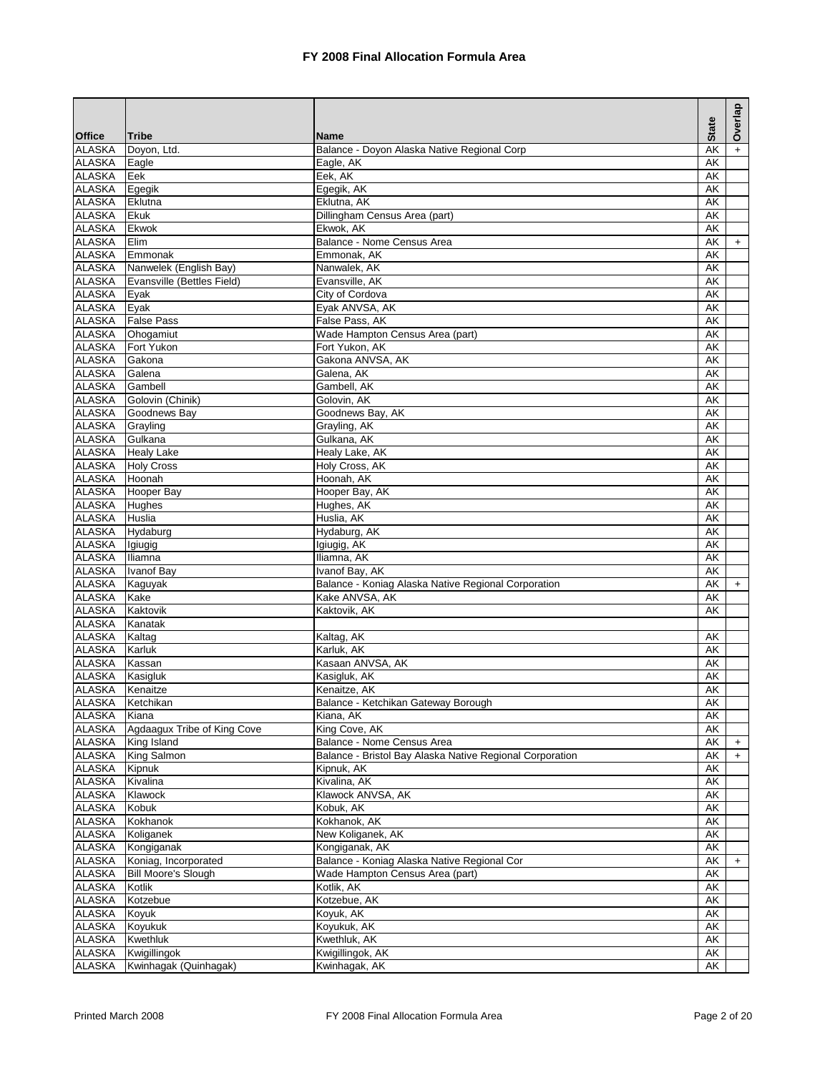|                                |                             |                                                                       | <b>State</b> | Overlap   |
|--------------------------------|-----------------------------|-----------------------------------------------------------------------|--------------|-----------|
| <b>Office</b>                  | <b>Tribe</b>                | <b>Name</b>                                                           |              |           |
| <b>ALASKA</b><br><b>ALASKA</b> | Doyon, Ltd.<br>Eagle        | Balance - Doyon Alaska Native Regional Corp<br>Eagle, AK              | AK<br>AK     |           |
| <b>ALASKA</b>                  | Eek                         | Eek, AK                                                               | AK           |           |
| <b>ALASKA</b>                  | Egegik                      | Egegik, AK                                                            | AK           |           |
| <b>ALASKA</b>                  | Eklutna                     | Eklutna, AK                                                           | AK           |           |
| <b>ALASKA</b>                  | Ekuk                        | Dillingham Census Area (part)                                         | AK           |           |
| <b>ALASKA</b>                  | Ekwok                       | Ekwok, AK                                                             | AK           |           |
| <b>ALASKA</b>                  | Elim                        | Balance - Nome Census Area                                            | AK           | $+$       |
| <b>ALASKA</b>                  | Emmonak                     | Emmonak, AK                                                           | AK           |           |
| ALASKA                         | Nanwelek (English Bay)      | Nanwalek, AK                                                          | AK           |           |
| <b>ALASKA</b>                  | Evansville (Bettles Field)  | Evansville, AK                                                        | AK           |           |
| <b>ALASKA</b>                  | Eyak                        | City of Cordova                                                       | AK           |           |
| <b>ALASKA</b>                  | Eyak                        | Eyak ANVSA, AK                                                        | AK           |           |
| <b>ALASKA</b>                  | <b>False Pass</b>           | False Pass, AK                                                        | AK           |           |
| <b>ALASKA</b>                  | Ohogamiut                   | Wade Hampton Census Area (part)                                       | AK           |           |
| <b>ALASKA</b>                  | Fort Yukon                  | Fort Yukon, AK                                                        | AK           |           |
| <b>ALASKA</b>                  | Gakona                      | Gakona ANVSA, AK                                                      | AK           |           |
| <b>ALASKA</b>                  | Galena                      | Galena, AK                                                            | AK           |           |
| <b>ALASKA</b>                  | Gambell                     | Gambell, AK                                                           | AK           |           |
| <b>ALASKA</b>                  | Golovin (Chinik)            | Golovin, AK                                                           | AK           |           |
| <b>ALASKA</b>                  | Goodnews Bay                | Goodnews Bay, AK                                                      | AK           |           |
| <b>ALASKA</b>                  | Grayling                    | Grayling, AK                                                          | AK           |           |
| <b>ALASKA</b>                  | Gulkana                     | Gulkana, AK                                                           | AK           |           |
| <b>ALASKA</b>                  | <b>Healy Lake</b>           | Healy Lake, AK                                                        | AK           |           |
| <b>ALASKA</b>                  | <b>Holy Cross</b>           | Holy Cross, AK                                                        | AK           |           |
| <b>ALASKA</b>                  | Hoonah                      | Hoonah, AK                                                            | AK           |           |
| <b>ALASKA</b>                  | Hooper Bay                  | Hooper Bay, AK                                                        | AK           |           |
| <b>ALASKA</b>                  | Hughes                      | Hughes, AK                                                            | AK           |           |
| <b>ALASKA</b>                  | Huslia                      | Huslia, AK                                                            | AK           |           |
| <b>ALASKA</b>                  | Hydaburg                    | Hydaburg, AK                                                          | AK           |           |
| <b>ALASKA</b>                  | Igiugig                     | Igiugig, AK                                                           | AK           |           |
| <b>ALASKA</b>                  | Iliamna                     | Iliamna, AK                                                           | AK           |           |
| <b>ALASKA</b>                  | Ivanof Bay                  | Ivanof Bay, AK                                                        | AK           |           |
| <b>ALASKA</b><br><b>ALASKA</b> | Kaguyak<br>Kake             | Balance - Koniag Alaska Native Regional Corporation<br>Kake ANVSA, AK | AK           | $+$       |
| <b>ALASKA</b>                  | Kaktovik                    | Kaktovik, AK                                                          | AK<br>AK     |           |
| <b>ALASKA</b>                  | Kanatak                     |                                                                       |              |           |
| <b>ALASKA</b>                  | Kaltag                      | Kaltag, AK                                                            | AK           |           |
| <b>ALASKA</b>                  | Karluk                      | Karluk, AK                                                            | AK           |           |
| <b>ALASKA</b>                  | Kassan                      | Kasaan ANVSA, AK                                                      | AK           |           |
| <b>ALASKA</b>                  | Kasigluk                    | Kasigluk, AK                                                          | AK           |           |
| <b>ALASKA</b>                  | Kenaitze                    | Kenaitze, AK                                                          | AK           |           |
| <b>ALASKA</b>                  | Ketchikan                   | Balance - Ketchikan Gateway Borough                                   | <b>AK</b>    |           |
| ALASKA                         | Kiana                       | Kiana, AK                                                             | AK           |           |
| <b>ALASKA</b>                  | Agdaagux Tribe of King Cove | King Cove, AK                                                         | AK           |           |
| <b>ALASKA</b>                  | King Island                 | Balance - Nome Census Area                                            | AK           | $\ddot{}$ |
| <b>ALASKA</b>                  | King Salmon                 | Balance - Bristol Bay Alaska Native Regional Corporation              | AK           | $\ddot{}$ |
| <b>ALASKA</b>                  | Kipnuk                      | Kipnuk, AK                                                            | AK           |           |
| <b>ALASKA</b>                  | Kivalina                    | Kivalina, AK                                                          | AK           |           |
| <b>ALASKA</b>                  | Klawock                     | Klawock ANVSA, AK                                                     | AK           |           |
| <b>ALASKA</b>                  | Kobuk                       | Kobuk, AK                                                             | AK           |           |
| ALASKA                         | Kokhanok                    | Kokhanok, AK                                                          | AK           |           |
| <b>ALASKA</b>                  | Koliganek                   | New Koliganek, AK                                                     | AK           |           |
| <b>ALASKA</b>                  | Kongiganak                  | Kongiganak, AK                                                        | AK           |           |
| <b>ALASKA</b>                  | Koniag, Incorporated        | Balance - Koniag Alaska Native Regional Cor                           | AK           | $\ddot{}$ |
| <b>ALASKA</b>                  | <b>Bill Moore's Slough</b>  | Wade Hampton Census Area (part)                                       | AK           |           |
| ALASKA                         | Kotlik                      | Kotlik, AK                                                            | AK           |           |
| <b>ALASKA</b>                  | Kotzebue                    | Kotzebue, AK                                                          | AK           |           |
| <b>ALASKA</b>                  | Koyuk                       | Koyuk, AK                                                             | AK           |           |
| <b>ALASKA</b>                  | Koyukuk                     | Koyukuk, AK                                                           | AK           |           |
| <b>ALASKA</b>                  | Kwethluk                    | Kwethluk, AK                                                          | AK           |           |
| <b>ALASKA</b>                  | Kwigillingok                | Kwigillingok, AK                                                      | AK           |           |
| ALASKA                         | Kwinhagak (Quinhagak)       | Kwinhagak, AK                                                         | AK           |           |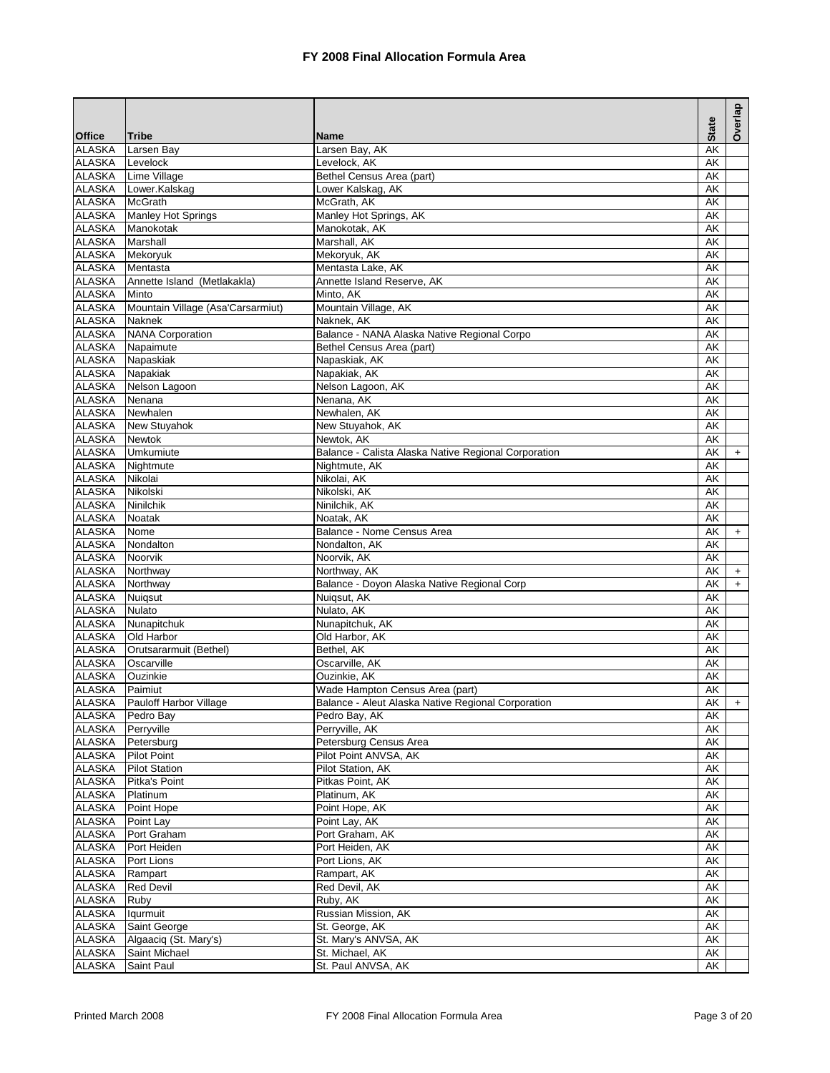|                                |                                   |                                                      | <b>State</b> | Overlap                          |
|--------------------------------|-----------------------------------|------------------------------------------------------|--------------|----------------------------------|
| <b>Office</b>                  | <b>Tribe</b>                      | <b>Name</b>                                          |              |                                  |
| <b>ALASKA</b>                  | Larsen Bay                        | Larsen Bay, AK                                       | AK           |                                  |
| <b>ALASKA</b>                  | Levelock                          | Levelock, AK                                         | AK           |                                  |
| <b>ALASKA</b>                  | Lime Village                      | Bethel Census Area (part)                            | AK           |                                  |
| <b>ALASKA</b><br><b>ALASKA</b> | Lower.Kalskag<br><b>McGrath</b>   | Lower Kalskag, AK<br>McGrath, AK                     | AK<br>AK     |                                  |
| <b>ALASKA</b>                  | Manley Hot Springs                | Manley Hot Springs, AK                               | AK           |                                  |
| ALASKA                         | Manokotak                         | Manokotak, AK                                        | AK           |                                  |
| <b>ALASKA</b>                  | Marshall                          | Marshall, AK                                         | AK           |                                  |
| ALASKA                         | Mekoryuk                          | Mekoryuk, AK                                         | AK           |                                  |
| ALASKA                         | Mentasta                          | Mentasta Lake, AK                                    | AK           |                                  |
| <b>ALASKA</b>                  | Annette Island (Metlakakla)       | Annette Island Reserve, AK                           | AK           |                                  |
| ALASKA                         | Minto                             | Minto, AK                                            | AK           |                                  |
| <b>ALASKA</b>                  | Mountain Village (Asa'Carsarmiut) | Mountain Village, AK                                 | AK           |                                  |
| <b>ALASKA</b>                  | Naknek                            | Naknek, AK                                           | AK           |                                  |
| <b>ALASKA</b>                  | <b>NANA Corporation</b>           | Balance - NANA Alaska Native Regional Corpo          | AK           |                                  |
| <b>ALASKA</b>                  | Napaimute                         | Bethel Census Area (part)                            | AK           |                                  |
| <b>ALASKA</b>                  | Napaskiak                         | Napaskiak, AK                                        | AK           |                                  |
| <b>ALASKA</b>                  | Napakiak                          | Napakiak, AK                                         | AK           |                                  |
| <b>ALASKA</b>                  | Nelson Lagoon                     | Nelson Lagoon, AK                                    | AK           |                                  |
| ALASKA                         | Nenana                            | Nenana, AK                                           | AK           |                                  |
| <b>ALASKA</b>                  | Newhalen                          | Newhalen, AK                                         | AK           |                                  |
| <b>ALASKA</b>                  | New Stuyahok                      | New Stuyahok, AK                                     | AK           |                                  |
| ALASKA                         | <b>Newtok</b>                     | Newtok, AK                                           | AK           |                                  |
| <b>ALASKA</b>                  | Umkumiute                         | Balance - Calista Alaska Native Regional Corporation | AK           | $\begin{array}{c} + \end{array}$ |
| ALASKA                         | Nightmute                         | Nightmute, AK                                        | AK           |                                  |
| <b>ALASKA</b>                  | Nikolai                           | Nikolai, AK                                          | AK           |                                  |
| <b>ALASKA</b>                  | Nikolski                          | Nikolski, AK                                         | AK           |                                  |
| <b>ALASKA</b>                  | Ninilchik                         | Ninilchik, AK                                        | AK           |                                  |
| <b>ALASKA</b>                  | <b>Noatak</b>                     | Noatak, AK                                           | AK           |                                  |
| <b>ALASKA</b>                  | Nome                              | Balance - Nome Census Area                           | AK           | $\ddot{}$                        |
| <b>ALASKA</b>                  | Nondalton                         | Nondalton, AK                                        | AK           |                                  |
| <b>ALASKA</b>                  | Noorvik                           | Noorvik, AK                                          | AK           |                                  |
| <b>ALASKA</b>                  | Northway                          | Northway, AK                                         | AK           | $\ddot{}$                        |
| ALASKA                         | Northway                          | Balance - Doyon Alaska Native Regional Corp          | AK           | $\ddot{}$                        |
| <b>ALASKA</b>                  | Nuiqsut                           | Nuiqsut, AK                                          | AK           |                                  |
| <b>ALASKA</b>                  | <b>Nulato</b>                     | Nulato, AK                                           | AK           |                                  |
| <b>ALASKA</b>                  | Nunapitchuk                       | Nunapitchuk, AK                                      | AK           |                                  |
| <b>ALASKA</b>                  | Old Harbor                        | Old Harbor, AK                                       | AK           |                                  |
| ALASKA                         | Orutsararmuit (Bethel)            | Bethel, AK                                           | AK           |                                  |
| <b>ALASKA</b>                  | Oscarville                        | Oscarville, AK                                       | AK           |                                  |
| <b>ALASKA</b>                  | Ouzinkie                          | Ouzinkie, AK                                         | AK           |                                  |
| <b>ALASKA</b>                  | Paimiut                           | Wade Hampton Census Area (part)                      | AK           |                                  |
| <b>ALASKA</b>                  | Pauloff Harbor Village            | Balance - Aleut Alaska Native Regional Corporation   | AK I         | $+$                              |
| <b>ALASKA</b>                  | Pedro Bay                         | Pedro Bay, AK                                        | AK           |                                  |
| <b>ALASKA</b>                  | Perryville                        | Perryville, AK                                       | AK           |                                  |
| ALASKA                         | Petersburg                        | Petersburg Census Area                               | AK           |                                  |
| <b>ALASKA</b>                  | <b>Pilot Point</b>                | Pilot Point ANVSA, AK                                | AK           |                                  |
| <b>ALASKA</b>                  | <b>Pilot Station</b>              | Pilot Station, AK                                    | AK           |                                  |
| <b>ALASKA</b>                  | Pitka's Point                     | Pitkas Point, AK                                     | AK           |                                  |
| <b>ALASKA</b>                  | Platinum                          | Platinum, AK                                         | AK           |                                  |
| <b>ALASKA</b>                  | Point Hope                        | Point Hope, AK                                       | AK           |                                  |
| ALASKA<br><b>ALASKA</b>        | Point Lay                         | Point Lay, AK                                        | AK           |                                  |
| <b>ALASKA</b>                  | Port Graham<br>Port Heiden        | Port Graham, AK<br>Port Heiden, AK                   | AK           |                                  |
| <b>ALASKA</b>                  | Port Lions                        | Port Lions, AK                                       | AK<br>AK     |                                  |
| <b>ALASKA</b>                  | Rampart                           | Rampart, AK                                          | AK           |                                  |
| ALASKA                         | <b>Red Devil</b>                  | Red Devil, AK                                        | AK           |                                  |
| <b>ALASKA</b>                  | Ruby                              | Ruby, AK                                             | AK           |                                  |
| <b>ALASKA</b>                  | lqurmuit                          | Russian Mission, AK                                  | AK           |                                  |
| <b>ALASKA</b>                  | Saint George                      | St. George, AK                                       | AK           |                                  |
| <b>ALASKA</b>                  | Algaaciq (St. Mary's)             | St. Mary's ANVSA, AK                                 | AK           |                                  |
| <b>ALASKA</b>                  | Saint Michael                     | St. Michael, AK                                      | AK           |                                  |
| <b>ALASKA</b>                  | Saint Paul                        | St. Paul ANVSA, AK                                   | AK           |                                  |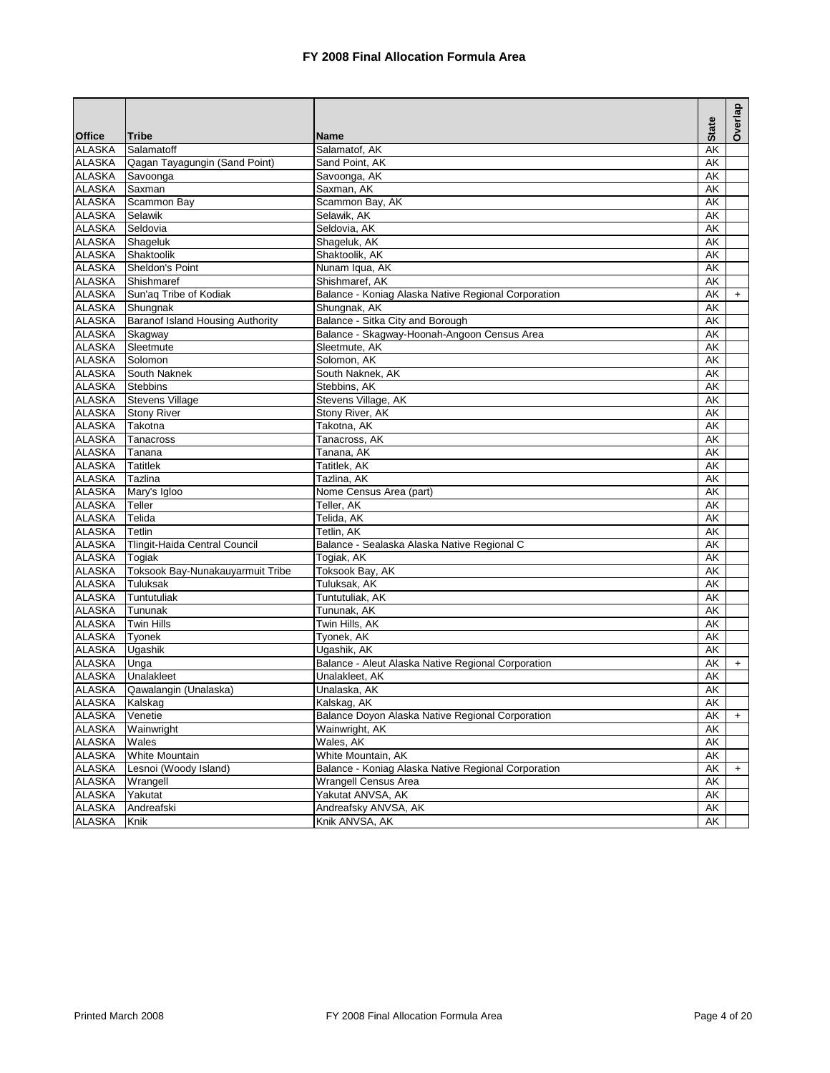|               |                                  |                                                     |              | Overlap   |
|---------------|----------------------------------|-----------------------------------------------------|--------------|-----------|
| <b>Office</b> | <b>Tribe</b>                     | <b>Name</b>                                         | <b>State</b> |           |
| <b>ALASKA</b> | Salamatoff                       | Salamatof, AK                                       | AK           |           |
| <b>ALASKA</b> | Qagan Tayagungin (Sand Point)    | Sand Point, AK                                      | AK           |           |
| <b>ALASKA</b> | Savoonga                         | Savoonga, AK                                        | AK           |           |
| <b>ALASKA</b> | Saxman                           | Saxman, AK                                          | AK           |           |
| <b>ALASKA</b> | Scammon Bay                      | Scammon Bay, AK                                     | AK           |           |
| <b>ALASKA</b> | Selawik                          | Selawik, AK                                         | AK           |           |
| <b>ALASKA</b> | Seldovia                         | Seldovia, AK                                        | AK           |           |
| <b>ALASKA</b> | Shageluk                         | Shageluk, AK                                        | AK           |           |
| <b>ALASKA</b> | Shaktoolik                       | Shaktoolik, AK                                      | AK           |           |
| <b>ALASKA</b> | Sheldon's Point                  | Nunam Iqua, AK                                      | AK           |           |
| <b>ALASKA</b> | Shishmaref                       | Shishmaref, AK                                      | AK           |           |
| <b>ALASKA</b> | Sun'aq Tribe of Kodiak           | Balance - Koniag Alaska Native Regional Corporation | AK           | $\ddot{}$ |
| <b>ALASKA</b> | Shungnak                         | Shungnak, AK                                        | AK           |           |
| <b>ALASKA</b> | Baranof Island Housing Authority | Balance - Sitka City and Borough                    | AK           |           |
| <b>ALASKA</b> | Skagway                          | Balance - Skagway-Hoonah-Angoon Census Area         | AK           |           |
| <b>ALASKA</b> | Sleetmute                        | Sleetmute, AK                                       | AK           |           |
| <b>ALASKA</b> | Solomon                          | Solomon, AK                                         | AK           |           |
| <b>ALASKA</b> | South Naknek                     | South Naknek, AK                                    | AK           |           |
| <b>ALASKA</b> | <b>Stebbins</b>                  | Stebbins, AK                                        | AK           |           |
| <b>ALASKA</b> | <b>Stevens Village</b>           | Stevens Village, AK                                 | AK           |           |
| <b>ALASKA</b> | <b>Stony River</b>               | Stony River, AK                                     | AK           |           |
| <b>ALASKA</b> | Takotna                          | Takotna, AK                                         | AK           |           |
| <b>ALASKA</b> | Tanacross                        | Tanacross, AK                                       | AK           |           |
| <b>ALASKA</b> | Tanana                           | Tanana, AK                                          | AK           |           |
| <b>ALASKA</b> | <b>Tatitlek</b>                  | Tatitlek, AK                                        | AK           |           |
| <b>ALASKA</b> | Tazlina                          | Tazlina, AK                                         | AK           |           |
| <b>ALASKA</b> | Mary's Igloo                     | Nome Census Area (part)                             | AK           |           |
| <b>ALASKA</b> | Teller                           | Teller, AK                                          | AK           |           |
| <b>ALASKA</b> | Telida                           | Telida, AK                                          | AK           |           |
| <b>ALASKA</b> | Tetlin                           | Tetlin, AK                                          | AK           |           |
| <b>ALASKA</b> | Tlingit-Haida Central Council    | Balance - Sealaska Alaska Native Regional C         | AK           |           |
| <b>ALASKA</b> | Togiak                           | Togiak, AK                                          | AK           |           |
| <b>ALASKA</b> | Toksook Bay-Nunakauyarmuit Tribe | Toksook Bay, AK                                     | AK           |           |
| <b>ALASKA</b> | Tuluksak                         | Tuluksak, AK                                        | AK           |           |
| <b>ALASKA</b> | Tuntutuliak                      | Tuntutuliak, AK                                     | AK           |           |
| <b>ALASKA</b> | Tununak                          | Tununak, AK                                         | AK           |           |
| <b>ALASKA</b> | <b>Twin Hills</b>                | Twin Hills, AK                                      | AK           |           |
| <b>ALASKA</b> | Tyonek                           | Tyonek, AK                                          | AK           |           |
| <b>ALASKA</b> | Ugashik                          | Ugashik, AK                                         | AK           |           |
| <b>ALASKA</b> | Unga                             | Balance - Aleut Alaska Native Regional Corporation  | AK           | $+$       |
| <b>ALASKA</b> | Unalakleet                       | Unalakleet, AK                                      | AK           |           |
| <b>ALASKA</b> | Qawalangin (Unalaska)            | Unalaska, AK                                        | AK           |           |
| <b>ALASKA</b> | Kalskag                          | Kalskag, AK                                         | <b>AK</b>    |           |
| <b>ALASKA</b> | Venetie                          | Balance Doyon Alaska Native Regional Corporation    | AK           | $+$       |
| <b>ALASKA</b> | Wainwright                       | Wainwright, AK                                      | AK           |           |
| <b>ALASKA</b> | Wales                            | Wales, AK                                           | AK           |           |
| <b>ALASKA</b> | <b>White Mountain</b>            | White Mountain, AK                                  | AK           |           |
| <b>ALASKA</b> | Lesnoi (Woody Island)            | Balance - Koniag Alaska Native Regional Corporation | AK           | $+$       |
| <b>ALASKA</b> | Wrangell                         | Wrangell Census Area                                | AK           |           |
| <b>ALASKA</b> | Yakutat                          | Yakutat ANVSA, AK                                   | AK           |           |
| <b>ALASKA</b> | Andreafski                       | Andreafsky ANVSA, AK                                | AK           |           |
| <b>ALASKA</b> | Knik                             | Knik ANVSA, AK                                      | AK           |           |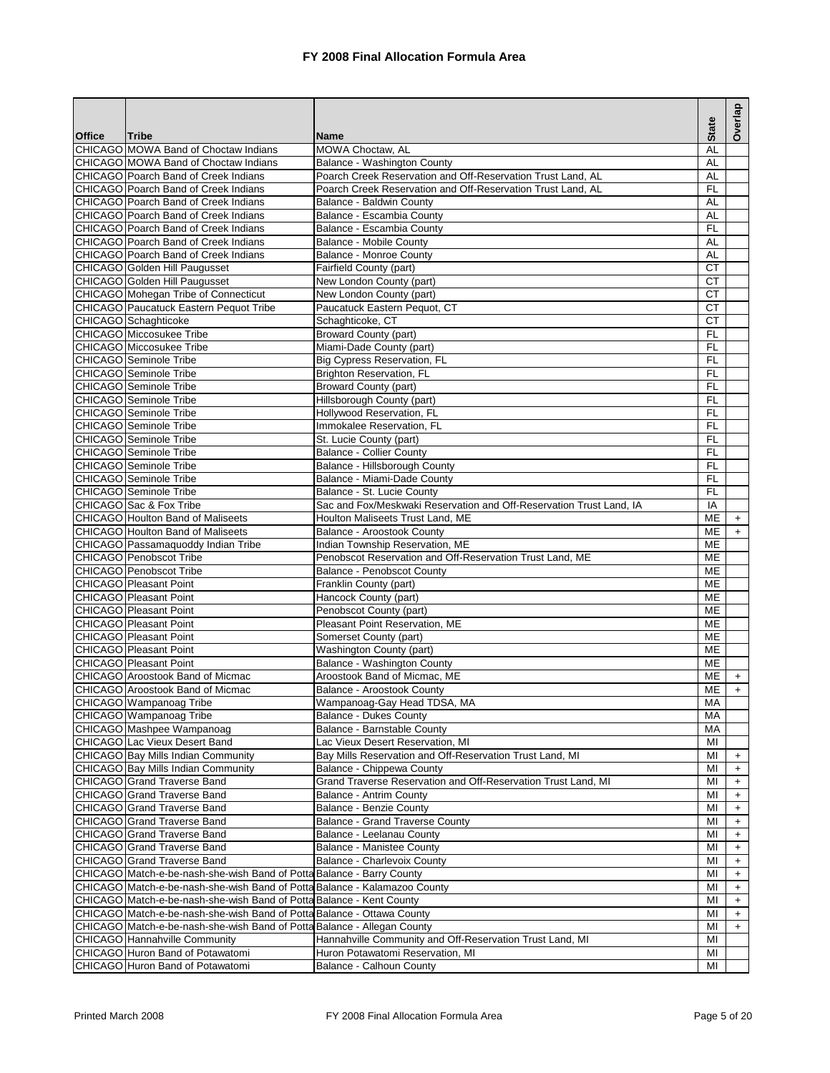|               |                                                                              |                                                                     | <b>State</b>           | Overlap                          |
|---------------|------------------------------------------------------------------------------|---------------------------------------------------------------------|------------------------|----------------------------------|
| <b>Office</b> | Tribe                                                                        | <b>Name</b>                                                         |                        |                                  |
|               | CHICAGO MOWA Band of Choctaw Indians<br>CHICAGO MOWA Band of Choctaw Indians | <b>MOWA Choctaw. AL</b><br>Balance - Washington County              | AL<br><b>AL</b>        |                                  |
|               | CHICAGO Poarch Band of Creek Indians                                         | Poarch Creek Reservation and Off-Reservation Trust Land, AL         | <b>AL</b>              |                                  |
|               | <b>CHICAGO</b> Poarch Band of Creek Indians                                  | Poarch Creek Reservation and Off-Reservation Trust Land, AL         | <b>FL</b>              |                                  |
|               | <b>CHICAGO</b> Poarch Band of Creek Indians                                  | Balance - Baldwin County                                            | <b>AL</b>              |                                  |
|               | CHICAGO Poarch Band of Creek Indians                                         | Balance - Escambia County                                           | AL                     |                                  |
|               | <b>CHICAGO</b> Poarch Band of Creek Indians                                  | Balance - Escambia County                                           | FL                     |                                  |
|               | CHICAGO Poarch Band of Creek Indians                                         | <b>Balance - Mobile County</b>                                      | <b>AL</b>              |                                  |
|               | <b>CHICAGO</b> Poarch Band of Creek Indians                                  | Balance - Monroe County                                             | <b>AL</b>              |                                  |
|               | CHICAGO Golden Hill Paugusset                                                | Fairfield County (part)                                             | <b>CT</b>              |                                  |
|               | CHICAGO Golden Hill Paugusset                                                | New London County (part)                                            | <b>CT</b>              |                                  |
|               | CHICAGO Mohegan Tribe of Connecticut                                         | New London County (part)                                            | <b>CT</b>              |                                  |
|               | CHICAGO Paucatuck Eastern Pequot Tribe                                       | Paucatuck Eastern Pequot, CT                                        | <b>CT</b>              |                                  |
|               | CHICAGO Schaghticoke                                                         | Schaghticoke, CT                                                    | <b>CT</b>              |                                  |
|               | <b>CHICAGO</b> Miccosukee Tribe                                              | <b>Broward County (part)</b>                                        | FL                     |                                  |
|               | <b>CHICAGO</b> Miccosukee Tribe                                              | Miami-Dade County (part)                                            | <b>FL</b>              |                                  |
|               | <b>CHICAGO</b> Seminole Tribe                                                | Big Cypress Reservation, FL                                         | <b>FL</b>              |                                  |
|               | <b>CHICAGO</b> Seminole Tribe                                                | Brighton Reservation, FL                                            | F                      |                                  |
|               | <b>CHICAGO</b> Seminole Tribe                                                | <b>Broward County (part)</b>                                        | <b>FL</b>              |                                  |
|               | CHICAGO Seminole Tribe                                                       | Hillsborough County (part)<br>Hollywood Reservation, FL             | FL                     |                                  |
|               | <b>CHICAGO</b> Seminole Tribe<br>CHICAGO Seminole Tribe                      |                                                                     | <b>FL</b><br><b>FL</b> |                                  |
|               | CHICAGO Seminole Tribe                                                       | Immokalee Reservation, FL<br>St. Lucie County (part)                | <b>FL</b>              |                                  |
|               | <b>CHICAGO</b> Seminole Tribe                                                | <b>Balance - Collier County</b>                                     | <b>FL</b>              |                                  |
|               | CHICAGO Seminole Tribe                                                       | Balance - Hillsborough County                                       | FL                     |                                  |
|               | CHICAGO Seminole Tribe                                                       | Balance - Miami-Dade County                                         | FL                     |                                  |
|               | <b>CHICAGO</b> Seminole Tribe                                                | Balance - St. Lucie County                                          | <b>FL</b>              |                                  |
|               | CHICAGO Sac & Fox Tribe                                                      | Sac and Fox/Meskwaki Reservation and Off-Reservation Trust Land, IA | IA                     |                                  |
|               | <b>CHICAGO</b> Houlton Band of Maliseets                                     | Houlton Maliseets Trust Land, ME                                    | ME                     | $\ddot{}$                        |
|               | <b>CHICAGO</b> Houlton Band of Maliseets                                     | Balance - Aroostook County                                          | ME                     | $\ddot{}$                        |
|               | CHICAGO Passamaquoddy Indian Tribe                                           | Indian Township Reservation, ME                                     | ME                     |                                  |
|               | <b>CHICAGO</b> Penobscot Tribe                                               | Penobscot Reservation and Off-Reservation Trust Land, ME            | <b>ME</b>              |                                  |
|               | CHICAGO Penobscot Tribe                                                      | Balance - Penobscot County                                          | ME                     |                                  |
|               | <b>CHICAGO</b> Pleasant Point                                                | Franklin County (part)                                              | ME                     |                                  |
|               | CHICAGO Pleasant Point                                                       | Hancock County (part)                                               | <b>ME</b>              |                                  |
|               | <b>CHICAGO Pleasant Point</b>                                                | Penobscot County (part)                                             | ME                     |                                  |
|               | CHICAGO Pleasant Point                                                       | Pleasant Point Reservation, ME                                      | ME                     |                                  |
|               | CHICAGO Pleasant Point                                                       | Somerset County (part)                                              | <b>ME</b>              |                                  |
|               | <b>CHICAGO</b> Pleasant Point                                                | Washington County (part)                                            | ME                     |                                  |
|               | CHICAGO Pleasant Point                                                       | Balance - Washington County                                         | <b>ME</b>              |                                  |
|               | CHICAGO Aroostook Band of Micmac                                             | Aroostook Band of Micmac, ME                                        | <b>ME</b>              | $\ddot{}$                        |
|               | CHICAGO Aroostook Band of Micmac<br>CHICAGO Wampanoag Tribe                  | Balance - Aroostook County                                          | ME                     | $+$                              |
|               |                                                                              | Wampanoag-Gay Head TDSA, MA                                         | <b>MA</b>              |                                  |
|               | CHICAGO Wampanoag Tribe<br>CHICAGO Mashpee Wampanoag                         | Balance - Dukes County<br>Balance - Barnstable County               | МA                     |                                  |
|               | <b>CHICAGO Lac Vieux Desert Band</b>                                         | Lac Vieux Desert Reservation, MI                                    | МA<br>МI               |                                  |
|               | CHICAGO Bay Mills Indian Community                                           | Bay Mills Reservation and Off-Reservation Trust Land, MI            | MI                     |                                  |
|               | CHICAGO Bay Mills Indian Community                                           | Balance - Chippewa County                                           | MI                     | +<br>$\ddot{}$                   |
|               | CHICAGO Grand Traverse Band                                                  | Grand Traverse Reservation and Off-Reservation Trust Land, MI       | МI                     | $\ddot{}$                        |
|               | CHICAGO Grand Traverse Band                                                  | Balance - Antrim County                                             | MI                     | $\ddot{}$                        |
|               | <b>CHICAGO</b> Grand Traverse Band                                           | Balance - Benzie County                                             | MI                     | $\ddot{}$                        |
|               | CHICAGO Grand Traverse Band                                                  | Balance - Grand Traverse County                                     | MI                     | $\ddot{}$                        |
|               | CHICAGO Grand Traverse Band                                                  | Balance - Leelanau County                                           | MI                     | $\ddot{}$                        |
|               | <b>CHICAGO Grand Traverse Band</b>                                           | <b>Balance - Manistee County</b>                                    | MI                     | $\ddot{}$                        |
|               | CHICAGO Grand Traverse Band                                                  | Balance - Charlevoix County                                         | MI                     | $\ddot{}$                        |
|               | CHICAGO Match-e-be-nash-she-wish Band of Potta Balance - Barry County        |                                                                     | MI                     | $\ddot{}$                        |
|               | CHICAGO Match-e-be-nash-she-wish Band of Potta Balance - Kalamazoo County    |                                                                     | MI                     | $\ddot{}$                        |
|               | CHICAGO Match-e-be-nash-she-wish Band of Potta Balance - Kent County         |                                                                     | MI                     | $\begin{array}{c} + \end{array}$ |
|               | CHICAGO Match-e-be-nash-she-wish Band of Potta Balance - Ottawa County       |                                                                     | MI                     | $\ddot{}$                        |
|               | CHICAGO Match-e-be-nash-she-wish Band of Potta Balance - Allegan County      |                                                                     | MI                     | $\ddot{}$                        |
|               | <b>CHICAGO</b> Hannahville Community                                         | Hannahville Community and Off-Reservation Trust Land, MI            | ΜI                     |                                  |
|               | CHICAGO Huron Band of Potawatomi                                             | Huron Potawatomi Reservation, MI                                    | MI                     |                                  |
|               | CHICAGO Huron Band of Potawatomi                                             | Balance - Calhoun County                                            | MI                     |                                  |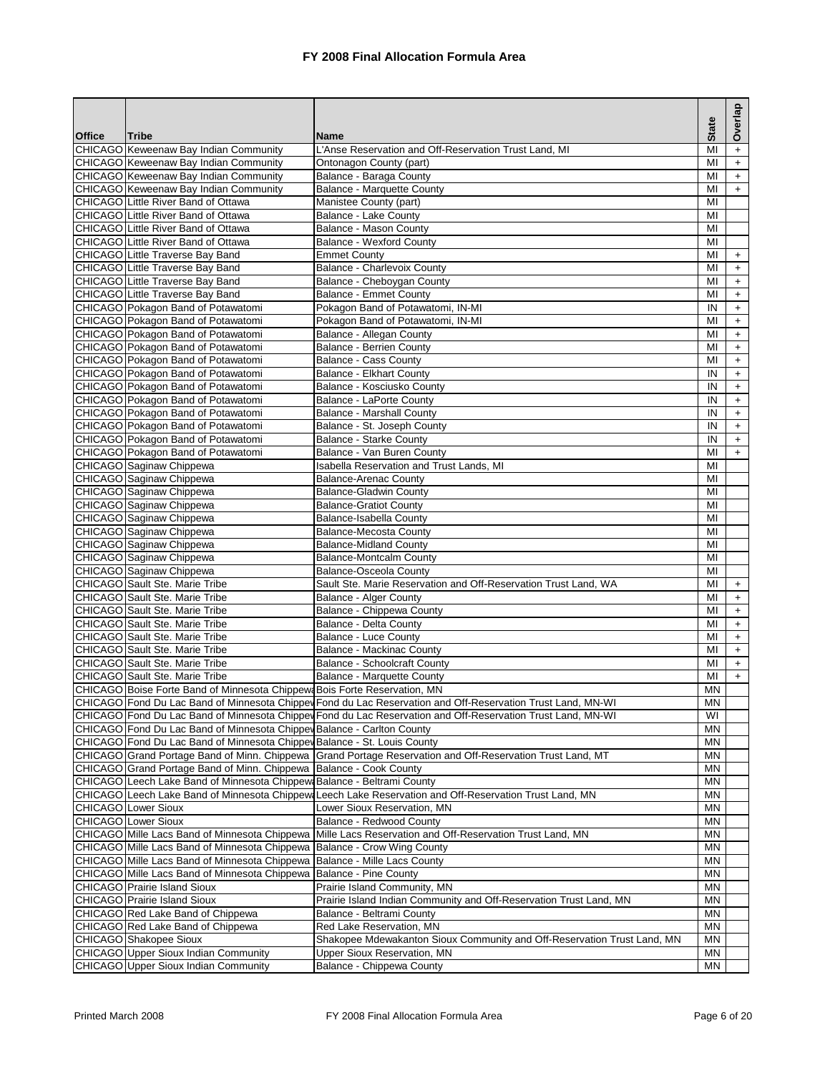| Overlap<br><b>State</b><br><b>Office</b><br><b>Tribe</b><br><b>Name</b><br>CHICAGO Keweenaw Bay Indian Community<br>L'Anse Reservation and Off-Reservation Trust Land, MI<br>MI<br>$+$<br>CHICAGO Keweenaw Bay Indian Community<br>Ontonagon County (part)<br>MI<br>$\ddot{}$<br>CHICAGO Keweenaw Bay Indian Community<br>Balance - Baraga County<br>MI<br>$\ddot{}$<br>CHICAGO Keweenaw Bay Indian Community<br><b>Balance - Marquette County</b><br>MI<br>$\ddot{}$<br>CHICAGO Little River Band of Ottawa<br>Manistee County (part)<br>MI<br><b>CHICAGO</b> Little River Band of Ottawa<br>Balance - Lake County<br>MI<br>CHICAGO Little River Band of Ottawa<br>Balance - Mason County<br>MI<br>CHICAGO Little River Band of Ottawa<br><b>Balance - Wexford County</b><br>MI<br>CHICAGO Little Traverse Bay Band<br><b>Emmet County</b><br>MI<br>$+$<br>Balance - Charlevoix County<br>CHICAGO Little Traverse Bay Band<br>MI<br>$\ddot{}$<br><b>CHICAGO</b> Little Traverse Bay Band<br>Balance - Cheboygan County<br>$+$<br>MI<br>CHICAGO Little Traverse Bay Band<br><b>Balance - Emmet County</b><br>MI<br>$\ddot{}$<br>CHICAGO Pokagon Band of Potawatomi<br>Pokagon Band of Potawatomi, IN-MI<br>IN<br>$\ddot{}$<br>CHICAGO Pokagon Band of Potawatomi<br>Pokagon Band of Potawatomi, IN-MI<br>MI<br>$+$<br>CHICAGO Pokagon Band of Potawatomi<br>Balance - Allegan County<br>MI<br>$\ddot{}$<br>CHICAGO Pokagon Band of Potawatomi<br><b>Balance - Berrien County</b><br>MI<br>$\ddot{}$<br>CHICAGO Pokagon Band of Potawatomi<br><b>Balance - Cass County</b><br>MI<br>$\ddot{}$<br>CHICAGO Pokagon Band of Potawatomi<br><b>Balance - Elkhart County</b><br>IN<br>$\ddot{}$<br>CHICAGO Pokagon Band of Potawatomi<br>$+$<br>Balance - Kosciusko County<br>IN<br>CHICAGO Pokagon Band of Potawatomi<br>Balance - LaPorte County<br>IN<br>$\ddot{}$<br>CHICAGO Pokagon Band of Potawatomi<br><b>Balance - Marshall County</b><br>IN<br>$\ddot{}$<br>CHICAGO Pokagon Band of Potawatomi<br>Balance - St. Joseph County<br>IN<br>$+$<br>CHICAGO Pokagon Band of Potawatomi<br>Balance - Starke County<br>IN<br>$\ddot{}$<br>CHICAGO Pokagon Band of Potawatomi<br>Balance - Van Buren County<br>MI<br>$+$<br>CHICAGO Saginaw Chippewa<br><b>Isabella Reservation and Trust Lands, MI</b><br>MI<br>CHICAGO Saginaw Chippewa<br><b>Balance-Arenac County</b><br>MI<br>CHICAGO Saginaw Chippewa<br><b>Balance-Gladwin County</b><br>MI<br>CHICAGO Saginaw Chippewa<br><b>Balance-Gratiot County</b><br>MI<br>CHICAGO Saginaw Chippewa<br>MI<br>Balance-Isabella County<br>CHICAGO Saginaw Chippewa<br><b>Balance-Mecosta County</b><br>MI<br>CHICAGO Saginaw Chippewa<br><b>Balance-Midland County</b><br>MI<br>CHICAGO Saginaw Chippewa<br><b>Balance-Montcalm County</b><br>MI<br>CHICAGO Saginaw Chippewa<br><b>Balance-Osceola County</b><br>MI<br><b>CHICAGO</b> Sault Ste. Marie Tribe<br>Sault Ste. Marie Reservation and Off-Reservation Trust Land, WA<br>MI<br>$\ddot{}$<br>CHICAGO Sault Ste. Marie Tribe<br>Balance - Alger County<br>MI<br>$+$<br><b>CHICAGO</b> Sault Ste. Marie Tribe<br>Balance - Chippewa County<br>MI<br>$\ddot{}$<br>CHICAGO Sault Ste. Marie Tribe<br>Balance - Delta County<br>MI<br>$\ddot{}$<br>CHICAGO Sault Ste. Marie Tribe<br><b>Balance - Luce County</b><br>MI<br>$+$<br>CHICAGO Sault Ste. Marie Tribe<br>Balance - Mackinac County<br>MI<br>$\ddot{}$<br>CHICAGO Sault Ste. Marie Tribe<br><b>Balance - Schoolcraft County</b><br>$+$<br>MI<br><b>CHICAGO</b> Sault Ste. Marie Tribe<br>Balance - Marquette County<br>MI<br>$+$<br>CHICAGO Boise Forte Band of Minnesota Chippew Bois Forte Reservation, MN<br>MN<br>CHICAGO Fond Du Lac Band of Minnesota Chippey Fond du Lac Reservation and Off-Reservation Trust Land, MN-WI<br><b>MN</b><br>CHICAGO Fond Du Lac Band of Minnesota Chippey Fond du Lac Reservation and Off-Reservation Trust Land, MN-WI<br>WI<br>CHICAGO Fond Du Lac Band of Minnesota Chippev Balance - Carlton County<br>MN<br>CHICAGO Fond Du Lac Band of Minnesota Chippev Balance - St. Louis County<br>ΜN<br>CHICAGO Grand Portage Band of Minn. Chippewa Grand Portage Reservation and Off-Reservation Trust Land, MT<br>ΜN<br>CHICAGO Grand Portage Band of Minn. Chippewa Balance - Cook County<br>ΜN<br>CHICAGO Leech Lake Band of Minnesota Chippew Balance - Beltrami County<br>ΜN<br>CHICAGO Leech Lake Band of Minnesota Chippew Leech Lake Reservation and Off-Reservation Trust Land, MN<br>ΜN<br><b>CHICAGO</b> Lower Sioux<br>Lower Sioux Reservation, MN<br>ΜN<br><b>CHICAGO</b> Lower Sioux<br>Balance - Redwood County<br>ΜN<br>CHICAGO Mille Lacs Band of Minnesota Chippewa<br>Mille Lacs Reservation and Off-Reservation Trust Land, MN<br>ΜN<br>CHICAGO Mille Lacs Band of Minnesota Chippewa<br>Balance - Crow Wing County<br>ΜN<br>CHICAGO Mille Lacs Band of Minnesota Chippewa<br>Balance - Mille Lacs County<br>ΜN<br>CHICAGO Mille Lacs Band of Minnesota Chippewa<br>Balance - Pine County<br>ΜN<br><b>CHICAGO</b> Prairie Island Sioux<br>Prairie Island Community, MN<br>ΜN<br><b>CHICAGO</b> Prairie Island Sioux<br>Prairie Island Indian Community and Off-Reservation Trust Land, MN<br>ΜN<br>CHICAGO Red Lake Band of Chippewa<br>ΜN<br>Balance - Beltrami County<br>CHICAGO Red Lake Band of Chippewa<br>Red Lake Reservation, MN<br>ΜN<br>Shakopee Mdewakanton Sioux Community and Off-Reservation Trust Land, MN<br>CHICAGO Shakopee Sioux<br>ΜN<br>CHICAGO Upper Sioux Indian Community<br>Upper Sioux Reservation, MN<br>ΜN<br>CHICAGO Upper Sioux Indian Community<br>Balance - Chippewa County<br>ΜN |  |  |  |
|------------------------------------------------------------------------------------------------------------------------------------------------------------------------------------------------------------------------------------------------------------------------------------------------------------------------------------------------------------------------------------------------------------------------------------------------------------------------------------------------------------------------------------------------------------------------------------------------------------------------------------------------------------------------------------------------------------------------------------------------------------------------------------------------------------------------------------------------------------------------------------------------------------------------------------------------------------------------------------------------------------------------------------------------------------------------------------------------------------------------------------------------------------------------------------------------------------------------------------------------------------------------------------------------------------------------------------------------------------------------------------------------------------------------------------------------------------------------------------------------------------------------------------------------------------------------------------------------------------------------------------------------------------------------------------------------------------------------------------------------------------------------------------------------------------------------------------------------------------------------------------------------------------------------------------------------------------------------------------------------------------------------------------------------------------------------------------------------------------------------------------------------------------------------------------------------------------------------------------------------------------------------------------------------------------------------------------------------------------------------------------------------------------------------------------------------------------------------------------------------------------------------------------------------------------------------------------------------------------------------------------------------------------------------------------------------------------------------------------------------------------------------------------------------------------------------------------------------------------------------------------------------------------------------------------------------------------------------------------------------------------------------------------------------------------------------------------------------------------------------------------------------------------------------------------------------------------------------------------------------------------------------------------------------------------------------------------------------------------------------------------------------------------------------------------------------------------------------------------------------------------------------------------------------------------------------------------------------------------------------------------------------------------------------------------------------------------------------------------------------------------------------------------------------------------------------------------------------------------------------------------------------------------------------------------------------------------------------------------------------------------------------------------------------------------------------------------------------------------------------------------------------------------------------------------------------------------------------------------------------------------------------------------------------------------------------------------------------------------------------------------------------------------------------------------------------------------------------------------------------------------------------------------------------------------------------------------------------------------------------------------------------------------------------------------------------------------------------------------------------------------------------------------------------------------------------------------------------------------------------------------------------------------------------------------------------------------------------------------------------------------------------------------------------------------------------------------------------------------------------------------------------------------------------------------------------------------------------------------------------------------------------------------------------------------------------------------------------------------------------------------------------------------------------------------------------------------------------------------------------------------------------------------------------------------------------------------------------------------------------------|--|--|--|
|                                                                                                                                                                                                                                                                                                                                                                                                                                                                                                                                                                                                                                                                                                                                                                                                                                                                                                                                                                                                                                                                                                                                                                                                                                                                                                                                                                                                                                                                                                                                                                                                                                                                                                                                                                                                                                                                                                                                                                                                                                                                                                                                                                                                                                                                                                                                                                                                                                                                                                                                                                                                                                                                                                                                                                                                                                                                                                                                                                                                                                                                                                                                                                                                                                                                                                                                                                                                                                                                                                                                                                                                                                                                                                                                                                                                                                                                                                                                                                                                                                                                                                                                                                                                                                                                                                                                                                                                                                                                                                                                                                                                                                                                                                                                                                                                                                                                                                                                                                                                                                                                                                                                                                                                                                                                                                                                                                                                                                                                                                                                                                                                                              |  |  |  |
|                                                                                                                                                                                                                                                                                                                                                                                                                                                                                                                                                                                                                                                                                                                                                                                                                                                                                                                                                                                                                                                                                                                                                                                                                                                                                                                                                                                                                                                                                                                                                                                                                                                                                                                                                                                                                                                                                                                                                                                                                                                                                                                                                                                                                                                                                                                                                                                                                                                                                                                                                                                                                                                                                                                                                                                                                                                                                                                                                                                                                                                                                                                                                                                                                                                                                                                                                                                                                                                                                                                                                                                                                                                                                                                                                                                                                                                                                                                                                                                                                                                                                                                                                                                                                                                                                                                                                                                                                                                                                                                                                                                                                                                                                                                                                                                                                                                                                                                                                                                                                                                                                                                                                                                                                                                                                                                                                                                                                                                                                                                                                                                                                              |  |  |  |
|                                                                                                                                                                                                                                                                                                                                                                                                                                                                                                                                                                                                                                                                                                                                                                                                                                                                                                                                                                                                                                                                                                                                                                                                                                                                                                                                                                                                                                                                                                                                                                                                                                                                                                                                                                                                                                                                                                                                                                                                                                                                                                                                                                                                                                                                                                                                                                                                                                                                                                                                                                                                                                                                                                                                                                                                                                                                                                                                                                                                                                                                                                                                                                                                                                                                                                                                                                                                                                                                                                                                                                                                                                                                                                                                                                                                                                                                                                                                                                                                                                                                                                                                                                                                                                                                                                                                                                                                                                                                                                                                                                                                                                                                                                                                                                                                                                                                                                                                                                                                                                                                                                                                                                                                                                                                                                                                                                                                                                                                                                                                                                                                                              |  |  |  |
|                                                                                                                                                                                                                                                                                                                                                                                                                                                                                                                                                                                                                                                                                                                                                                                                                                                                                                                                                                                                                                                                                                                                                                                                                                                                                                                                                                                                                                                                                                                                                                                                                                                                                                                                                                                                                                                                                                                                                                                                                                                                                                                                                                                                                                                                                                                                                                                                                                                                                                                                                                                                                                                                                                                                                                                                                                                                                                                                                                                                                                                                                                                                                                                                                                                                                                                                                                                                                                                                                                                                                                                                                                                                                                                                                                                                                                                                                                                                                                                                                                                                                                                                                                                                                                                                                                                                                                                                                                                                                                                                                                                                                                                                                                                                                                                                                                                                                                                                                                                                                                                                                                                                                                                                                                                                                                                                                                                                                                                                                                                                                                                                                              |  |  |  |
|                                                                                                                                                                                                                                                                                                                                                                                                                                                                                                                                                                                                                                                                                                                                                                                                                                                                                                                                                                                                                                                                                                                                                                                                                                                                                                                                                                                                                                                                                                                                                                                                                                                                                                                                                                                                                                                                                                                                                                                                                                                                                                                                                                                                                                                                                                                                                                                                                                                                                                                                                                                                                                                                                                                                                                                                                                                                                                                                                                                                                                                                                                                                                                                                                                                                                                                                                                                                                                                                                                                                                                                                                                                                                                                                                                                                                                                                                                                                                                                                                                                                                                                                                                                                                                                                                                                                                                                                                                                                                                                                                                                                                                                                                                                                                                                                                                                                                                                                                                                                                                                                                                                                                                                                                                                                                                                                                                                                                                                                                                                                                                                                                              |  |  |  |
|                                                                                                                                                                                                                                                                                                                                                                                                                                                                                                                                                                                                                                                                                                                                                                                                                                                                                                                                                                                                                                                                                                                                                                                                                                                                                                                                                                                                                                                                                                                                                                                                                                                                                                                                                                                                                                                                                                                                                                                                                                                                                                                                                                                                                                                                                                                                                                                                                                                                                                                                                                                                                                                                                                                                                                                                                                                                                                                                                                                                                                                                                                                                                                                                                                                                                                                                                                                                                                                                                                                                                                                                                                                                                                                                                                                                                                                                                                                                                                                                                                                                                                                                                                                                                                                                                                                                                                                                                                                                                                                                                                                                                                                                                                                                                                                                                                                                                                                                                                                                                                                                                                                                                                                                                                                                                                                                                                                                                                                                                                                                                                                                                              |  |  |  |
|                                                                                                                                                                                                                                                                                                                                                                                                                                                                                                                                                                                                                                                                                                                                                                                                                                                                                                                                                                                                                                                                                                                                                                                                                                                                                                                                                                                                                                                                                                                                                                                                                                                                                                                                                                                                                                                                                                                                                                                                                                                                                                                                                                                                                                                                                                                                                                                                                                                                                                                                                                                                                                                                                                                                                                                                                                                                                                                                                                                                                                                                                                                                                                                                                                                                                                                                                                                                                                                                                                                                                                                                                                                                                                                                                                                                                                                                                                                                                                                                                                                                                                                                                                                                                                                                                                                                                                                                                                                                                                                                                                                                                                                                                                                                                                                                                                                                                                                                                                                                                                                                                                                                                                                                                                                                                                                                                                                                                                                                                                                                                                                                                              |  |  |  |
|                                                                                                                                                                                                                                                                                                                                                                                                                                                                                                                                                                                                                                                                                                                                                                                                                                                                                                                                                                                                                                                                                                                                                                                                                                                                                                                                                                                                                                                                                                                                                                                                                                                                                                                                                                                                                                                                                                                                                                                                                                                                                                                                                                                                                                                                                                                                                                                                                                                                                                                                                                                                                                                                                                                                                                                                                                                                                                                                                                                                                                                                                                                                                                                                                                                                                                                                                                                                                                                                                                                                                                                                                                                                                                                                                                                                                                                                                                                                                                                                                                                                                                                                                                                                                                                                                                                                                                                                                                                                                                                                                                                                                                                                                                                                                                                                                                                                                                                                                                                                                                                                                                                                                                                                                                                                                                                                                                                                                                                                                                                                                                                                                              |  |  |  |
|                                                                                                                                                                                                                                                                                                                                                                                                                                                                                                                                                                                                                                                                                                                                                                                                                                                                                                                                                                                                                                                                                                                                                                                                                                                                                                                                                                                                                                                                                                                                                                                                                                                                                                                                                                                                                                                                                                                                                                                                                                                                                                                                                                                                                                                                                                                                                                                                                                                                                                                                                                                                                                                                                                                                                                                                                                                                                                                                                                                                                                                                                                                                                                                                                                                                                                                                                                                                                                                                                                                                                                                                                                                                                                                                                                                                                                                                                                                                                                                                                                                                                                                                                                                                                                                                                                                                                                                                                                                                                                                                                                                                                                                                                                                                                                                                                                                                                                                                                                                                                                                                                                                                                                                                                                                                                                                                                                                                                                                                                                                                                                                                                              |  |  |  |
|                                                                                                                                                                                                                                                                                                                                                                                                                                                                                                                                                                                                                                                                                                                                                                                                                                                                                                                                                                                                                                                                                                                                                                                                                                                                                                                                                                                                                                                                                                                                                                                                                                                                                                                                                                                                                                                                                                                                                                                                                                                                                                                                                                                                                                                                                                                                                                                                                                                                                                                                                                                                                                                                                                                                                                                                                                                                                                                                                                                                                                                                                                                                                                                                                                                                                                                                                                                                                                                                                                                                                                                                                                                                                                                                                                                                                                                                                                                                                                                                                                                                                                                                                                                                                                                                                                                                                                                                                                                                                                                                                                                                                                                                                                                                                                                                                                                                                                                                                                                                                                                                                                                                                                                                                                                                                                                                                                                                                                                                                                                                                                                                                              |  |  |  |
|                                                                                                                                                                                                                                                                                                                                                                                                                                                                                                                                                                                                                                                                                                                                                                                                                                                                                                                                                                                                                                                                                                                                                                                                                                                                                                                                                                                                                                                                                                                                                                                                                                                                                                                                                                                                                                                                                                                                                                                                                                                                                                                                                                                                                                                                                                                                                                                                                                                                                                                                                                                                                                                                                                                                                                                                                                                                                                                                                                                                                                                                                                                                                                                                                                                                                                                                                                                                                                                                                                                                                                                                                                                                                                                                                                                                                                                                                                                                                                                                                                                                                                                                                                                                                                                                                                                                                                                                                                                                                                                                                                                                                                                                                                                                                                                                                                                                                                                                                                                                                                                                                                                                                                                                                                                                                                                                                                                                                                                                                                                                                                                                                              |  |  |  |
|                                                                                                                                                                                                                                                                                                                                                                                                                                                                                                                                                                                                                                                                                                                                                                                                                                                                                                                                                                                                                                                                                                                                                                                                                                                                                                                                                                                                                                                                                                                                                                                                                                                                                                                                                                                                                                                                                                                                                                                                                                                                                                                                                                                                                                                                                                                                                                                                                                                                                                                                                                                                                                                                                                                                                                                                                                                                                                                                                                                                                                                                                                                                                                                                                                                                                                                                                                                                                                                                                                                                                                                                                                                                                                                                                                                                                                                                                                                                                                                                                                                                                                                                                                                                                                                                                                                                                                                                                                                                                                                                                                                                                                                                                                                                                                                                                                                                                                                                                                                                                                                                                                                                                                                                                                                                                                                                                                                                                                                                                                                                                                                                                              |  |  |  |
|                                                                                                                                                                                                                                                                                                                                                                                                                                                                                                                                                                                                                                                                                                                                                                                                                                                                                                                                                                                                                                                                                                                                                                                                                                                                                                                                                                                                                                                                                                                                                                                                                                                                                                                                                                                                                                                                                                                                                                                                                                                                                                                                                                                                                                                                                                                                                                                                                                                                                                                                                                                                                                                                                                                                                                                                                                                                                                                                                                                                                                                                                                                                                                                                                                                                                                                                                                                                                                                                                                                                                                                                                                                                                                                                                                                                                                                                                                                                                                                                                                                                                                                                                                                                                                                                                                                                                                                                                                                                                                                                                                                                                                                                                                                                                                                                                                                                                                                                                                                                                                                                                                                                                                                                                                                                                                                                                                                                                                                                                                                                                                                                                              |  |  |  |
|                                                                                                                                                                                                                                                                                                                                                                                                                                                                                                                                                                                                                                                                                                                                                                                                                                                                                                                                                                                                                                                                                                                                                                                                                                                                                                                                                                                                                                                                                                                                                                                                                                                                                                                                                                                                                                                                                                                                                                                                                                                                                                                                                                                                                                                                                                                                                                                                                                                                                                                                                                                                                                                                                                                                                                                                                                                                                                                                                                                                                                                                                                                                                                                                                                                                                                                                                                                                                                                                                                                                                                                                                                                                                                                                                                                                                                                                                                                                                                                                                                                                                                                                                                                                                                                                                                                                                                                                                                                                                                                                                                                                                                                                                                                                                                                                                                                                                                                                                                                                                                                                                                                                                                                                                                                                                                                                                                                                                                                                                                                                                                                                                              |  |  |  |
|                                                                                                                                                                                                                                                                                                                                                                                                                                                                                                                                                                                                                                                                                                                                                                                                                                                                                                                                                                                                                                                                                                                                                                                                                                                                                                                                                                                                                                                                                                                                                                                                                                                                                                                                                                                                                                                                                                                                                                                                                                                                                                                                                                                                                                                                                                                                                                                                                                                                                                                                                                                                                                                                                                                                                                                                                                                                                                                                                                                                                                                                                                                                                                                                                                                                                                                                                                                                                                                                                                                                                                                                                                                                                                                                                                                                                                                                                                                                                                                                                                                                                                                                                                                                                                                                                                                                                                                                                                                                                                                                                                                                                                                                                                                                                                                                                                                                                                                                                                                                                                                                                                                                                                                                                                                                                                                                                                                                                                                                                                                                                                                                                              |  |  |  |
|                                                                                                                                                                                                                                                                                                                                                                                                                                                                                                                                                                                                                                                                                                                                                                                                                                                                                                                                                                                                                                                                                                                                                                                                                                                                                                                                                                                                                                                                                                                                                                                                                                                                                                                                                                                                                                                                                                                                                                                                                                                                                                                                                                                                                                                                                                                                                                                                                                                                                                                                                                                                                                                                                                                                                                                                                                                                                                                                                                                                                                                                                                                                                                                                                                                                                                                                                                                                                                                                                                                                                                                                                                                                                                                                                                                                                                                                                                                                                                                                                                                                                                                                                                                                                                                                                                                                                                                                                                                                                                                                                                                                                                                                                                                                                                                                                                                                                                                                                                                                                                                                                                                                                                                                                                                                                                                                                                                                                                                                                                                                                                                                                              |  |  |  |
|                                                                                                                                                                                                                                                                                                                                                                                                                                                                                                                                                                                                                                                                                                                                                                                                                                                                                                                                                                                                                                                                                                                                                                                                                                                                                                                                                                                                                                                                                                                                                                                                                                                                                                                                                                                                                                                                                                                                                                                                                                                                                                                                                                                                                                                                                                                                                                                                                                                                                                                                                                                                                                                                                                                                                                                                                                                                                                                                                                                                                                                                                                                                                                                                                                                                                                                                                                                                                                                                                                                                                                                                                                                                                                                                                                                                                                                                                                                                                                                                                                                                                                                                                                                                                                                                                                                                                                                                                                                                                                                                                                                                                                                                                                                                                                                                                                                                                                                                                                                                                                                                                                                                                                                                                                                                                                                                                                                                                                                                                                                                                                                                                              |  |  |  |
|                                                                                                                                                                                                                                                                                                                                                                                                                                                                                                                                                                                                                                                                                                                                                                                                                                                                                                                                                                                                                                                                                                                                                                                                                                                                                                                                                                                                                                                                                                                                                                                                                                                                                                                                                                                                                                                                                                                                                                                                                                                                                                                                                                                                                                                                                                                                                                                                                                                                                                                                                                                                                                                                                                                                                                                                                                                                                                                                                                                                                                                                                                                                                                                                                                                                                                                                                                                                                                                                                                                                                                                                                                                                                                                                                                                                                                                                                                                                                                                                                                                                                                                                                                                                                                                                                                                                                                                                                                                                                                                                                                                                                                                                                                                                                                                                                                                                                                                                                                                                                                                                                                                                                                                                                                                                                                                                                                                                                                                                                                                                                                                                                              |  |  |  |
|                                                                                                                                                                                                                                                                                                                                                                                                                                                                                                                                                                                                                                                                                                                                                                                                                                                                                                                                                                                                                                                                                                                                                                                                                                                                                                                                                                                                                                                                                                                                                                                                                                                                                                                                                                                                                                                                                                                                                                                                                                                                                                                                                                                                                                                                                                                                                                                                                                                                                                                                                                                                                                                                                                                                                                                                                                                                                                                                                                                                                                                                                                                                                                                                                                                                                                                                                                                                                                                                                                                                                                                                                                                                                                                                                                                                                                                                                                                                                                                                                                                                                                                                                                                                                                                                                                                                                                                                                                                                                                                                                                                                                                                                                                                                                                                                                                                                                                                                                                                                                                                                                                                                                                                                                                                                                                                                                                                                                                                                                                                                                                                                                              |  |  |  |
|                                                                                                                                                                                                                                                                                                                                                                                                                                                                                                                                                                                                                                                                                                                                                                                                                                                                                                                                                                                                                                                                                                                                                                                                                                                                                                                                                                                                                                                                                                                                                                                                                                                                                                                                                                                                                                                                                                                                                                                                                                                                                                                                                                                                                                                                                                                                                                                                                                                                                                                                                                                                                                                                                                                                                                                                                                                                                                                                                                                                                                                                                                                                                                                                                                                                                                                                                                                                                                                                                                                                                                                                                                                                                                                                                                                                                                                                                                                                                                                                                                                                                                                                                                                                                                                                                                                                                                                                                                                                                                                                                                                                                                                                                                                                                                                                                                                                                                                                                                                                                                                                                                                                                                                                                                                                                                                                                                                                                                                                                                                                                                                                                              |  |  |  |
|                                                                                                                                                                                                                                                                                                                                                                                                                                                                                                                                                                                                                                                                                                                                                                                                                                                                                                                                                                                                                                                                                                                                                                                                                                                                                                                                                                                                                                                                                                                                                                                                                                                                                                                                                                                                                                                                                                                                                                                                                                                                                                                                                                                                                                                                                                                                                                                                                                                                                                                                                                                                                                                                                                                                                                                                                                                                                                                                                                                                                                                                                                                                                                                                                                                                                                                                                                                                                                                                                                                                                                                                                                                                                                                                                                                                                                                                                                                                                                                                                                                                                                                                                                                                                                                                                                                                                                                                                                                                                                                                                                                                                                                                                                                                                                                                                                                                                                                                                                                                                                                                                                                                                                                                                                                                                                                                                                                                                                                                                                                                                                                                                              |  |  |  |
|                                                                                                                                                                                                                                                                                                                                                                                                                                                                                                                                                                                                                                                                                                                                                                                                                                                                                                                                                                                                                                                                                                                                                                                                                                                                                                                                                                                                                                                                                                                                                                                                                                                                                                                                                                                                                                                                                                                                                                                                                                                                                                                                                                                                                                                                                                                                                                                                                                                                                                                                                                                                                                                                                                                                                                                                                                                                                                                                                                                                                                                                                                                                                                                                                                                                                                                                                                                                                                                                                                                                                                                                                                                                                                                                                                                                                                                                                                                                                                                                                                                                                                                                                                                                                                                                                                                                                                                                                                                                                                                                                                                                                                                                                                                                                                                                                                                                                                                                                                                                                                                                                                                                                                                                                                                                                                                                                                                                                                                                                                                                                                                                                              |  |  |  |
|                                                                                                                                                                                                                                                                                                                                                                                                                                                                                                                                                                                                                                                                                                                                                                                                                                                                                                                                                                                                                                                                                                                                                                                                                                                                                                                                                                                                                                                                                                                                                                                                                                                                                                                                                                                                                                                                                                                                                                                                                                                                                                                                                                                                                                                                                                                                                                                                                                                                                                                                                                                                                                                                                                                                                                                                                                                                                                                                                                                                                                                                                                                                                                                                                                                                                                                                                                                                                                                                                                                                                                                                                                                                                                                                                                                                                                                                                                                                                                                                                                                                                                                                                                                                                                                                                                                                                                                                                                                                                                                                                                                                                                                                                                                                                                                                                                                                                                                                                                                                                                                                                                                                                                                                                                                                                                                                                                                                                                                                                                                                                                                                                              |  |  |  |
|                                                                                                                                                                                                                                                                                                                                                                                                                                                                                                                                                                                                                                                                                                                                                                                                                                                                                                                                                                                                                                                                                                                                                                                                                                                                                                                                                                                                                                                                                                                                                                                                                                                                                                                                                                                                                                                                                                                                                                                                                                                                                                                                                                                                                                                                                                                                                                                                                                                                                                                                                                                                                                                                                                                                                                                                                                                                                                                                                                                                                                                                                                                                                                                                                                                                                                                                                                                                                                                                                                                                                                                                                                                                                                                                                                                                                                                                                                                                                                                                                                                                                                                                                                                                                                                                                                                                                                                                                                                                                                                                                                                                                                                                                                                                                                                                                                                                                                                                                                                                                                                                                                                                                                                                                                                                                                                                                                                                                                                                                                                                                                                                                              |  |  |  |
|                                                                                                                                                                                                                                                                                                                                                                                                                                                                                                                                                                                                                                                                                                                                                                                                                                                                                                                                                                                                                                                                                                                                                                                                                                                                                                                                                                                                                                                                                                                                                                                                                                                                                                                                                                                                                                                                                                                                                                                                                                                                                                                                                                                                                                                                                                                                                                                                                                                                                                                                                                                                                                                                                                                                                                                                                                                                                                                                                                                                                                                                                                                                                                                                                                                                                                                                                                                                                                                                                                                                                                                                                                                                                                                                                                                                                                                                                                                                                                                                                                                                                                                                                                                                                                                                                                                                                                                                                                                                                                                                                                                                                                                                                                                                                                                                                                                                                                                                                                                                                                                                                                                                                                                                                                                                                                                                                                                                                                                                                                                                                                                                                              |  |  |  |
|                                                                                                                                                                                                                                                                                                                                                                                                                                                                                                                                                                                                                                                                                                                                                                                                                                                                                                                                                                                                                                                                                                                                                                                                                                                                                                                                                                                                                                                                                                                                                                                                                                                                                                                                                                                                                                                                                                                                                                                                                                                                                                                                                                                                                                                                                                                                                                                                                                                                                                                                                                                                                                                                                                                                                                                                                                                                                                                                                                                                                                                                                                                                                                                                                                                                                                                                                                                                                                                                                                                                                                                                                                                                                                                                                                                                                                                                                                                                                                                                                                                                                                                                                                                                                                                                                                                                                                                                                                                                                                                                                                                                                                                                                                                                                                                                                                                                                                                                                                                                                                                                                                                                                                                                                                                                                                                                                                                                                                                                                                                                                                                                                              |  |  |  |
|                                                                                                                                                                                                                                                                                                                                                                                                                                                                                                                                                                                                                                                                                                                                                                                                                                                                                                                                                                                                                                                                                                                                                                                                                                                                                                                                                                                                                                                                                                                                                                                                                                                                                                                                                                                                                                                                                                                                                                                                                                                                                                                                                                                                                                                                                                                                                                                                                                                                                                                                                                                                                                                                                                                                                                                                                                                                                                                                                                                                                                                                                                                                                                                                                                                                                                                                                                                                                                                                                                                                                                                                                                                                                                                                                                                                                                                                                                                                                                                                                                                                                                                                                                                                                                                                                                                                                                                                                                                                                                                                                                                                                                                                                                                                                                                                                                                                                                                                                                                                                                                                                                                                                                                                                                                                                                                                                                                                                                                                                                                                                                                                                              |  |  |  |
|                                                                                                                                                                                                                                                                                                                                                                                                                                                                                                                                                                                                                                                                                                                                                                                                                                                                                                                                                                                                                                                                                                                                                                                                                                                                                                                                                                                                                                                                                                                                                                                                                                                                                                                                                                                                                                                                                                                                                                                                                                                                                                                                                                                                                                                                                                                                                                                                                                                                                                                                                                                                                                                                                                                                                                                                                                                                                                                                                                                                                                                                                                                                                                                                                                                                                                                                                                                                                                                                                                                                                                                                                                                                                                                                                                                                                                                                                                                                                                                                                                                                                                                                                                                                                                                                                                                                                                                                                                                                                                                                                                                                                                                                                                                                                                                                                                                                                                                                                                                                                                                                                                                                                                                                                                                                                                                                                                                                                                                                                                                                                                                                                              |  |  |  |
|                                                                                                                                                                                                                                                                                                                                                                                                                                                                                                                                                                                                                                                                                                                                                                                                                                                                                                                                                                                                                                                                                                                                                                                                                                                                                                                                                                                                                                                                                                                                                                                                                                                                                                                                                                                                                                                                                                                                                                                                                                                                                                                                                                                                                                                                                                                                                                                                                                                                                                                                                                                                                                                                                                                                                                                                                                                                                                                                                                                                                                                                                                                                                                                                                                                                                                                                                                                                                                                                                                                                                                                                                                                                                                                                                                                                                                                                                                                                                                                                                                                                                                                                                                                                                                                                                                                                                                                                                                                                                                                                                                                                                                                                                                                                                                                                                                                                                                                                                                                                                                                                                                                                                                                                                                                                                                                                                                                                                                                                                                                                                                                                                              |  |  |  |
|                                                                                                                                                                                                                                                                                                                                                                                                                                                                                                                                                                                                                                                                                                                                                                                                                                                                                                                                                                                                                                                                                                                                                                                                                                                                                                                                                                                                                                                                                                                                                                                                                                                                                                                                                                                                                                                                                                                                                                                                                                                                                                                                                                                                                                                                                                                                                                                                                                                                                                                                                                                                                                                                                                                                                                                                                                                                                                                                                                                                                                                                                                                                                                                                                                                                                                                                                                                                                                                                                                                                                                                                                                                                                                                                                                                                                                                                                                                                                                                                                                                                                                                                                                                                                                                                                                                                                                                                                                                                                                                                                                                                                                                                                                                                                                                                                                                                                                                                                                                                                                                                                                                                                                                                                                                                                                                                                                                                                                                                                                                                                                                                                              |  |  |  |
|                                                                                                                                                                                                                                                                                                                                                                                                                                                                                                                                                                                                                                                                                                                                                                                                                                                                                                                                                                                                                                                                                                                                                                                                                                                                                                                                                                                                                                                                                                                                                                                                                                                                                                                                                                                                                                                                                                                                                                                                                                                                                                                                                                                                                                                                                                                                                                                                                                                                                                                                                                                                                                                                                                                                                                                                                                                                                                                                                                                                                                                                                                                                                                                                                                                                                                                                                                                                                                                                                                                                                                                                                                                                                                                                                                                                                                                                                                                                                                                                                                                                                                                                                                                                                                                                                                                                                                                                                                                                                                                                                                                                                                                                                                                                                                                                                                                                                                                                                                                                                                                                                                                                                                                                                                                                                                                                                                                                                                                                                                                                                                                                                              |  |  |  |
|                                                                                                                                                                                                                                                                                                                                                                                                                                                                                                                                                                                                                                                                                                                                                                                                                                                                                                                                                                                                                                                                                                                                                                                                                                                                                                                                                                                                                                                                                                                                                                                                                                                                                                                                                                                                                                                                                                                                                                                                                                                                                                                                                                                                                                                                                                                                                                                                                                                                                                                                                                                                                                                                                                                                                                                                                                                                                                                                                                                                                                                                                                                                                                                                                                                                                                                                                                                                                                                                                                                                                                                                                                                                                                                                                                                                                                                                                                                                                                                                                                                                                                                                                                                                                                                                                                                                                                                                                                                                                                                                                                                                                                                                                                                                                                                                                                                                                                                                                                                                                                                                                                                                                                                                                                                                                                                                                                                                                                                                                                                                                                                                                              |  |  |  |
|                                                                                                                                                                                                                                                                                                                                                                                                                                                                                                                                                                                                                                                                                                                                                                                                                                                                                                                                                                                                                                                                                                                                                                                                                                                                                                                                                                                                                                                                                                                                                                                                                                                                                                                                                                                                                                                                                                                                                                                                                                                                                                                                                                                                                                                                                                                                                                                                                                                                                                                                                                                                                                                                                                                                                                                                                                                                                                                                                                                                                                                                                                                                                                                                                                                                                                                                                                                                                                                                                                                                                                                                                                                                                                                                                                                                                                                                                                                                                                                                                                                                                                                                                                                                                                                                                                                                                                                                                                                                                                                                                                                                                                                                                                                                                                                                                                                                                                                                                                                                                                                                                                                                                                                                                                                                                                                                                                                                                                                                                                                                                                                                                              |  |  |  |
|                                                                                                                                                                                                                                                                                                                                                                                                                                                                                                                                                                                                                                                                                                                                                                                                                                                                                                                                                                                                                                                                                                                                                                                                                                                                                                                                                                                                                                                                                                                                                                                                                                                                                                                                                                                                                                                                                                                                                                                                                                                                                                                                                                                                                                                                                                                                                                                                                                                                                                                                                                                                                                                                                                                                                                                                                                                                                                                                                                                                                                                                                                                                                                                                                                                                                                                                                                                                                                                                                                                                                                                                                                                                                                                                                                                                                                                                                                                                                                                                                                                                                                                                                                                                                                                                                                                                                                                                                                                                                                                                                                                                                                                                                                                                                                                                                                                                                                                                                                                                                                                                                                                                                                                                                                                                                                                                                                                                                                                                                                                                                                                                                              |  |  |  |
|                                                                                                                                                                                                                                                                                                                                                                                                                                                                                                                                                                                                                                                                                                                                                                                                                                                                                                                                                                                                                                                                                                                                                                                                                                                                                                                                                                                                                                                                                                                                                                                                                                                                                                                                                                                                                                                                                                                                                                                                                                                                                                                                                                                                                                                                                                                                                                                                                                                                                                                                                                                                                                                                                                                                                                                                                                                                                                                                                                                                                                                                                                                                                                                                                                                                                                                                                                                                                                                                                                                                                                                                                                                                                                                                                                                                                                                                                                                                                                                                                                                                                                                                                                                                                                                                                                                                                                                                                                                                                                                                                                                                                                                                                                                                                                                                                                                                                                                                                                                                                                                                                                                                                                                                                                                                                                                                                                                                                                                                                                                                                                                                                              |  |  |  |
|                                                                                                                                                                                                                                                                                                                                                                                                                                                                                                                                                                                                                                                                                                                                                                                                                                                                                                                                                                                                                                                                                                                                                                                                                                                                                                                                                                                                                                                                                                                                                                                                                                                                                                                                                                                                                                                                                                                                                                                                                                                                                                                                                                                                                                                                                                                                                                                                                                                                                                                                                                                                                                                                                                                                                                                                                                                                                                                                                                                                                                                                                                                                                                                                                                                                                                                                                                                                                                                                                                                                                                                                                                                                                                                                                                                                                                                                                                                                                                                                                                                                                                                                                                                                                                                                                                                                                                                                                                                                                                                                                                                                                                                                                                                                                                                                                                                                                                                                                                                                                                                                                                                                                                                                                                                                                                                                                                                                                                                                                                                                                                                                                              |  |  |  |
|                                                                                                                                                                                                                                                                                                                                                                                                                                                                                                                                                                                                                                                                                                                                                                                                                                                                                                                                                                                                                                                                                                                                                                                                                                                                                                                                                                                                                                                                                                                                                                                                                                                                                                                                                                                                                                                                                                                                                                                                                                                                                                                                                                                                                                                                                                                                                                                                                                                                                                                                                                                                                                                                                                                                                                                                                                                                                                                                                                                                                                                                                                                                                                                                                                                                                                                                                                                                                                                                                                                                                                                                                                                                                                                                                                                                                                                                                                                                                                                                                                                                                                                                                                                                                                                                                                                                                                                                                                                                                                                                                                                                                                                                                                                                                                                                                                                                                                                                                                                                                                                                                                                                                                                                                                                                                                                                                                                                                                                                                                                                                                                                                              |  |  |  |
|                                                                                                                                                                                                                                                                                                                                                                                                                                                                                                                                                                                                                                                                                                                                                                                                                                                                                                                                                                                                                                                                                                                                                                                                                                                                                                                                                                                                                                                                                                                                                                                                                                                                                                                                                                                                                                                                                                                                                                                                                                                                                                                                                                                                                                                                                                                                                                                                                                                                                                                                                                                                                                                                                                                                                                                                                                                                                                                                                                                                                                                                                                                                                                                                                                                                                                                                                                                                                                                                                                                                                                                                                                                                                                                                                                                                                                                                                                                                                                                                                                                                                                                                                                                                                                                                                                                                                                                                                                                                                                                                                                                                                                                                                                                                                                                                                                                                                                                                                                                                                                                                                                                                                                                                                                                                                                                                                                                                                                                                                                                                                                                                                              |  |  |  |
|                                                                                                                                                                                                                                                                                                                                                                                                                                                                                                                                                                                                                                                                                                                                                                                                                                                                                                                                                                                                                                                                                                                                                                                                                                                                                                                                                                                                                                                                                                                                                                                                                                                                                                                                                                                                                                                                                                                                                                                                                                                                                                                                                                                                                                                                                                                                                                                                                                                                                                                                                                                                                                                                                                                                                                                                                                                                                                                                                                                                                                                                                                                                                                                                                                                                                                                                                                                                                                                                                                                                                                                                                                                                                                                                                                                                                                                                                                                                                                                                                                                                                                                                                                                                                                                                                                                                                                                                                                                                                                                                                                                                                                                                                                                                                                                                                                                                                                                                                                                                                                                                                                                                                                                                                                                                                                                                                                                                                                                                                                                                                                                                                              |  |  |  |
|                                                                                                                                                                                                                                                                                                                                                                                                                                                                                                                                                                                                                                                                                                                                                                                                                                                                                                                                                                                                                                                                                                                                                                                                                                                                                                                                                                                                                                                                                                                                                                                                                                                                                                                                                                                                                                                                                                                                                                                                                                                                                                                                                                                                                                                                                                                                                                                                                                                                                                                                                                                                                                                                                                                                                                                                                                                                                                                                                                                                                                                                                                                                                                                                                                                                                                                                                                                                                                                                                                                                                                                                                                                                                                                                                                                                                                                                                                                                                                                                                                                                                                                                                                                                                                                                                                                                                                                                                                                                                                                                                                                                                                                                                                                                                                                                                                                                                                                                                                                                                                                                                                                                                                                                                                                                                                                                                                                                                                                                                                                                                                                                                              |  |  |  |
|                                                                                                                                                                                                                                                                                                                                                                                                                                                                                                                                                                                                                                                                                                                                                                                                                                                                                                                                                                                                                                                                                                                                                                                                                                                                                                                                                                                                                                                                                                                                                                                                                                                                                                                                                                                                                                                                                                                                                                                                                                                                                                                                                                                                                                                                                                                                                                                                                                                                                                                                                                                                                                                                                                                                                                                                                                                                                                                                                                                                                                                                                                                                                                                                                                                                                                                                                                                                                                                                                                                                                                                                                                                                                                                                                                                                                                                                                                                                                                                                                                                                                                                                                                                                                                                                                                                                                                                                                                                                                                                                                                                                                                                                                                                                                                                                                                                                                                                                                                                                                                                                                                                                                                                                                                                                                                                                                                                                                                                                                                                                                                                                                              |  |  |  |
|                                                                                                                                                                                                                                                                                                                                                                                                                                                                                                                                                                                                                                                                                                                                                                                                                                                                                                                                                                                                                                                                                                                                                                                                                                                                                                                                                                                                                                                                                                                                                                                                                                                                                                                                                                                                                                                                                                                                                                                                                                                                                                                                                                                                                                                                                                                                                                                                                                                                                                                                                                                                                                                                                                                                                                                                                                                                                                                                                                                                                                                                                                                                                                                                                                                                                                                                                                                                                                                                                                                                                                                                                                                                                                                                                                                                                                                                                                                                                                                                                                                                                                                                                                                                                                                                                                                                                                                                                                                                                                                                                                                                                                                                                                                                                                                                                                                                                                                                                                                                                                                                                                                                                                                                                                                                                                                                                                                                                                                                                                                                                                                                                              |  |  |  |
|                                                                                                                                                                                                                                                                                                                                                                                                                                                                                                                                                                                                                                                                                                                                                                                                                                                                                                                                                                                                                                                                                                                                                                                                                                                                                                                                                                                                                                                                                                                                                                                                                                                                                                                                                                                                                                                                                                                                                                                                                                                                                                                                                                                                                                                                                                                                                                                                                                                                                                                                                                                                                                                                                                                                                                                                                                                                                                                                                                                                                                                                                                                                                                                                                                                                                                                                                                                                                                                                                                                                                                                                                                                                                                                                                                                                                                                                                                                                                                                                                                                                                                                                                                                                                                                                                                                                                                                                                                                                                                                                                                                                                                                                                                                                                                                                                                                                                                                                                                                                                                                                                                                                                                                                                                                                                                                                                                                                                                                                                                                                                                                                                              |  |  |  |
|                                                                                                                                                                                                                                                                                                                                                                                                                                                                                                                                                                                                                                                                                                                                                                                                                                                                                                                                                                                                                                                                                                                                                                                                                                                                                                                                                                                                                                                                                                                                                                                                                                                                                                                                                                                                                                                                                                                                                                                                                                                                                                                                                                                                                                                                                                                                                                                                                                                                                                                                                                                                                                                                                                                                                                                                                                                                                                                                                                                                                                                                                                                                                                                                                                                                                                                                                                                                                                                                                                                                                                                                                                                                                                                                                                                                                                                                                                                                                                                                                                                                                                                                                                                                                                                                                                                                                                                                                                                                                                                                                                                                                                                                                                                                                                                                                                                                                                                                                                                                                                                                                                                                                                                                                                                                                                                                                                                                                                                                                                                                                                                                                              |  |  |  |
|                                                                                                                                                                                                                                                                                                                                                                                                                                                                                                                                                                                                                                                                                                                                                                                                                                                                                                                                                                                                                                                                                                                                                                                                                                                                                                                                                                                                                                                                                                                                                                                                                                                                                                                                                                                                                                                                                                                                                                                                                                                                                                                                                                                                                                                                                                                                                                                                                                                                                                                                                                                                                                                                                                                                                                                                                                                                                                                                                                                                                                                                                                                                                                                                                                                                                                                                                                                                                                                                                                                                                                                                                                                                                                                                                                                                                                                                                                                                                                                                                                                                                                                                                                                                                                                                                                                                                                                                                                                                                                                                                                                                                                                                                                                                                                                                                                                                                                                                                                                                                                                                                                                                                                                                                                                                                                                                                                                                                                                                                                                                                                                                                              |  |  |  |
|                                                                                                                                                                                                                                                                                                                                                                                                                                                                                                                                                                                                                                                                                                                                                                                                                                                                                                                                                                                                                                                                                                                                                                                                                                                                                                                                                                                                                                                                                                                                                                                                                                                                                                                                                                                                                                                                                                                                                                                                                                                                                                                                                                                                                                                                                                                                                                                                                                                                                                                                                                                                                                                                                                                                                                                                                                                                                                                                                                                                                                                                                                                                                                                                                                                                                                                                                                                                                                                                                                                                                                                                                                                                                                                                                                                                                                                                                                                                                                                                                                                                                                                                                                                                                                                                                                                                                                                                                                                                                                                                                                                                                                                                                                                                                                                                                                                                                                                                                                                                                                                                                                                                                                                                                                                                                                                                                                                                                                                                                                                                                                                                                              |  |  |  |
|                                                                                                                                                                                                                                                                                                                                                                                                                                                                                                                                                                                                                                                                                                                                                                                                                                                                                                                                                                                                                                                                                                                                                                                                                                                                                                                                                                                                                                                                                                                                                                                                                                                                                                                                                                                                                                                                                                                                                                                                                                                                                                                                                                                                                                                                                                                                                                                                                                                                                                                                                                                                                                                                                                                                                                                                                                                                                                                                                                                                                                                                                                                                                                                                                                                                                                                                                                                                                                                                                                                                                                                                                                                                                                                                                                                                                                                                                                                                                                                                                                                                                                                                                                                                                                                                                                                                                                                                                                                                                                                                                                                                                                                                                                                                                                                                                                                                                                                                                                                                                                                                                                                                                                                                                                                                                                                                                                                                                                                                                                                                                                                                                              |  |  |  |
|                                                                                                                                                                                                                                                                                                                                                                                                                                                                                                                                                                                                                                                                                                                                                                                                                                                                                                                                                                                                                                                                                                                                                                                                                                                                                                                                                                                                                                                                                                                                                                                                                                                                                                                                                                                                                                                                                                                                                                                                                                                                                                                                                                                                                                                                                                                                                                                                                                                                                                                                                                                                                                                                                                                                                                                                                                                                                                                                                                                                                                                                                                                                                                                                                                                                                                                                                                                                                                                                                                                                                                                                                                                                                                                                                                                                                                                                                                                                                                                                                                                                                                                                                                                                                                                                                                                                                                                                                                                                                                                                                                                                                                                                                                                                                                                                                                                                                                                                                                                                                                                                                                                                                                                                                                                                                                                                                                                                                                                                                                                                                                                                                              |  |  |  |
|                                                                                                                                                                                                                                                                                                                                                                                                                                                                                                                                                                                                                                                                                                                                                                                                                                                                                                                                                                                                                                                                                                                                                                                                                                                                                                                                                                                                                                                                                                                                                                                                                                                                                                                                                                                                                                                                                                                                                                                                                                                                                                                                                                                                                                                                                                                                                                                                                                                                                                                                                                                                                                                                                                                                                                                                                                                                                                                                                                                                                                                                                                                                                                                                                                                                                                                                                                                                                                                                                                                                                                                                                                                                                                                                                                                                                                                                                                                                                                                                                                                                                                                                                                                                                                                                                                                                                                                                                                                                                                                                                                                                                                                                                                                                                                                                                                                                                                                                                                                                                                                                                                                                                                                                                                                                                                                                                                                                                                                                                                                                                                                                                              |  |  |  |
|                                                                                                                                                                                                                                                                                                                                                                                                                                                                                                                                                                                                                                                                                                                                                                                                                                                                                                                                                                                                                                                                                                                                                                                                                                                                                                                                                                                                                                                                                                                                                                                                                                                                                                                                                                                                                                                                                                                                                                                                                                                                                                                                                                                                                                                                                                                                                                                                                                                                                                                                                                                                                                                                                                                                                                                                                                                                                                                                                                                                                                                                                                                                                                                                                                                                                                                                                                                                                                                                                                                                                                                                                                                                                                                                                                                                                                                                                                                                                                                                                                                                                                                                                                                                                                                                                                                                                                                                                                                                                                                                                                                                                                                                                                                                                                                                                                                                                                                                                                                                                                                                                                                                                                                                                                                                                                                                                                                                                                                                                                                                                                                                                              |  |  |  |
|                                                                                                                                                                                                                                                                                                                                                                                                                                                                                                                                                                                                                                                                                                                                                                                                                                                                                                                                                                                                                                                                                                                                                                                                                                                                                                                                                                                                                                                                                                                                                                                                                                                                                                                                                                                                                                                                                                                                                                                                                                                                                                                                                                                                                                                                                                                                                                                                                                                                                                                                                                                                                                                                                                                                                                                                                                                                                                                                                                                                                                                                                                                                                                                                                                                                                                                                                                                                                                                                                                                                                                                                                                                                                                                                                                                                                                                                                                                                                                                                                                                                                                                                                                                                                                                                                                                                                                                                                                                                                                                                                                                                                                                                                                                                                                                                                                                                                                                                                                                                                                                                                                                                                                                                                                                                                                                                                                                                                                                                                                                                                                                                                              |  |  |  |
|                                                                                                                                                                                                                                                                                                                                                                                                                                                                                                                                                                                                                                                                                                                                                                                                                                                                                                                                                                                                                                                                                                                                                                                                                                                                                                                                                                                                                                                                                                                                                                                                                                                                                                                                                                                                                                                                                                                                                                                                                                                                                                                                                                                                                                                                                                                                                                                                                                                                                                                                                                                                                                                                                                                                                                                                                                                                                                                                                                                                                                                                                                                                                                                                                                                                                                                                                                                                                                                                                                                                                                                                                                                                                                                                                                                                                                                                                                                                                                                                                                                                                                                                                                                                                                                                                                                                                                                                                                                                                                                                                                                                                                                                                                                                                                                                                                                                                                                                                                                                                                                                                                                                                                                                                                                                                                                                                                                                                                                                                                                                                                                                                              |  |  |  |
|                                                                                                                                                                                                                                                                                                                                                                                                                                                                                                                                                                                                                                                                                                                                                                                                                                                                                                                                                                                                                                                                                                                                                                                                                                                                                                                                                                                                                                                                                                                                                                                                                                                                                                                                                                                                                                                                                                                                                                                                                                                                                                                                                                                                                                                                                                                                                                                                                                                                                                                                                                                                                                                                                                                                                                                                                                                                                                                                                                                                                                                                                                                                                                                                                                                                                                                                                                                                                                                                                                                                                                                                                                                                                                                                                                                                                                                                                                                                                                                                                                                                                                                                                                                                                                                                                                                                                                                                                                                                                                                                                                                                                                                                                                                                                                                                                                                                                                                                                                                                                                                                                                                                                                                                                                                                                                                                                                                                                                                                                                                                                                                                                              |  |  |  |
|                                                                                                                                                                                                                                                                                                                                                                                                                                                                                                                                                                                                                                                                                                                                                                                                                                                                                                                                                                                                                                                                                                                                                                                                                                                                                                                                                                                                                                                                                                                                                                                                                                                                                                                                                                                                                                                                                                                                                                                                                                                                                                                                                                                                                                                                                                                                                                                                                                                                                                                                                                                                                                                                                                                                                                                                                                                                                                                                                                                                                                                                                                                                                                                                                                                                                                                                                                                                                                                                                                                                                                                                                                                                                                                                                                                                                                                                                                                                                                                                                                                                                                                                                                                                                                                                                                                                                                                                                                                                                                                                                                                                                                                                                                                                                                                                                                                                                                                                                                                                                                                                                                                                                                                                                                                                                                                                                                                                                                                                                                                                                                                                                              |  |  |  |
|                                                                                                                                                                                                                                                                                                                                                                                                                                                                                                                                                                                                                                                                                                                                                                                                                                                                                                                                                                                                                                                                                                                                                                                                                                                                                                                                                                                                                                                                                                                                                                                                                                                                                                                                                                                                                                                                                                                                                                                                                                                                                                                                                                                                                                                                                                                                                                                                                                                                                                                                                                                                                                                                                                                                                                                                                                                                                                                                                                                                                                                                                                                                                                                                                                                                                                                                                                                                                                                                                                                                                                                                                                                                                                                                                                                                                                                                                                                                                                                                                                                                                                                                                                                                                                                                                                                                                                                                                                                                                                                                                                                                                                                                                                                                                                                                                                                                                                                                                                                                                                                                                                                                                                                                                                                                                                                                                                                                                                                                                                                                                                                                                              |  |  |  |
|                                                                                                                                                                                                                                                                                                                                                                                                                                                                                                                                                                                                                                                                                                                                                                                                                                                                                                                                                                                                                                                                                                                                                                                                                                                                                                                                                                                                                                                                                                                                                                                                                                                                                                                                                                                                                                                                                                                                                                                                                                                                                                                                                                                                                                                                                                                                                                                                                                                                                                                                                                                                                                                                                                                                                                                                                                                                                                                                                                                                                                                                                                                                                                                                                                                                                                                                                                                                                                                                                                                                                                                                                                                                                                                                                                                                                                                                                                                                                                                                                                                                                                                                                                                                                                                                                                                                                                                                                                                                                                                                                                                                                                                                                                                                                                                                                                                                                                                                                                                                                                                                                                                                                                                                                                                                                                                                                                                                                                                                                                                                                                                                                              |  |  |  |
|                                                                                                                                                                                                                                                                                                                                                                                                                                                                                                                                                                                                                                                                                                                                                                                                                                                                                                                                                                                                                                                                                                                                                                                                                                                                                                                                                                                                                                                                                                                                                                                                                                                                                                                                                                                                                                                                                                                                                                                                                                                                                                                                                                                                                                                                                                                                                                                                                                                                                                                                                                                                                                                                                                                                                                                                                                                                                                                                                                                                                                                                                                                                                                                                                                                                                                                                                                                                                                                                                                                                                                                                                                                                                                                                                                                                                                                                                                                                                                                                                                                                                                                                                                                                                                                                                                                                                                                                                                                                                                                                                                                                                                                                                                                                                                                                                                                                                                                                                                                                                                                                                                                                                                                                                                                                                                                                                                                                                                                                                                                                                                                                                              |  |  |  |
|                                                                                                                                                                                                                                                                                                                                                                                                                                                                                                                                                                                                                                                                                                                                                                                                                                                                                                                                                                                                                                                                                                                                                                                                                                                                                                                                                                                                                                                                                                                                                                                                                                                                                                                                                                                                                                                                                                                                                                                                                                                                                                                                                                                                                                                                                                                                                                                                                                                                                                                                                                                                                                                                                                                                                                                                                                                                                                                                                                                                                                                                                                                                                                                                                                                                                                                                                                                                                                                                                                                                                                                                                                                                                                                                                                                                                                                                                                                                                                                                                                                                                                                                                                                                                                                                                                                                                                                                                                                                                                                                                                                                                                                                                                                                                                                                                                                                                                                                                                                                                                                                                                                                                                                                                                                                                                                                                                                                                                                                                                                                                                                                                              |  |  |  |
|                                                                                                                                                                                                                                                                                                                                                                                                                                                                                                                                                                                                                                                                                                                                                                                                                                                                                                                                                                                                                                                                                                                                                                                                                                                                                                                                                                                                                                                                                                                                                                                                                                                                                                                                                                                                                                                                                                                                                                                                                                                                                                                                                                                                                                                                                                                                                                                                                                                                                                                                                                                                                                                                                                                                                                                                                                                                                                                                                                                                                                                                                                                                                                                                                                                                                                                                                                                                                                                                                                                                                                                                                                                                                                                                                                                                                                                                                                                                                                                                                                                                                                                                                                                                                                                                                                                                                                                                                                                                                                                                                                                                                                                                                                                                                                                                                                                                                                                                                                                                                                                                                                                                                                                                                                                                                                                                                                                                                                                                                                                                                                                                                              |  |  |  |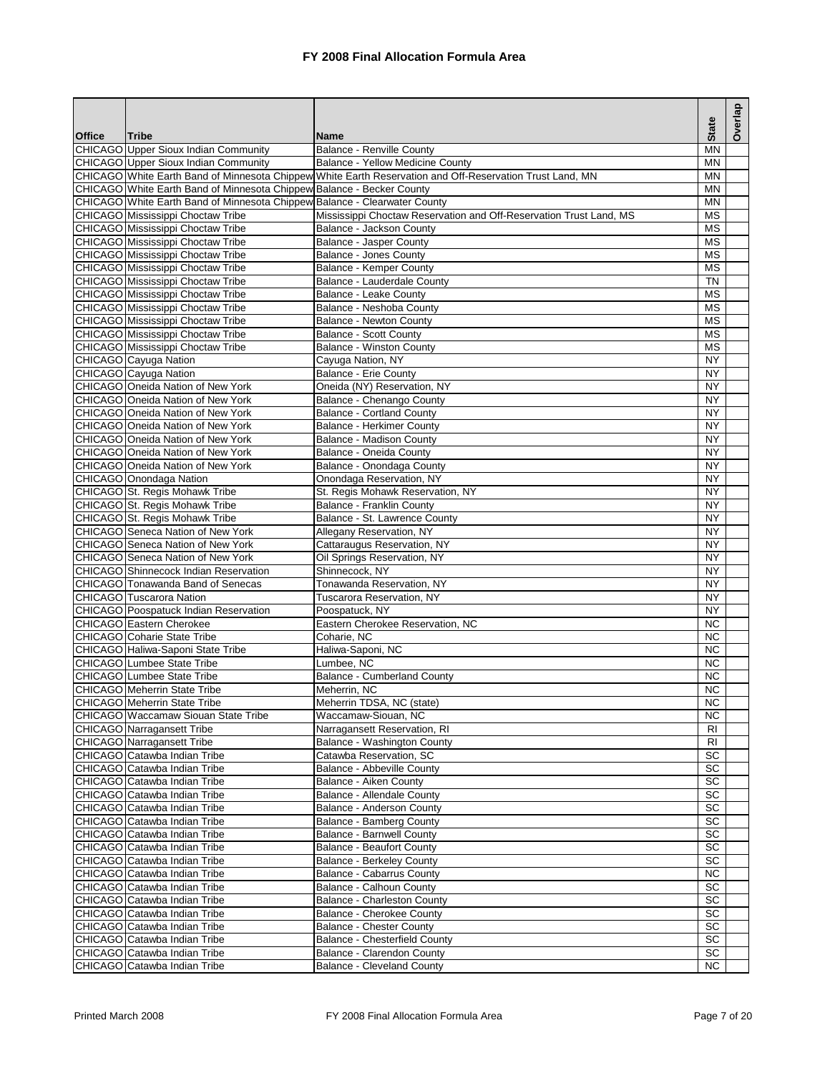|               |                                                                           |                                                                                                          |                        | Overlap |
|---------------|---------------------------------------------------------------------------|----------------------------------------------------------------------------------------------------------|------------------------|---------|
| <b>Office</b> | Tribe                                                                     | <b>Name</b>                                                                                              | <b>State</b>           |         |
|               | CHICAGO Upper Sioux Indian Community                                      | <b>Balance - Renville County</b>                                                                         | MN                     |         |
|               | CHICAGO Upper Sioux Indian Community                                      | <b>Balance - Yellow Medicine County</b>                                                                  | <b>MN</b>              |         |
|               |                                                                           | CHICAGO White Earth Band of Minnesota Chippew White Earth Reservation and Off-Reservation Trust Land, MN | ΜN                     |         |
|               | CHICAGO White Earth Band of Minnesota Chippew Balance - Becker County     |                                                                                                          | <b>MN</b>              |         |
|               | CHICAGO White Earth Band of Minnesota Chippew Balance - Clearwater County |                                                                                                          | <b>MN</b>              |         |
|               | CHICAGO Mississippi Choctaw Tribe                                         | Mississippi Choctaw Reservation and Off-Reservation Trust Land, MS                                       | $\overline{\text{MS}}$ |         |
|               | CHICAGO Mississippi Choctaw Tribe                                         | Balance - Jackson County                                                                                 | MS                     |         |
|               | CHICAGO Mississippi Choctaw Tribe                                         | Balance - Jasper County                                                                                  | <b>MS</b>              |         |
|               | CHICAGO Mississippi Choctaw Tribe                                         | Balance - Jones County                                                                                   | MS                     |         |
|               | CHICAGO Mississippi Choctaw Tribe                                         | <b>Balance - Kemper County</b>                                                                           | <b>MS</b>              |         |
|               | CHICAGO Mississippi Choctaw Tribe                                         | Balance - Lauderdale County                                                                              | <b>TN</b>              |         |
|               | CHICAGO Mississippi Choctaw Tribe                                         | Balance - Leake County                                                                                   | MS<br><b>MS</b>        |         |
|               | CHICAGO Mississippi Choctaw Tribe<br>CHICAGO Mississippi Choctaw Tribe    | Balance - Neshoba County<br><b>Balance - Newton County</b>                                               | <b>MS</b>              |         |
|               | CHICAGO Mississippi Choctaw Tribe                                         | <b>Balance - Scott County</b>                                                                            | MS                     |         |
|               | CHICAGO Mississippi Choctaw Tribe                                         | <b>Balance - Winston County</b>                                                                          | <b>MS</b>              |         |
|               | CHICAGO Cayuga Nation                                                     | Cayuga Nation, NY                                                                                        | <b>NY</b>              |         |
|               | CHICAGO Cayuga Nation                                                     | <b>Balance - Erie County</b>                                                                             | <b>NY</b>              |         |
|               | CHICAGO Oneida Nation of New York                                         | Oneida (NY) Reservation, NY                                                                              | <b>NY</b>              |         |
|               | CHICAGO Oneida Nation of New York                                         | Balance - Chenango County                                                                                | <b>NY</b>              |         |
|               | <b>CHICAGO</b> Oneida Nation of New York                                  | <b>Balance - Cortland County</b>                                                                         | <b>NY</b>              |         |
|               | CHICAGO Oneida Nation of New York                                         | <b>Balance - Herkimer County</b>                                                                         | <b>NY</b>              |         |
|               | CHICAGO Oneida Nation of New York                                         | <b>Balance - Madison County</b>                                                                          | <b>NY</b>              |         |
|               | CHICAGO Oneida Nation of New York                                         | Balance - Oneida County                                                                                  | <b>NY</b>              |         |
|               | CHICAGO Oneida Nation of New York                                         | Balance - Onondaga County                                                                                | <b>NY</b>              |         |
|               | CHICAGO Onondaga Nation                                                   | Onondaga Reservation, NY                                                                                 | NY                     |         |
|               | CHICAGO St. Regis Mohawk Tribe                                            | St. Regis Mohawk Reservation, NY                                                                         | <b>NY</b>              |         |
|               | CHICAGO St. Regis Mohawk Tribe                                            | Balance - Franklin County                                                                                | <b>NY</b>              |         |
|               | CHICAGO St. Regis Mohawk Tribe                                            | Balance - St. Lawrence County                                                                            | <b>NY</b>              |         |
|               | <b>CHICAGO</b> Seneca Nation of New York                                  | Allegany Reservation, NY                                                                                 | <b>NY</b>              |         |
|               | <b>CHICAGO</b> Seneca Nation of New York                                  | Cattaraugus Reservation, NY                                                                              | <b>NY</b>              |         |
|               | <b>CHICAGO</b> Seneca Nation of New York                                  | Oil Springs Reservation, NY                                                                              | <b>NY</b>              |         |
|               | CHICAGO Shinnecock Indian Reservation                                     | Shinnecock, NY                                                                                           | <b>NY</b>              |         |
|               | CHICAGO Tonawanda Band of Senecas                                         | Tonawanda Reservation, NY                                                                                | <b>NY</b>              |         |
|               | CHICAGO Tuscarora Nation                                                  | Tuscarora Reservation, NY                                                                                | <b>NY</b>              |         |
|               | CHICAGO Poospatuck Indian Reservation                                     | Poospatuck, NY                                                                                           | <b>NY</b>              |         |
|               | CHICAGO Eastern Cherokee                                                  | Eastern Cherokee Reservation, NC                                                                         | <b>NC</b>              |         |
|               | CHICAGO Coharie State Tribe                                               | Coharie, NC                                                                                              | <b>NC</b>              |         |
|               | CHICAGO Haliwa-Saponi State Tribe                                         | Haliwa-Saponi, NC                                                                                        | <b>NC</b>              |         |
|               | CHICAGO Lumbee State Tribe                                                | Lumbee, NC                                                                                               | <b>NC</b>              |         |
|               | CHICAGO Lumbee State Tribe                                                | <b>Balance - Cumberland County</b>                                                                       | <b>NC</b>              |         |
|               | CHICAGO Meherrin State Tribe                                              | Meherrin, NC                                                                                             | <b>NC</b>              |         |
|               | <b>CHICAGO</b> Meherrin State Tribe                                       | Meherrin TDSA, NC (state)                                                                                | NC                     |         |
|               | CHICAGO Waccamaw Siouan State Tribe                                       | Waccamaw-Siouan, NC                                                                                      | NC.                    |         |
|               | CHICAGO Narragansett Tribe                                                | Narragansett Reservation, RI                                                                             | RI                     |         |
|               | <b>CHICAGO</b> Narragansett Tribe                                         | Balance - Washington County                                                                              | RI                     |         |
|               | CHICAGO Catawba Indian Tribe                                              | Catawba Reservation, SC                                                                                  | SC                     |         |
|               | CHICAGO Catawba Indian Tribe                                              | Balance - Abbeville County                                                                               | SC                     |         |
|               | CHICAGO Catawba Indian Tribe                                              | Balance - Aiken County                                                                                   | SC                     |         |
|               | CHICAGO Catawba Indian Tribe                                              | Balance - Allendale County                                                                               | <b>SC</b>              |         |
|               | CHICAGO Catawba Indian Tribe                                              | Balance - Anderson County                                                                                | SC                     |         |
|               | CHICAGO Catawba Indian Tribe                                              | Balance - Bamberg County                                                                                 | SC                     |         |
|               | CHICAGO Catawba Indian Tribe                                              | Balance - Barnwell County                                                                                | SC                     |         |
|               | CHICAGO Catawba Indian Tribe                                              | <b>Balance - Beaufort County</b>                                                                         | SC                     |         |
|               | CHICAGO Catawba Indian Tribe                                              | Balance - Berkeley County                                                                                | SC                     |         |
|               | CHICAGO Catawba Indian Tribe                                              | Balance - Cabarrus County                                                                                | $\overline{NC}$        |         |
|               | CHICAGO Catawba Indian Tribe                                              | Balance - Calhoun County                                                                                 | SC                     |         |
|               | CHICAGO Catawba Indian Tribe                                              | Balance - Charleston County                                                                              | SC                     |         |
|               | CHICAGO Catawba Indian Tribe                                              | Balance - Cherokee County                                                                                | SC<br><b>SC</b>        |         |
|               | CHICAGO Catawba Indian Tribe<br>CHICAGO Catawba Indian Tribe              | <b>Balance - Chester County</b><br><b>Balance - Chesterfield County</b>                                  | SC                     |         |
|               | CHICAGO Catawba Indian Tribe                                              | Balance - Clarendon County                                                                               | SC                     |         |
|               | CHICAGO Catawba Indian Tribe                                              | <b>Balance - Cleveland County</b>                                                                        | <b>NC</b>              |         |
|               |                                                                           |                                                                                                          |                        |         |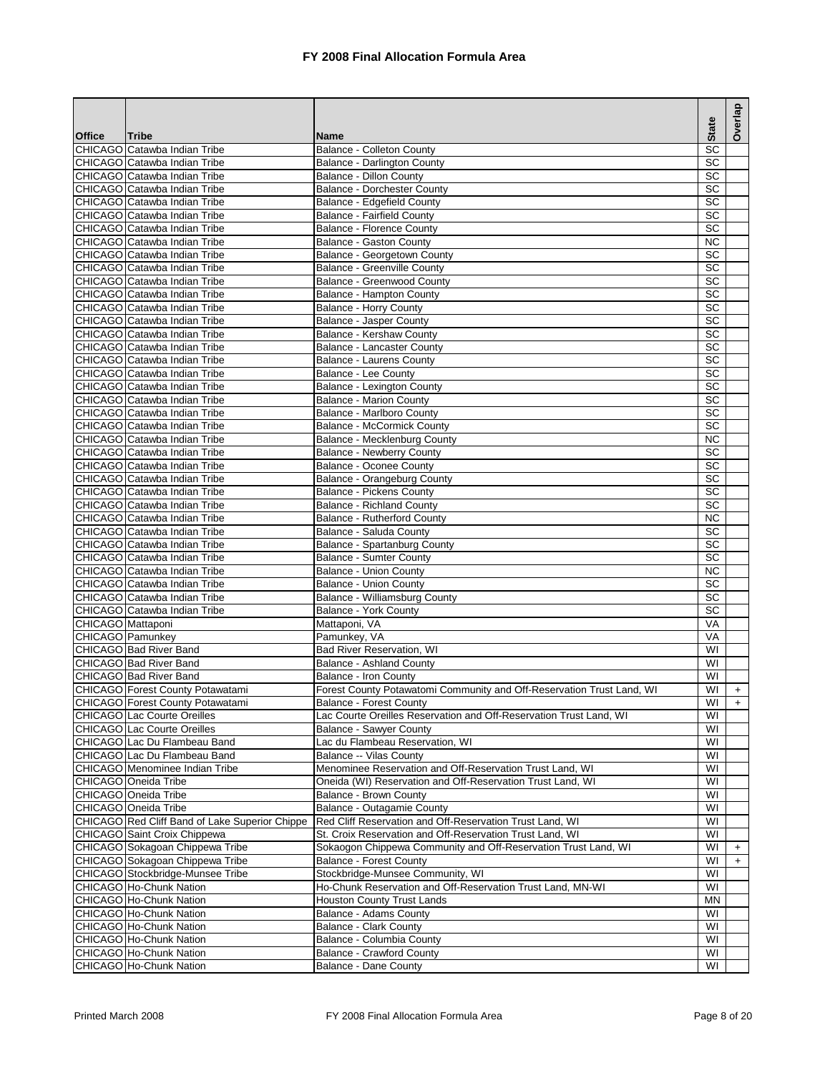|                   |                                                              |                                                                       | <b>State</b>            | Overlap   |
|-------------------|--------------------------------------------------------------|-----------------------------------------------------------------------|-------------------------|-----------|
| <b>Office</b>     | Tribe                                                        | <b>Name</b>                                                           |                         |           |
|                   | CHICAGO Catawba Indian Tribe<br>CHICAGO Catawba Indian Tribe | Balance - Colleton County                                             | SC<br>SC                |           |
|                   | CHICAGO Catawba Indian Tribe                                 | <b>Balance - Darlington County</b><br><b>Balance - Dillon County</b>  | SC                      |           |
|                   | CHICAGO Catawba Indian Tribe                                 | <b>Balance - Dorchester County</b>                                    | SC                      |           |
|                   | CHICAGO Catawba Indian Tribe                                 | Balance - Edgefield County                                            | SC                      |           |
|                   | CHICAGO Catawba Indian Tribe                                 | <b>Balance - Fairfield County</b>                                     | $\overline{SC}$         |           |
|                   | CHICAGO Catawba Indian Tribe                                 | <b>Balance - Florence County</b>                                      | $\overline{SC}$         |           |
|                   | CHICAGO Catawba Indian Tribe                                 | Balance - Gaston County                                               | <b>NC</b>               |           |
|                   | CHICAGO Catawba Indian Tribe                                 | Balance - Georgetown County                                           | SC                      |           |
|                   | CHICAGO Catawba Indian Tribe                                 | Balance - Greenville County                                           | SC                      |           |
|                   | CHICAGO Catawba Indian Tribe                                 | Balance - Greenwood County                                            | SC                      |           |
|                   | CHICAGO Catawba Indian Tribe                                 | Balance - Hampton County                                              | SC                      |           |
|                   | CHICAGO Catawba Indian Tribe                                 | <b>Balance - Horry County</b>                                         | SC                      |           |
|                   | CHICAGO Catawba Indian Tribe                                 | <b>Balance - Jasper County</b>                                        | SC                      |           |
|                   | CHICAGO Catawba Indian Tribe                                 | Balance - Kershaw County                                              | SC                      |           |
|                   | <b>CHICAGO Catawba Indian Tribe</b>                          | Balance - Lancaster County                                            | SC                      |           |
|                   | CHICAGO Catawba Indian Tribe                                 | Balance - Laurens County                                              | $\overline{SC}$         |           |
|                   | CHICAGO Catawba Indian Tribe                                 | Balance - Lee County                                                  | $\overline{SC}$         |           |
|                   | CHICAGO Catawba Indian Tribe                                 | Balance - Lexington County                                            | SC                      |           |
|                   | CHICAGO Catawba Indian Tribe                                 | <b>Balance - Marion County</b>                                        | SC                      |           |
|                   | CHICAGO Catawba Indian Tribe                                 | Balance - Marlboro County                                             | SC                      |           |
|                   | CHICAGO Catawba Indian Tribe                                 | <b>Balance - McCormick County</b>                                     | SC                      |           |
|                   | CHICAGO Catawba Indian Tribe                                 | Balance - Mecklenburg County                                          | <b>NC</b>               |           |
|                   | CHICAGO Catawba Indian Tribe                                 | <b>Balance - Newberry County</b>                                      | <b>SC</b>               |           |
|                   | CHICAGO Catawba Indian Tribe                                 | Balance - Oconee County                                               | SC                      |           |
|                   | CHICAGO Catawba Indian Tribe                                 | Balance - Orangeburg County                                           | SC                      |           |
|                   | CHICAGO Catawba Indian Tribe                                 | <b>Balance - Pickens County</b>                                       | SC                      |           |
|                   | CHICAGO Catawba Indian Tribe                                 | <b>Balance - Richland County</b>                                      | SC                      |           |
|                   | CHICAGO Catawba Indian Tribe                                 | Balance - Rutherford County                                           | <b>NC</b>               |           |
|                   | CHICAGO Catawba Indian Tribe                                 | Balance - Saluda County                                               | SC                      |           |
|                   | CHICAGO Catawba Indian Tribe                                 | Balance - Spartanburg County                                          | $\overline{SC}$         |           |
|                   | CHICAGO Catawba Indian Tribe                                 | Balance - Sumter County                                               | SC                      |           |
|                   | CHICAGO Catawba Indian Tribe                                 | <b>Balance - Union County</b>                                         | <b>NC</b>               |           |
|                   | CHICAGO Catawba Indian Tribe                                 | <b>Balance - Union County</b>                                         | SC                      |           |
|                   | CHICAGO Catawba Indian Tribe<br>CHICAGO Catawba Indian Tribe | Balance - Williamsburg County<br><b>Balance - York County</b>         | SC<br>SC                |           |
| CHICAGO Mattaponi |                                                              | Mattaponi, VA                                                         | VA                      |           |
| CHICAGO Pamunkey  |                                                              | Pamunkey, VA                                                          | VA                      |           |
|                   | CHICAGO Bad River Band                                       | Bad River Reservation, WI                                             | WI                      |           |
|                   | CHICAGO Bad River Band                                       | Balance - Ashland County                                              | WI                      |           |
|                   | <b>CHICAGO Bad River Band</b>                                | Balance - Iron County                                                 | WI                      |           |
|                   | <b>CHICAGO</b> Forest County Potawatami                      | Forest County Potawatomi Community and Off-Reservation Trust Land, WI | WI                      | $\ddot{}$ |
|                   | <b>CHICAGO</b> Forest County Potawatami                      | <b>Balance - Forest County</b>                                        | WI                      | $+$       |
|                   | <b>CHICAGO</b> Lac Courte Oreilles                           | Lac Courte Oreilles Reservation and Off-Reservation Trust Land, WI    | WI                      |           |
|                   | CHICAGO Lac Courte Oreilles                                  | Balance - Sawyer County                                               | WI                      |           |
|                   | CHICAGO Lac Du Flambeau Band                                 | Lac du Flambeau Reservation, WI                                       | WI                      |           |
|                   | CHICAGO Lac Du Flambeau Band                                 | Balance -- Vilas County                                               | WI                      |           |
|                   | CHICAGO Menominee Indian Tribe                               | Menominee Reservation and Off-Reservation Trust Land, WI              | WI                      |           |
|                   | CHICAGO Oneida Tribe                                         | Oneida (WI) Reservation and Off-Reservation Trust Land, WI            | WI                      |           |
|                   | CHICAGO Oneida Tribe                                         | Balance - Brown County                                                | WI                      |           |
|                   | CHICAGO Oneida Tribe                                         | Balance - Outagamie County                                            | WI                      |           |
|                   | CHICAGO Red Cliff Band of Lake Superior Chippe               | Red Cliff Reservation and Off-Reservation Trust Land, WI              | WI                      |           |
|                   | CHICAGO Saint Croix Chippewa                                 | St. Croix Reservation and Off-Reservation Trust Land, WI              | WI                      |           |
|                   | CHICAGO Sokagoan Chippewa Tribe                              | Sokaogon Chippewa Community and Off-Reservation Trust Land, WI        | WI                      | $\ddot{}$ |
|                   | CHICAGO Sokagoan Chippewa Tribe                              | Balance - Forest County                                               | WI                      | $+$       |
|                   | CHICAGO Stockbridge-Munsee Tribe                             | Stockbridge-Munsee Community, WI                                      | $\overline{\mathsf{W}}$ |           |
|                   | CHICAGO Ho-Chunk Nation                                      | Ho-Chunk Reservation and Off-Reservation Trust Land, MN-WI            | WI                      |           |
|                   | CHICAGO Ho-Chunk Nation                                      | Houston County Trust Lands                                            | ΜN                      |           |
|                   | CHICAGO Ho-Chunk Nation                                      | Balance - Adams County                                                | WI                      |           |
|                   | CHICAGO Ho-Chunk Nation                                      | Balance - Clark County                                                | WI                      |           |
|                   | CHICAGO Ho-Chunk Nation                                      | Balance - Columbia County                                             | WI                      |           |
|                   | CHICAGO Ho-Chunk Nation<br>CHICAGO Ho-Chunk Nation           | <b>Balance - Crawford County</b><br><b>Balance - Dane County</b>      | WI<br>WI                |           |
|                   |                                                              |                                                                       |                         |           |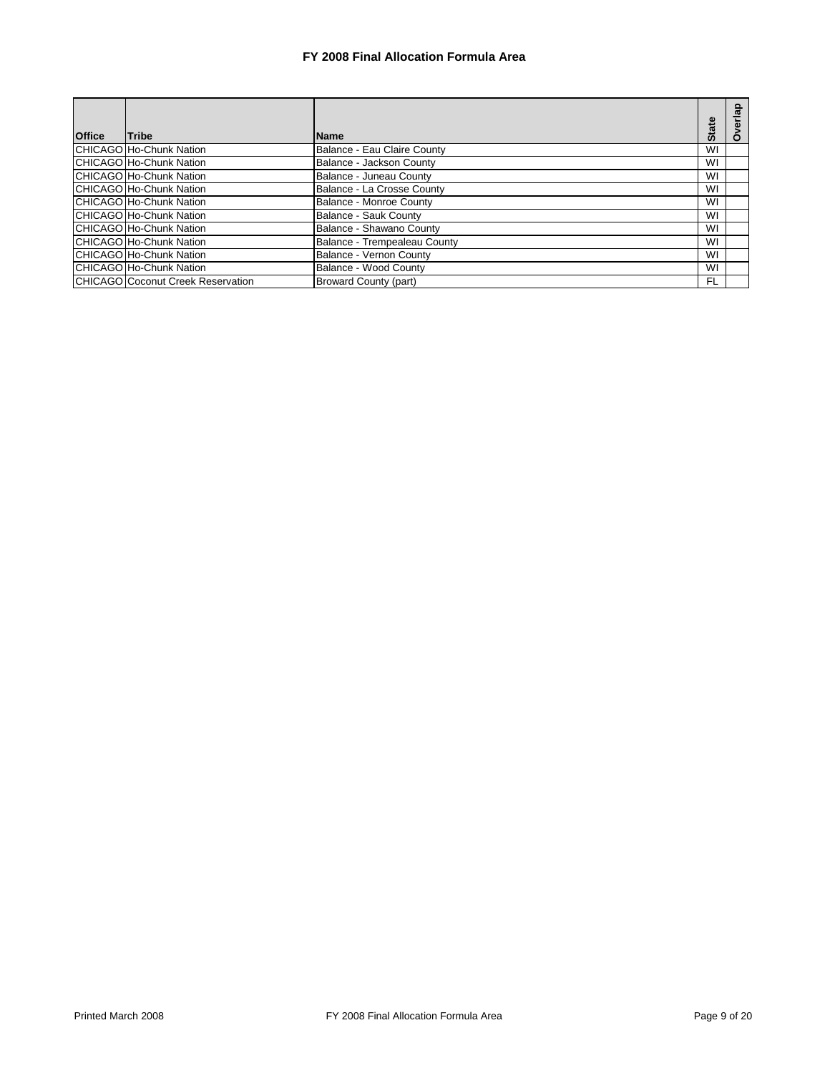|               |                                   |                              | <b>State</b> |   |
|---------------|-----------------------------------|------------------------------|--------------|---|
| <b>Office</b> | Tribe                             | <b>Name</b>                  |              | O |
|               | <b>CHICAGO Ho-Chunk Nation</b>    | Balance - Eau Claire County  | WI           |   |
|               | CHICAGO Ho-Chunk Nation           | Balance - Jackson County     | WI           |   |
|               | CHICAGO Ho-Chunk Nation           | Balance - Juneau County      | WI           |   |
|               | CHICAGO Ho-Chunk Nation           | Balance - La Crosse County   | WI           |   |
|               | CHICAGO Ho-Chunk Nation           | Balance - Monroe County      | WI           |   |
|               | CHICAGO Ho-Chunk Nation           | Balance - Sauk County        | WI           |   |
|               | CHICAGO Ho-Chunk Nation           | Balance - Shawano County     | WI           |   |
|               | CHICAGO Ho-Chunk Nation           | Balance - Trempealeau County | WI           |   |
|               | <b>CHICAGO Ho-Chunk Nation</b>    | Balance - Vernon County      | WI           |   |
|               | CHICAGO Ho-Chunk Nation           | Balance - Wood County        | WI           |   |
|               | CHICAGO Coconut Creek Reservation | <b>Broward County (part)</b> | FL           |   |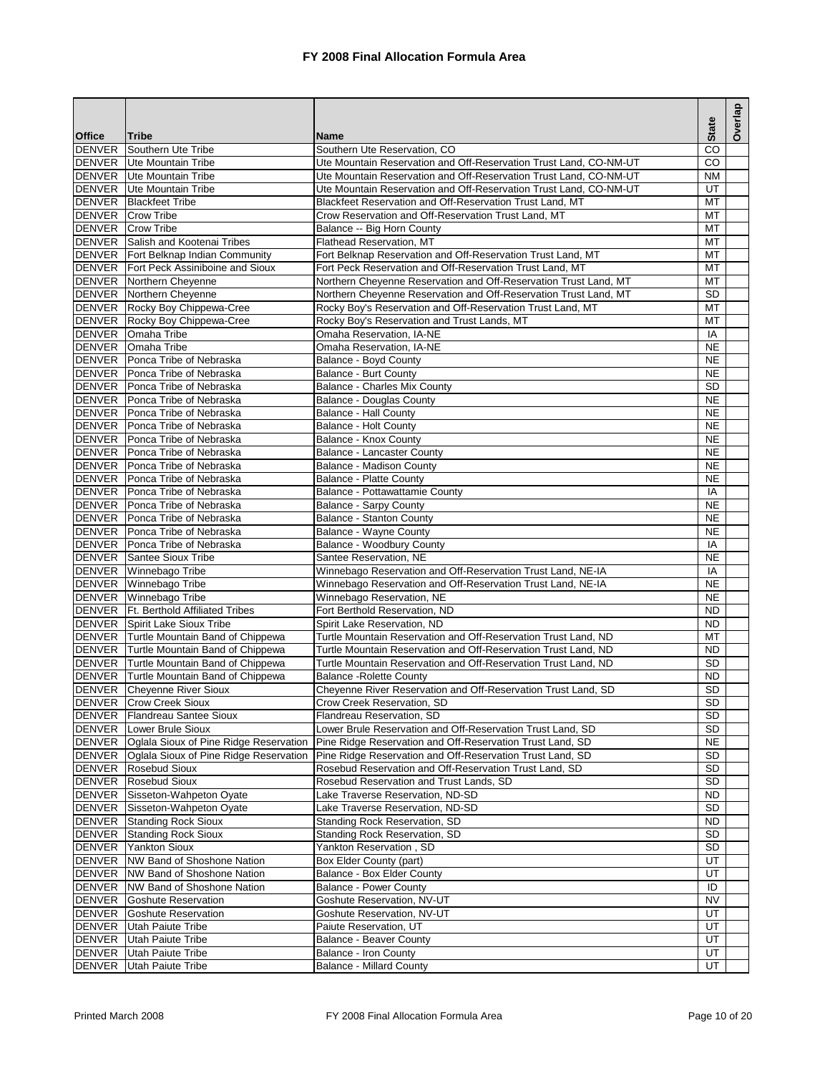|               |                                                                  |                                                                                                   | <b>State</b>           | Overlap |
|---------------|------------------------------------------------------------------|---------------------------------------------------------------------------------------------------|------------------------|---------|
| <b>Office</b> | <b>Tribe</b>                                                     | <b>Name</b>                                                                                       |                        |         |
| <b>DENVER</b> | Southern Ute Tribe<br><b>DENVER</b> Ute Mountain Tribe           | Southern Ute Reservation, CO<br>Ute Mountain Reservation and Off-Reservation Trust Land, CO-NM-UT | CO<br>CO.              |         |
|               | <b>DENVER</b> Ute Mountain Tribe                                 | Ute Mountain Reservation and Off-Reservation Trust Land, CO-NM-UT                                 | <b>NM</b>              |         |
| <b>DENVER</b> | Ute Mountain Tribe                                               | Ute Mountain Reservation and Off-Reservation Trust Land, CO-NM-UT                                 | UT                     |         |
| <b>DENVER</b> | <b>Blackfeet Tribe</b>                                           | Blackfeet Reservation and Off-Reservation Trust Land, MT                                          | MT                     |         |
|               | <b>DENVER</b> Crow Tribe                                         | Crow Reservation and Off-Reservation Trust Land, MT                                               | MT                     |         |
|               | DENVER Crow Tribe                                                | Balance -- Big Horn County                                                                        | MT                     |         |
|               | DENVER Salish and Kootenai Tribes                                | Flathead Reservation, MT                                                                          | MT                     |         |
|               | <b>DENVER</b> Fort Belknap Indian Community                      | Fort Belknap Reservation and Off-Reservation Trust Land, MT                                       | MT                     |         |
|               | <b>DENVER</b> Fort Peck Assiniboine and Sioux                    | Fort Peck Reservation and Off-Reservation Trust Land, MT                                          | МT                     |         |
|               | <b>DENVER</b> Northern Cheyenne                                  | Northern Cheyenne Reservation and Off-Reservation Trust Land, MT                                  | MT                     |         |
|               | <b>DENVER</b> Northern Cheyenne                                  | Northern Cheyenne Reservation and Off-Reservation Trust Land, MT                                  | <b>SD</b>              |         |
|               | DENVER Rocky Boy Chippewa-Cree                                   | Rocky Boy's Reservation and Off-Reservation Trust Land, MT                                        | MT                     |         |
|               | DENVER Rocky Boy Chippewa-Cree                                   | Rocky Boy's Reservation and Trust Lands, MT                                                       | MT                     |         |
|               | DENVER Omaha Tribe                                               | Omaha Reservation, IA-NE                                                                          | IA                     |         |
| <b>DENVER</b> | <b>Omaha Tribe</b>                                               | Omaha Reservation, IA-NE                                                                          | <b>NE</b>              |         |
|               | DENVER Ponca Tribe of Nebraska                                   | Balance - Boyd County                                                                             | <b>NE</b>              |         |
|               | DENVER Ponca Tribe of Nebraska                                   | <b>Balance - Burt County</b>                                                                      | <b>NE</b>              |         |
|               | DENVER Ponca Tribe of Nebraska                                   | <b>Balance - Charles Mix County</b>                                                               | <b>SD</b>              |         |
|               | DENVER Ponca Tribe of Nebraska<br>DENVER Ponca Tribe of Nebraska | <b>Balance - Douglas County</b><br>Balance - Hall County                                          | <b>NE</b><br><b>NE</b> |         |
|               | DENVER Ponca Tribe of Nebraska                                   | <b>Balance - Holt County</b>                                                                      | <b>NE</b>              |         |
|               | DENVER Ponca Tribe of Nebraska                                   | Balance - Knox County                                                                             | <b>NE</b>              |         |
|               | DENVER Ponca Tribe of Nebraska                                   | Balance - Lancaster County                                                                        | <b>NE</b>              |         |
|               | DENVER Ponca Tribe of Nebraska                                   | Balance - Madison County                                                                          | <b>NE</b>              |         |
|               | DENVER Ponca Tribe of Nebraska                                   | <b>Balance - Platte County</b>                                                                    | <b>NE</b>              |         |
|               | DENVER Ponca Tribe of Nebraska                                   | Balance - Pottawattamie County                                                                    | IA                     |         |
|               | DENVER Ponca Tribe of Nebraska                                   | <b>Balance - Sarpy County</b>                                                                     | <b>NE</b>              |         |
|               | DENVER Ponca Tribe of Nebraska                                   | <b>Balance - Stanton County</b>                                                                   | <b>NE</b>              |         |
|               | DENVER Ponca Tribe of Nebraska                                   | Balance - Wayne County                                                                            | <b>NE</b>              |         |
|               | DENVER Ponca Tribe of Nebraska                                   | Balance - Woodbury County                                                                         | IA                     |         |
|               | <b>DENVER</b> Santee Sioux Tribe                                 | Santee Reservation, NE                                                                            | <b>NE</b>              |         |
|               | DENVER Winnebago Tribe                                           | Winnebago Reservation and Off-Reservation Trust Land, NE-IA                                       | IA                     |         |
|               | DENVER Winnebago Tribe                                           | Winnebago Reservation and Off-Reservation Trust Land, NE-IA                                       | <b>NE</b>              |         |
|               | DENVER Winnebago Tribe                                           | Winnebago Reservation, NE                                                                         | <b>NE</b>              |         |
|               | DENVER Ft. Berthold Affiliated Tribes                            | Fort Berthold Reservation, ND                                                                     | <b>ND</b>              |         |
|               | <b>DENVER</b> Spirit Lake Sioux Tribe                            | Spirit Lake Reservation, ND                                                                       | <b>ND</b>              |         |
|               | DENVER Turtle Mountain Band of Chippewa                          | Turtle Mountain Reservation and Off-Reservation Trust Land, ND                                    | MT                     |         |
|               | DENVER Turtle Mountain Band of Chippewa                          | Turtle Mountain Reservation and Off-Reservation Trust Land. ND                                    | <b>ND</b>              |         |
|               | DENVER Turtle Mountain Band of Chippewa                          | Turtle Mountain Reservation and Off-Reservation Trust Land, ND                                    | <b>SD</b>              |         |
|               | DENVER Turtle Mountain Band of Chippewa                          | <b>Balance - Rolette County</b><br>Cheyenne River Reservation and Off-Reservation Trust Land, SD  | <b>ND</b><br><b>SD</b> |         |
|               | DENVER Cheyenne River Sioux<br><b>DENVER</b> Crow Creek Sioux    | Crow Creek Reservation, SD                                                                        | <b>SD</b>              |         |
| <b>DENVER</b> | Flandreau Santee Sioux                                           | Flandreau Reservation, SD                                                                         | SD                     |         |
| <b>DENVER</b> | Lower Brule Sioux                                                | Lower Brule Reservation and Off-Reservation Trust Land, SD                                        | SD                     |         |
| <b>DENVER</b> | Oglala Sioux of Pine Ridge Reservation                           | Pine Ridge Reservation and Off-Reservation Trust Land, SD                                         | NE                     |         |
| <b>DENVER</b> | Oglala Sioux of Pine Ridge Reservation                           | Pine Ridge Reservation and Off-Reservation Trust Land, SD                                         | SD                     |         |
| <b>DENVER</b> | Rosebud Sioux                                                    | Rosebud Reservation and Off-Reservation Trust Land, SD                                            | <b>SD</b>              |         |
| <b>DENVER</b> | <b>Rosebud Sioux</b>                                             | Rosebud Reservation and Trust Lands, SD                                                           | SD                     |         |
| <b>DENVER</b> | Sisseton-Wahpeton Oyate                                          | Lake Traverse Reservation, ND-SD                                                                  | ND.                    |         |
| <b>DENVER</b> | Sisseton-Wahpeton Oyate                                          | Lake Traverse Reservation, ND-SD                                                                  | <b>SD</b>              |         |
| <b>DENVER</b> | <b>Standing Rock Sioux</b>                                       | Standing Rock Reservation, SD                                                                     | ND.                    |         |
|               | <b>DENVER</b> Standing Rock Sioux                                | Standing Rock Reservation, SD                                                                     | SD                     |         |
| <b>DENVER</b> | <b>Yankton Sioux</b>                                             | Yankton Reservation . SD                                                                          | SD                     |         |
| <b>DENVER</b> | NW Band of Shoshone Nation                                       | Box Elder County (part)                                                                           | UT                     |         |
|               | DENVER NW Band of Shoshone Nation                                | Balance - Box Elder County                                                                        | UT                     |         |
|               | DENVER NW Band of Shoshone Nation                                | <b>Balance - Power County</b>                                                                     | ID                     |         |
| DENVER        | Goshute Reservation                                              | Goshute Reservation, NV-UT                                                                        | <b>NV</b>              |         |
| <b>DENVER</b> | <b>Goshute Reservation</b>                                       | Goshute Reservation, NV-UT                                                                        | UT                     |         |
| <b>DENVER</b> | Utah Paiute Tribe                                                | Paiute Reservation, UT                                                                            | UT                     |         |
| <b>DENVER</b> | Utah Paiute Tribe                                                | <b>Balance - Beaver County</b>                                                                    | UT                     |         |
| <b>DENVER</b> | Utah Paiute Tribe                                                | Balance - Iron County                                                                             | UT                     |         |
| <b>DENVER</b> | Utah Paiute Tribe                                                | Balance - Millard County                                                                          | UT                     |         |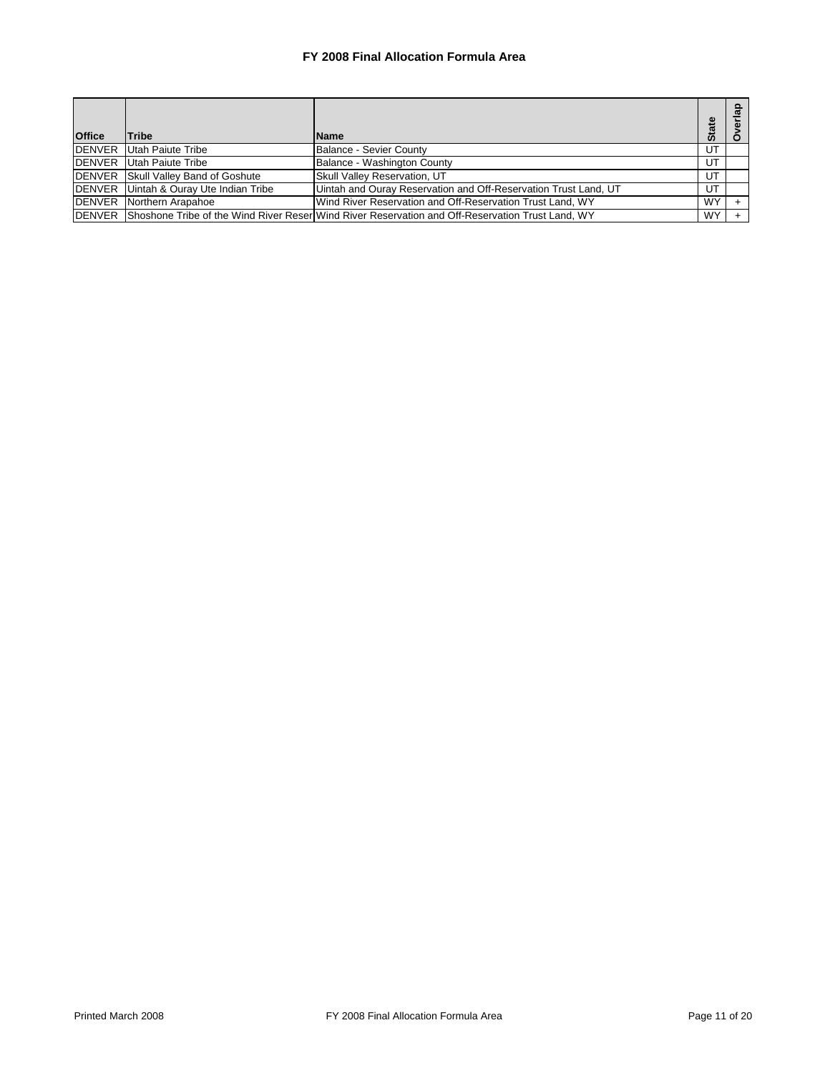| <b>Office</b> | <b>Tribe</b>                               | <b>Name</b>                                                                                             | <b>State</b> |  |
|---------------|--------------------------------------------|---------------------------------------------------------------------------------------------------------|--------------|--|
| <b>DENVER</b> | Utah Paiute Tribe                          | Balance - Sevier County                                                                                 | UT           |  |
| <b>DENVER</b> | Utah Paiute Tribe                          | Balance - Washington County                                                                             | UT           |  |
|               | <b>DENVER</b> Skull Valley Band of Goshute | <b>Skull Valley Reservation, UT</b>                                                                     | UT           |  |
|               | DENVER Uintah & Ouray Ute Indian Tribe     | Uintah and Ouray Reservation and Off-Reservation Trust Land, UT                                         | UT           |  |
|               | <b>DENVER</b> Northern Arapahoe            | Wind River Reservation and Off-Reservation Trust Land, WY                                               | <b>WY</b>    |  |
|               |                                            | DENVER Shoshone Tribe of the Wind River Reser Wind River Reservation and Off-Reservation Trust Land, WY | WY           |  |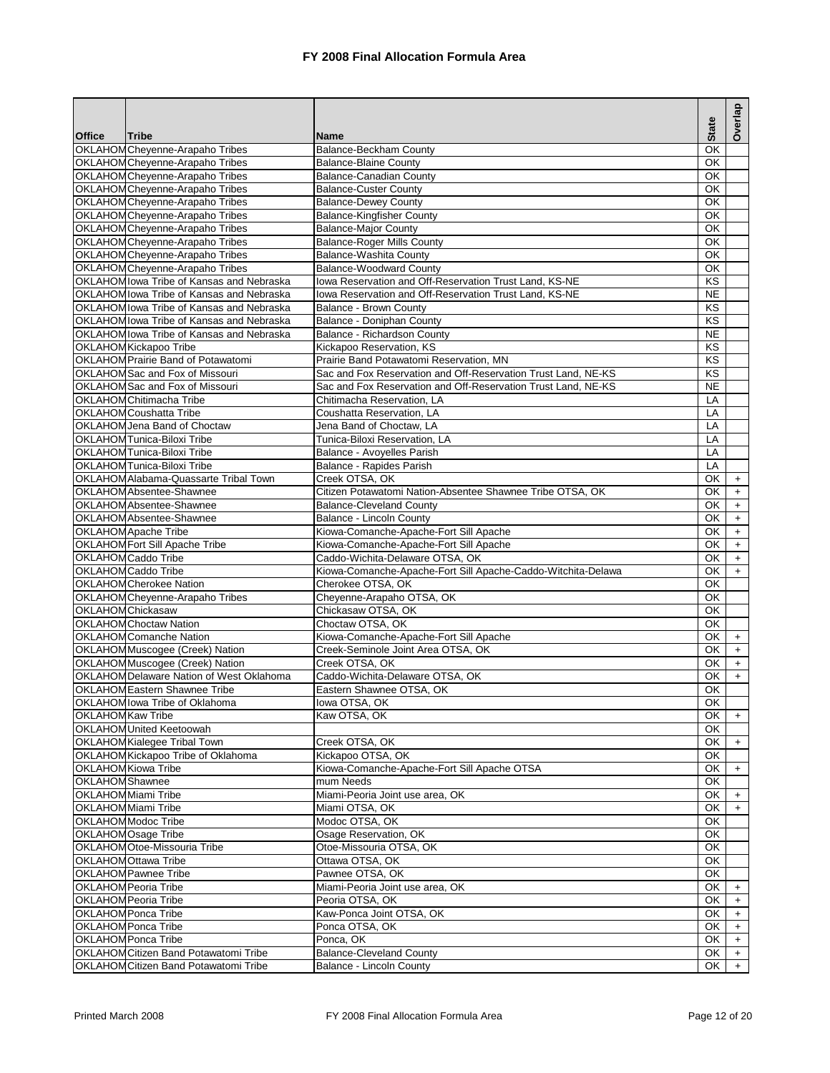| OKLAHOM Cheyenne-Arapaho Tribes<br>ОΚ<br>Balance-Beckham County<br>OKLAHOM Cheyenne-Arapaho Tribes<br><b>Balance-Blaine County</b><br><b>OK</b><br>OKLAHOM Cheyenne-Arapaho Tribes<br>Balance-Canadian County<br>OK<br>OKLAHOM Cheyenne-Arapaho Tribes<br><b>Balance-Custer County</b><br>OK<br>OKLAHOM Cheyenne-Arapaho Tribes<br>OK<br><b>Balance-Dewey County</b><br>OKLAHOM Cheyenne-Arapaho Tribes<br><b>Balance-Kingfisher County</b><br>OK<br>OKLAHOM Cheyenne-Arapaho Tribes<br><b>Balance-Major County</b><br>OK<br>OKLAHOM Cheyenne-Arapaho Tribes<br><b>Balance-Roger Mills County</b><br>OK<br>OKLAHOM Cheyenne-Arapaho Tribes<br>Balance-Washita County<br>OK<br>OKLAHOM Cheyenne-Arapaho Tribes<br><b>Balance-Woodward County</b><br>OK<br>OKLAHOM lowa Tribe of Kansas and Nebraska<br>Iowa Reservation and Off-Reservation Trust Land, KS-NE<br>KS<br>OKLAHOM lowa Tribe of Kansas and Nebraska<br>Iowa Reservation and Off-Reservation Trust Land, KS-NE<br><b>NE</b><br>OKLAHOM lowa Tribe of Kansas and Nebraska<br>Balance - Brown County<br>KS<br>OKLAHOM lowa Tribe of Kansas and Nebraska<br>KS<br>Balance - Doniphan County<br>OKLAHOM lowa Tribe of Kansas and Nebraska<br>Balance - Richardson County<br><b>NE</b><br>OKLAHOM Kickapoo Tribe<br>KS<br>Kickapoo Reservation, KS<br>OKLAHOM Prairie Band of Potawatomi<br>Prairie Band Potawatomi Reservation, MN<br>KS<br>KS<br>OKLAHOM Sac and Fox of Missouri<br>Sac and Fox Reservation and Off-Reservation Trust Land, NE-KS<br>OKLAHOM Sac and Fox of Missouri<br>Sac and Fox Reservation and Off-Reservation Trust Land, NE-KS<br><b>NE</b><br>OKLAHOM Chitimacha Tribe<br>Chitimacha Reservation, LA<br>LA<br>OKLAHOM Coushatta Tribe<br>Coushatta Reservation, LA<br>LA<br>OKLAHOM Jena Band of Choctaw<br>Jena Band of Choctaw, LA<br>LA<br>OKLAHOMTunica-Biloxi Tribe<br>Tunica-Biloxi Reservation, LA<br>LA<br>OKLAHOM Tunica-Biloxi Tribe<br>Balance - Avoyelles Parish<br>LA<br>OKLAHOM Tunica-Biloxi Tribe<br>Balance - Rapides Parish<br>LA<br>OKLAHOM Alabama-Quassarte Tribal Town<br>Creek OTSA, OK<br>OK<br>$\ddot{}$<br>Citizen Potawatomi Nation-Absentee Shawnee Tribe OTSA, OK<br>OKLAHOM Absentee-Shawnee<br>OK<br>$\ddot{}$<br>OKLAHOM Absentee-Shawnee<br><b>Balance-Cleveland County</b><br>OK<br>$\ddot{}$<br>OKLAHOM Absentee-Shawnee<br>Balance - Lincoln County<br>OK<br>$\ddot{}$<br>Kiowa-Comanche-Apache-Fort Sill Apache<br><b>OKLAHOM Apache Tribe</b><br>OK<br>$\ddot{}$<br>OKLAHOM Fort Sill Apache Tribe<br>Kiowa-Comanche-Apache-Fort Sill Apache<br>OK<br>$\begin{array}{c} + \end{array}$<br>Caddo-Wichita-Delaware OTSA, OK<br>OKLAHOM Caddo Tribe<br>OK<br>$\begin{array}{c} + \end{array}$<br>OKLAHOM Caddo Tribe<br>Kiowa-Comanche-Apache-Fort Sill Apache-Caddo-Witchita-Delawa<br>OK<br>$\ddot{}$<br>OKLAHOM Cherokee Nation<br>Cherokee OTSA, OK<br>OK<br>OKLAHOM Cheyenne-Arapaho Tribes<br>Cheyenne-Arapaho OTSA, OK<br>OK<br><b>OKLAHOM Chickasaw</b><br>Chickasaw OTSA, OK<br>OK<br><b>OKLAHOM Choctaw Nation</b><br>Choctaw OTSA, OK<br>OK<br>Kiowa-Comanche-Apache-Fort Sill Apache<br><b>OKLAHOM Comanche Nation</b><br>OK<br>$\ddot{}$<br>OKLAHOMMuscogee (Creek) Nation<br>Creek-Seminole Joint Area OTSA, OK<br>OK<br>$\ddot{}$<br>OKLAHOM Muscogee (Creek) Nation<br>Creek OTSA, OK<br>OK<br>$\begin{array}{c} + \end{array}$<br>OKLAHOM Delaware Nation of West Oklahoma<br>Caddo-Wichita-Delaware OTSA, OK<br>OK<br>$\ddot{}$<br>OKLAHOM Eastern Shawnee Tribe<br>Eastern Shawnee OTSA, OK<br>OK<br>OKLAHOM lowa Tribe of Oklahoma<br>$\overline{OK}$<br>lowa OTSA, OK<br><b>OKLAHOMKaw Tribe</b><br>Kaw OTSA, OK<br>OK<br>$\ddot{}$<br>OKLAHOM United Keetoowah<br>OK<br>OKLAHOM Kialegee Tribal Town<br>Creek OTSA, OK<br>OK<br>$+$<br>OKLAHOMKickapoo Tribe of Oklahoma<br>Kickapoo OTSA, OK<br>OK<br>OKLAHOM Kiowa Tribe<br>Kiowa-Comanche-Apache-Fort Sill Apache OTSA<br>OK<br>$\ddot{}$<br>mum Needs<br>OKLAHOM Shawnee<br>OK<br><b>OKLAHOM Miami Tribe</b><br>Miami-Peoria Joint use area, OK<br>OK<br>$\ddot{}$<br><b>OKLAHOM Miami Tribe</b><br>Miami OTSA, OK<br>OK<br>$\ddot{}$<br>OKLAHOM Modoc Tribe<br>Modoc OTSA, OK<br>OK<br>OKLAHOMOsage Tribe<br>OK<br>Osage Reservation, OK<br>OKLAHOM Otoe-Missouria Tribe<br>Otoe-Missouria OTSA, OK<br>OK<br>OKLAHOM Ottawa Tribe<br>Ottawa OTSA, OK<br>OK<br><b>OKLAHOM Pawnee Tribe</b><br>Pawnee OTSA, OK<br>OK<br><b>OKLAHOM Peoria Tribe</b><br>Miami-Peoria Joint use area, OK<br>OK<br>$\ddot{}$<br>OKLAHOM Peoria Tribe<br>Peoria OTSA, OK<br>OK<br>$\begin{array}{c} + \end{array}$<br><b>OKLAHOM Ponca Tribe</b><br>Kaw-Ponca Joint OTSA, OK<br>OK<br>$\ddot{}$<br>OKLAHOM Ponca Tribe<br>Ponca OTSA, OK<br>OK<br>$\ddot{}$<br><b>OKLAHOM Ponca Tribe</b><br>Ponca, OK<br>OK<br>$+$<br>OKLAHOM Citizen Band Potawatomi Tribe<br><b>Balance-Cleveland County</b><br>OK<br>$\ddot{}$<br>OKLAHOM Citizen Band Potawatomi Tribe<br>OK<br>Balance - Lincoln County<br>$\ddot{}$ |               |       |             | <b>State</b> | Overlap |
|------------------------------------------------------------------------------------------------------------------------------------------------------------------------------------------------------------------------------------------------------------------------------------------------------------------------------------------------------------------------------------------------------------------------------------------------------------------------------------------------------------------------------------------------------------------------------------------------------------------------------------------------------------------------------------------------------------------------------------------------------------------------------------------------------------------------------------------------------------------------------------------------------------------------------------------------------------------------------------------------------------------------------------------------------------------------------------------------------------------------------------------------------------------------------------------------------------------------------------------------------------------------------------------------------------------------------------------------------------------------------------------------------------------------------------------------------------------------------------------------------------------------------------------------------------------------------------------------------------------------------------------------------------------------------------------------------------------------------------------------------------------------------------------------------------------------------------------------------------------------------------------------------------------------------------------------------------------------------------------------------------------------------------------------------------------------------------------------------------------------------------------------------------------------------------------------------------------------------------------------------------------------------------------------------------------------------------------------------------------------------------------------------------------------------------------------------------------------------------------------------------------------------------------------------------------------------------------------------------------------------------------------------------------------------------------------------------------------------------------------------------------------------------------------------------------------------------------------------------------------------------------------------------------------------------------------------------------------------------------------------------------------------------------------------------------------------------------------------------------------------------------------------------------------------------------------------------------------------------------------------------------------------------------------------------------------------------------------------------------------------------------------------------------------------------------------------------------------------------------------------------------------------------------------------------------------------------------------------------------------------------------------------------------------------------------------------------------------------------------------------------------------------------------------------------------------------------------------------------------------------------------------------------------------------------------------------------------------------------------------------------------------------------------------------------------------------------------------------------------------------------------------------------------------------------------------------------------------------------------------------------------------------------------------------------------------------------------------------------------------------------------------------------------------------------------------------------------------------------------------------------------------------------------------------------------------------------------------------------------------------------------------------------------------------------------------------------------------------------------------------------------------------------------------------------------------------------------------------------------------------------------------------------------------------------------------------------------------------------|---------------|-------|-------------|--------------|---------|
|                                                                                                                                                                                                                                                                                                                                                                                                                                                                                                                                                                                                                                                                                                                                                                                                                                                                                                                                                                                                                                                                                                                                                                                                                                                                                                                                                                                                                                                                                                                                                                                                                                                                                                                                                                                                                                                                                                                                                                                                                                                                                                                                                                                                                                                                                                                                                                                                                                                                                                                                                                                                                                                                                                                                                                                                                                                                                                                                                                                                                                                                                                                                                                                                                                                                                                                                                                                                                                                                                                                                                                                                                                                                                                                                                                                                                                                                                                                                                                                                                                                                                                                                                                                                                                                                                                                                                                                                                                                                                                                                                                                                                                                                                                                                                                                                                                                                                                                                                                                    | <b>Office</b> | Tribe | <b>Name</b> |              |         |
|                                                                                                                                                                                                                                                                                                                                                                                                                                                                                                                                                                                                                                                                                                                                                                                                                                                                                                                                                                                                                                                                                                                                                                                                                                                                                                                                                                                                                                                                                                                                                                                                                                                                                                                                                                                                                                                                                                                                                                                                                                                                                                                                                                                                                                                                                                                                                                                                                                                                                                                                                                                                                                                                                                                                                                                                                                                                                                                                                                                                                                                                                                                                                                                                                                                                                                                                                                                                                                                                                                                                                                                                                                                                                                                                                                                                                                                                                                                                                                                                                                                                                                                                                                                                                                                                                                                                                                                                                                                                                                                                                                                                                                                                                                                                                                                                                                                                                                                                                                                    |               |       |             |              |         |
|                                                                                                                                                                                                                                                                                                                                                                                                                                                                                                                                                                                                                                                                                                                                                                                                                                                                                                                                                                                                                                                                                                                                                                                                                                                                                                                                                                                                                                                                                                                                                                                                                                                                                                                                                                                                                                                                                                                                                                                                                                                                                                                                                                                                                                                                                                                                                                                                                                                                                                                                                                                                                                                                                                                                                                                                                                                                                                                                                                                                                                                                                                                                                                                                                                                                                                                                                                                                                                                                                                                                                                                                                                                                                                                                                                                                                                                                                                                                                                                                                                                                                                                                                                                                                                                                                                                                                                                                                                                                                                                                                                                                                                                                                                                                                                                                                                                                                                                                                                                    |               |       |             |              |         |
|                                                                                                                                                                                                                                                                                                                                                                                                                                                                                                                                                                                                                                                                                                                                                                                                                                                                                                                                                                                                                                                                                                                                                                                                                                                                                                                                                                                                                                                                                                                                                                                                                                                                                                                                                                                                                                                                                                                                                                                                                                                                                                                                                                                                                                                                                                                                                                                                                                                                                                                                                                                                                                                                                                                                                                                                                                                                                                                                                                                                                                                                                                                                                                                                                                                                                                                                                                                                                                                                                                                                                                                                                                                                                                                                                                                                                                                                                                                                                                                                                                                                                                                                                                                                                                                                                                                                                                                                                                                                                                                                                                                                                                                                                                                                                                                                                                                                                                                                                                                    |               |       |             |              |         |
|                                                                                                                                                                                                                                                                                                                                                                                                                                                                                                                                                                                                                                                                                                                                                                                                                                                                                                                                                                                                                                                                                                                                                                                                                                                                                                                                                                                                                                                                                                                                                                                                                                                                                                                                                                                                                                                                                                                                                                                                                                                                                                                                                                                                                                                                                                                                                                                                                                                                                                                                                                                                                                                                                                                                                                                                                                                                                                                                                                                                                                                                                                                                                                                                                                                                                                                                                                                                                                                                                                                                                                                                                                                                                                                                                                                                                                                                                                                                                                                                                                                                                                                                                                                                                                                                                                                                                                                                                                                                                                                                                                                                                                                                                                                                                                                                                                                                                                                                                                                    |               |       |             |              |         |
|                                                                                                                                                                                                                                                                                                                                                                                                                                                                                                                                                                                                                                                                                                                                                                                                                                                                                                                                                                                                                                                                                                                                                                                                                                                                                                                                                                                                                                                                                                                                                                                                                                                                                                                                                                                                                                                                                                                                                                                                                                                                                                                                                                                                                                                                                                                                                                                                                                                                                                                                                                                                                                                                                                                                                                                                                                                                                                                                                                                                                                                                                                                                                                                                                                                                                                                                                                                                                                                                                                                                                                                                                                                                                                                                                                                                                                                                                                                                                                                                                                                                                                                                                                                                                                                                                                                                                                                                                                                                                                                                                                                                                                                                                                                                                                                                                                                                                                                                                                                    |               |       |             |              |         |
|                                                                                                                                                                                                                                                                                                                                                                                                                                                                                                                                                                                                                                                                                                                                                                                                                                                                                                                                                                                                                                                                                                                                                                                                                                                                                                                                                                                                                                                                                                                                                                                                                                                                                                                                                                                                                                                                                                                                                                                                                                                                                                                                                                                                                                                                                                                                                                                                                                                                                                                                                                                                                                                                                                                                                                                                                                                                                                                                                                                                                                                                                                                                                                                                                                                                                                                                                                                                                                                                                                                                                                                                                                                                                                                                                                                                                                                                                                                                                                                                                                                                                                                                                                                                                                                                                                                                                                                                                                                                                                                                                                                                                                                                                                                                                                                                                                                                                                                                                                                    |               |       |             |              |         |
|                                                                                                                                                                                                                                                                                                                                                                                                                                                                                                                                                                                                                                                                                                                                                                                                                                                                                                                                                                                                                                                                                                                                                                                                                                                                                                                                                                                                                                                                                                                                                                                                                                                                                                                                                                                                                                                                                                                                                                                                                                                                                                                                                                                                                                                                                                                                                                                                                                                                                                                                                                                                                                                                                                                                                                                                                                                                                                                                                                                                                                                                                                                                                                                                                                                                                                                                                                                                                                                                                                                                                                                                                                                                                                                                                                                                                                                                                                                                                                                                                                                                                                                                                                                                                                                                                                                                                                                                                                                                                                                                                                                                                                                                                                                                                                                                                                                                                                                                                                                    |               |       |             |              |         |
|                                                                                                                                                                                                                                                                                                                                                                                                                                                                                                                                                                                                                                                                                                                                                                                                                                                                                                                                                                                                                                                                                                                                                                                                                                                                                                                                                                                                                                                                                                                                                                                                                                                                                                                                                                                                                                                                                                                                                                                                                                                                                                                                                                                                                                                                                                                                                                                                                                                                                                                                                                                                                                                                                                                                                                                                                                                                                                                                                                                                                                                                                                                                                                                                                                                                                                                                                                                                                                                                                                                                                                                                                                                                                                                                                                                                                                                                                                                                                                                                                                                                                                                                                                                                                                                                                                                                                                                                                                                                                                                                                                                                                                                                                                                                                                                                                                                                                                                                                                                    |               |       |             |              |         |
|                                                                                                                                                                                                                                                                                                                                                                                                                                                                                                                                                                                                                                                                                                                                                                                                                                                                                                                                                                                                                                                                                                                                                                                                                                                                                                                                                                                                                                                                                                                                                                                                                                                                                                                                                                                                                                                                                                                                                                                                                                                                                                                                                                                                                                                                                                                                                                                                                                                                                                                                                                                                                                                                                                                                                                                                                                                                                                                                                                                                                                                                                                                                                                                                                                                                                                                                                                                                                                                                                                                                                                                                                                                                                                                                                                                                                                                                                                                                                                                                                                                                                                                                                                                                                                                                                                                                                                                                                                                                                                                                                                                                                                                                                                                                                                                                                                                                                                                                                                                    |               |       |             |              |         |
|                                                                                                                                                                                                                                                                                                                                                                                                                                                                                                                                                                                                                                                                                                                                                                                                                                                                                                                                                                                                                                                                                                                                                                                                                                                                                                                                                                                                                                                                                                                                                                                                                                                                                                                                                                                                                                                                                                                                                                                                                                                                                                                                                                                                                                                                                                                                                                                                                                                                                                                                                                                                                                                                                                                                                                                                                                                                                                                                                                                                                                                                                                                                                                                                                                                                                                                                                                                                                                                                                                                                                                                                                                                                                                                                                                                                                                                                                                                                                                                                                                                                                                                                                                                                                                                                                                                                                                                                                                                                                                                                                                                                                                                                                                                                                                                                                                                                                                                                                                                    |               |       |             |              |         |
|                                                                                                                                                                                                                                                                                                                                                                                                                                                                                                                                                                                                                                                                                                                                                                                                                                                                                                                                                                                                                                                                                                                                                                                                                                                                                                                                                                                                                                                                                                                                                                                                                                                                                                                                                                                                                                                                                                                                                                                                                                                                                                                                                                                                                                                                                                                                                                                                                                                                                                                                                                                                                                                                                                                                                                                                                                                                                                                                                                                                                                                                                                                                                                                                                                                                                                                                                                                                                                                                                                                                                                                                                                                                                                                                                                                                                                                                                                                                                                                                                                                                                                                                                                                                                                                                                                                                                                                                                                                                                                                                                                                                                                                                                                                                                                                                                                                                                                                                                                                    |               |       |             |              |         |
|                                                                                                                                                                                                                                                                                                                                                                                                                                                                                                                                                                                                                                                                                                                                                                                                                                                                                                                                                                                                                                                                                                                                                                                                                                                                                                                                                                                                                                                                                                                                                                                                                                                                                                                                                                                                                                                                                                                                                                                                                                                                                                                                                                                                                                                                                                                                                                                                                                                                                                                                                                                                                                                                                                                                                                                                                                                                                                                                                                                                                                                                                                                                                                                                                                                                                                                                                                                                                                                                                                                                                                                                                                                                                                                                                                                                                                                                                                                                                                                                                                                                                                                                                                                                                                                                                                                                                                                                                                                                                                                                                                                                                                                                                                                                                                                                                                                                                                                                                                                    |               |       |             |              |         |
|                                                                                                                                                                                                                                                                                                                                                                                                                                                                                                                                                                                                                                                                                                                                                                                                                                                                                                                                                                                                                                                                                                                                                                                                                                                                                                                                                                                                                                                                                                                                                                                                                                                                                                                                                                                                                                                                                                                                                                                                                                                                                                                                                                                                                                                                                                                                                                                                                                                                                                                                                                                                                                                                                                                                                                                                                                                                                                                                                                                                                                                                                                                                                                                                                                                                                                                                                                                                                                                                                                                                                                                                                                                                                                                                                                                                                                                                                                                                                                                                                                                                                                                                                                                                                                                                                                                                                                                                                                                                                                                                                                                                                                                                                                                                                                                                                                                                                                                                                                                    |               |       |             |              |         |
|                                                                                                                                                                                                                                                                                                                                                                                                                                                                                                                                                                                                                                                                                                                                                                                                                                                                                                                                                                                                                                                                                                                                                                                                                                                                                                                                                                                                                                                                                                                                                                                                                                                                                                                                                                                                                                                                                                                                                                                                                                                                                                                                                                                                                                                                                                                                                                                                                                                                                                                                                                                                                                                                                                                                                                                                                                                                                                                                                                                                                                                                                                                                                                                                                                                                                                                                                                                                                                                                                                                                                                                                                                                                                                                                                                                                                                                                                                                                                                                                                                                                                                                                                                                                                                                                                                                                                                                                                                                                                                                                                                                                                                                                                                                                                                                                                                                                                                                                                                                    |               |       |             |              |         |
|                                                                                                                                                                                                                                                                                                                                                                                                                                                                                                                                                                                                                                                                                                                                                                                                                                                                                                                                                                                                                                                                                                                                                                                                                                                                                                                                                                                                                                                                                                                                                                                                                                                                                                                                                                                                                                                                                                                                                                                                                                                                                                                                                                                                                                                                                                                                                                                                                                                                                                                                                                                                                                                                                                                                                                                                                                                                                                                                                                                                                                                                                                                                                                                                                                                                                                                                                                                                                                                                                                                                                                                                                                                                                                                                                                                                                                                                                                                                                                                                                                                                                                                                                                                                                                                                                                                                                                                                                                                                                                                                                                                                                                                                                                                                                                                                                                                                                                                                                                                    |               |       |             |              |         |
|                                                                                                                                                                                                                                                                                                                                                                                                                                                                                                                                                                                                                                                                                                                                                                                                                                                                                                                                                                                                                                                                                                                                                                                                                                                                                                                                                                                                                                                                                                                                                                                                                                                                                                                                                                                                                                                                                                                                                                                                                                                                                                                                                                                                                                                                                                                                                                                                                                                                                                                                                                                                                                                                                                                                                                                                                                                                                                                                                                                                                                                                                                                                                                                                                                                                                                                                                                                                                                                                                                                                                                                                                                                                                                                                                                                                                                                                                                                                                                                                                                                                                                                                                                                                                                                                                                                                                                                                                                                                                                                                                                                                                                                                                                                                                                                                                                                                                                                                                                                    |               |       |             |              |         |
|                                                                                                                                                                                                                                                                                                                                                                                                                                                                                                                                                                                                                                                                                                                                                                                                                                                                                                                                                                                                                                                                                                                                                                                                                                                                                                                                                                                                                                                                                                                                                                                                                                                                                                                                                                                                                                                                                                                                                                                                                                                                                                                                                                                                                                                                                                                                                                                                                                                                                                                                                                                                                                                                                                                                                                                                                                                                                                                                                                                                                                                                                                                                                                                                                                                                                                                                                                                                                                                                                                                                                                                                                                                                                                                                                                                                                                                                                                                                                                                                                                                                                                                                                                                                                                                                                                                                                                                                                                                                                                                                                                                                                                                                                                                                                                                                                                                                                                                                                                                    |               |       |             |              |         |
|                                                                                                                                                                                                                                                                                                                                                                                                                                                                                                                                                                                                                                                                                                                                                                                                                                                                                                                                                                                                                                                                                                                                                                                                                                                                                                                                                                                                                                                                                                                                                                                                                                                                                                                                                                                                                                                                                                                                                                                                                                                                                                                                                                                                                                                                                                                                                                                                                                                                                                                                                                                                                                                                                                                                                                                                                                                                                                                                                                                                                                                                                                                                                                                                                                                                                                                                                                                                                                                                                                                                                                                                                                                                                                                                                                                                                                                                                                                                                                                                                                                                                                                                                                                                                                                                                                                                                                                                                                                                                                                                                                                                                                                                                                                                                                                                                                                                                                                                                                                    |               |       |             |              |         |
|                                                                                                                                                                                                                                                                                                                                                                                                                                                                                                                                                                                                                                                                                                                                                                                                                                                                                                                                                                                                                                                                                                                                                                                                                                                                                                                                                                                                                                                                                                                                                                                                                                                                                                                                                                                                                                                                                                                                                                                                                                                                                                                                                                                                                                                                                                                                                                                                                                                                                                                                                                                                                                                                                                                                                                                                                                                                                                                                                                                                                                                                                                                                                                                                                                                                                                                                                                                                                                                                                                                                                                                                                                                                                                                                                                                                                                                                                                                                                                                                                                                                                                                                                                                                                                                                                                                                                                                                                                                                                                                                                                                                                                                                                                                                                                                                                                                                                                                                                                                    |               |       |             |              |         |
|                                                                                                                                                                                                                                                                                                                                                                                                                                                                                                                                                                                                                                                                                                                                                                                                                                                                                                                                                                                                                                                                                                                                                                                                                                                                                                                                                                                                                                                                                                                                                                                                                                                                                                                                                                                                                                                                                                                                                                                                                                                                                                                                                                                                                                                                                                                                                                                                                                                                                                                                                                                                                                                                                                                                                                                                                                                                                                                                                                                                                                                                                                                                                                                                                                                                                                                                                                                                                                                                                                                                                                                                                                                                                                                                                                                                                                                                                                                                                                                                                                                                                                                                                                                                                                                                                                                                                                                                                                                                                                                                                                                                                                                                                                                                                                                                                                                                                                                                                                                    |               |       |             |              |         |
|                                                                                                                                                                                                                                                                                                                                                                                                                                                                                                                                                                                                                                                                                                                                                                                                                                                                                                                                                                                                                                                                                                                                                                                                                                                                                                                                                                                                                                                                                                                                                                                                                                                                                                                                                                                                                                                                                                                                                                                                                                                                                                                                                                                                                                                                                                                                                                                                                                                                                                                                                                                                                                                                                                                                                                                                                                                                                                                                                                                                                                                                                                                                                                                                                                                                                                                                                                                                                                                                                                                                                                                                                                                                                                                                                                                                                                                                                                                                                                                                                                                                                                                                                                                                                                                                                                                                                                                                                                                                                                                                                                                                                                                                                                                                                                                                                                                                                                                                                                                    |               |       |             |              |         |
|                                                                                                                                                                                                                                                                                                                                                                                                                                                                                                                                                                                                                                                                                                                                                                                                                                                                                                                                                                                                                                                                                                                                                                                                                                                                                                                                                                                                                                                                                                                                                                                                                                                                                                                                                                                                                                                                                                                                                                                                                                                                                                                                                                                                                                                                                                                                                                                                                                                                                                                                                                                                                                                                                                                                                                                                                                                                                                                                                                                                                                                                                                                                                                                                                                                                                                                                                                                                                                                                                                                                                                                                                                                                                                                                                                                                                                                                                                                                                                                                                                                                                                                                                                                                                                                                                                                                                                                                                                                                                                                                                                                                                                                                                                                                                                                                                                                                                                                                                                                    |               |       |             |              |         |
|                                                                                                                                                                                                                                                                                                                                                                                                                                                                                                                                                                                                                                                                                                                                                                                                                                                                                                                                                                                                                                                                                                                                                                                                                                                                                                                                                                                                                                                                                                                                                                                                                                                                                                                                                                                                                                                                                                                                                                                                                                                                                                                                                                                                                                                                                                                                                                                                                                                                                                                                                                                                                                                                                                                                                                                                                                                                                                                                                                                                                                                                                                                                                                                                                                                                                                                                                                                                                                                                                                                                                                                                                                                                                                                                                                                                                                                                                                                                                                                                                                                                                                                                                                                                                                                                                                                                                                                                                                                                                                                                                                                                                                                                                                                                                                                                                                                                                                                                                                                    |               |       |             |              |         |
|                                                                                                                                                                                                                                                                                                                                                                                                                                                                                                                                                                                                                                                                                                                                                                                                                                                                                                                                                                                                                                                                                                                                                                                                                                                                                                                                                                                                                                                                                                                                                                                                                                                                                                                                                                                                                                                                                                                                                                                                                                                                                                                                                                                                                                                                                                                                                                                                                                                                                                                                                                                                                                                                                                                                                                                                                                                                                                                                                                                                                                                                                                                                                                                                                                                                                                                                                                                                                                                                                                                                                                                                                                                                                                                                                                                                                                                                                                                                                                                                                                                                                                                                                                                                                                                                                                                                                                                                                                                                                                                                                                                                                                                                                                                                                                                                                                                                                                                                                                                    |               |       |             |              |         |
|                                                                                                                                                                                                                                                                                                                                                                                                                                                                                                                                                                                                                                                                                                                                                                                                                                                                                                                                                                                                                                                                                                                                                                                                                                                                                                                                                                                                                                                                                                                                                                                                                                                                                                                                                                                                                                                                                                                                                                                                                                                                                                                                                                                                                                                                                                                                                                                                                                                                                                                                                                                                                                                                                                                                                                                                                                                                                                                                                                                                                                                                                                                                                                                                                                                                                                                                                                                                                                                                                                                                                                                                                                                                                                                                                                                                                                                                                                                                                                                                                                                                                                                                                                                                                                                                                                                                                                                                                                                                                                                                                                                                                                                                                                                                                                                                                                                                                                                                                                                    |               |       |             |              |         |
|                                                                                                                                                                                                                                                                                                                                                                                                                                                                                                                                                                                                                                                                                                                                                                                                                                                                                                                                                                                                                                                                                                                                                                                                                                                                                                                                                                                                                                                                                                                                                                                                                                                                                                                                                                                                                                                                                                                                                                                                                                                                                                                                                                                                                                                                                                                                                                                                                                                                                                                                                                                                                                                                                                                                                                                                                                                                                                                                                                                                                                                                                                                                                                                                                                                                                                                                                                                                                                                                                                                                                                                                                                                                                                                                                                                                                                                                                                                                                                                                                                                                                                                                                                                                                                                                                                                                                                                                                                                                                                                                                                                                                                                                                                                                                                                                                                                                                                                                                                                    |               |       |             |              |         |
|                                                                                                                                                                                                                                                                                                                                                                                                                                                                                                                                                                                                                                                                                                                                                                                                                                                                                                                                                                                                                                                                                                                                                                                                                                                                                                                                                                                                                                                                                                                                                                                                                                                                                                                                                                                                                                                                                                                                                                                                                                                                                                                                                                                                                                                                                                                                                                                                                                                                                                                                                                                                                                                                                                                                                                                                                                                                                                                                                                                                                                                                                                                                                                                                                                                                                                                                                                                                                                                                                                                                                                                                                                                                                                                                                                                                                                                                                                                                                                                                                                                                                                                                                                                                                                                                                                                                                                                                                                                                                                                                                                                                                                                                                                                                                                                                                                                                                                                                                                                    |               |       |             |              |         |
|                                                                                                                                                                                                                                                                                                                                                                                                                                                                                                                                                                                                                                                                                                                                                                                                                                                                                                                                                                                                                                                                                                                                                                                                                                                                                                                                                                                                                                                                                                                                                                                                                                                                                                                                                                                                                                                                                                                                                                                                                                                                                                                                                                                                                                                                                                                                                                                                                                                                                                                                                                                                                                                                                                                                                                                                                                                                                                                                                                                                                                                                                                                                                                                                                                                                                                                                                                                                                                                                                                                                                                                                                                                                                                                                                                                                                                                                                                                                                                                                                                                                                                                                                                                                                                                                                                                                                                                                                                                                                                                                                                                                                                                                                                                                                                                                                                                                                                                                                                                    |               |       |             |              |         |
|                                                                                                                                                                                                                                                                                                                                                                                                                                                                                                                                                                                                                                                                                                                                                                                                                                                                                                                                                                                                                                                                                                                                                                                                                                                                                                                                                                                                                                                                                                                                                                                                                                                                                                                                                                                                                                                                                                                                                                                                                                                                                                                                                                                                                                                                                                                                                                                                                                                                                                                                                                                                                                                                                                                                                                                                                                                                                                                                                                                                                                                                                                                                                                                                                                                                                                                                                                                                                                                                                                                                                                                                                                                                                                                                                                                                                                                                                                                                                                                                                                                                                                                                                                                                                                                                                                                                                                                                                                                                                                                                                                                                                                                                                                                                                                                                                                                                                                                                                                                    |               |       |             |              |         |
|                                                                                                                                                                                                                                                                                                                                                                                                                                                                                                                                                                                                                                                                                                                                                                                                                                                                                                                                                                                                                                                                                                                                                                                                                                                                                                                                                                                                                                                                                                                                                                                                                                                                                                                                                                                                                                                                                                                                                                                                                                                                                                                                                                                                                                                                                                                                                                                                                                                                                                                                                                                                                                                                                                                                                                                                                                                                                                                                                                                                                                                                                                                                                                                                                                                                                                                                                                                                                                                                                                                                                                                                                                                                                                                                                                                                                                                                                                                                                                                                                                                                                                                                                                                                                                                                                                                                                                                                                                                                                                                                                                                                                                                                                                                                                                                                                                                                                                                                                                                    |               |       |             |              |         |
|                                                                                                                                                                                                                                                                                                                                                                                                                                                                                                                                                                                                                                                                                                                                                                                                                                                                                                                                                                                                                                                                                                                                                                                                                                                                                                                                                                                                                                                                                                                                                                                                                                                                                                                                                                                                                                                                                                                                                                                                                                                                                                                                                                                                                                                                                                                                                                                                                                                                                                                                                                                                                                                                                                                                                                                                                                                                                                                                                                                                                                                                                                                                                                                                                                                                                                                                                                                                                                                                                                                                                                                                                                                                                                                                                                                                                                                                                                                                                                                                                                                                                                                                                                                                                                                                                                                                                                                                                                                                                                                                                                                                                                                                                                                                                                                                                                                                                                                                                                                    |               |       |             |              |         |
|                                                                                                                                                                                                                                                                                                                                                                                                                                                                                                                                                                                                                                                                                                                                                                                                                                                                                                                                                                                                                                                                                                                                                                                                                                                                                                                                                                                                                                                                                                                                                                                                                                                                                                                                                                                                                                                                                                                                                                                                                                                                                                                                                                                                                                                                                                                                                                                                                                                                                                                                                                                                                                                                                                                                                                                                                                                                                                                                                                                                                                                                                                                                                                                                                                                                                                                                                                                                                                                                                                                                                                                                                                                                                                                                                                                                                                                                                                                                                                                                                                                                                                                                                                                                                                                                                                                                                                                                                                                                                                                                                                                                                                                                                                                                                                                                                                                                                                                                                                                    |               |       |             |              |         |
|                                                                                                                                                                                                                                                                                                                                                                                                                                                                                                                                                                                                                                                                                                                                                                                                                                                                                                                                                                                                                                                                                                                                                                                                                                                                                                                                                                                                                                                                                                                                                                                                                                                                                                                                                                                                                                                                                                                                                                                                                                                                                                                                                                                                                                                                                                                                                                                                                                                                                                                                                                                                                                                                                                                                                                                                                                                                                                                                                                                                                                                                                                                                                                                                                                                                                                                                                                                                                                                                                                                                                                                                                                                                                                                                                                                                                                                                                                                                                                                                                                                                                                                                                                                                                                                                                                                                                                                                                                                                                                                                                                                                                                                                                                                                                                                                                                                                                                                                                                                    |               |       |             |              |         |
|                                                                                                                                                                                                                                                                                                                                                                                                                                                                                                                                                                                                                                                                                                                                                                                                                                                                                                                                                                                                                                                                                                                                                                                                                                                                                                                                                                                                                                                                                                                                                                                                                                                                                                                                                                                                                                                                                                                                                                                                                                                                                                                                                                                                                                                                                                                                                                                                                                                                                                                                                                                                                                                                                                                                                                                                                                                                                                                                                                                                                                                                                                                                                                                                                                                                                                                                                                                                                                                                                                                                                                                                                                                                                                                                                                                                                                                                                                                                                                                                                                                                                                                                                                                                                                                                                                                                                                                                                                                                                                                                                                                                                                                                                                                                                                                                                                                                                                                                                                                    |               |       |             |              |         |
|                                                                                                                                                                                                                                                                                                                                                                                                                                                                                                                                                                                                                                                                                                                                                                                                                                                                                                                                                                                                                                                                                                                                                                                                                                                                                                                                                                                                                                                                                                                                                                                                                                                                                                                                                                                                                                                                                                                                                                                                                                                                                                                                                                                                                                                                                                                                                                                                                                                                                                                                                                                                                                                                                                                                                                                                                                                                                                                                                                                                                                                                                                                                                                                                                                                                                                                                                                                                                                                                                                                                                                                                                                                                                                                                                                                                                                                                                                                                                                                                                                                                                                                                                                                                                                                                                                                                                                                                                                                                                                                                                                                                                                                                                                                                                                                                                                                                                                                                                                                    |               |       |             |              |         |
|                                                                                                                                                                                                                                                                                                                                                                                                                                                                                                                                                                                                                                                                                                                                                                                                                                                                                                                                                                                                                                                                                                                                                                                                                                                                                                                                                                                                                                                                                                                                                                                                                                                                                                                                                                                                                                                                                                                                                                                                                                                                                                                                                                                                                                                                                                                                                                                                                                                                                                                                                                                                                                                                                                                                                                                                                                                                                                                                                                                                                                                                                                                                                                                                                                                                                                                                                                                                                                                                                                                                                                                                                                                                                                                                                                                                                                                                                                                                                                                                                                                                                                                                                                                                                                                                                                                                                                                                                                                                                                                                                                                                                                                                                                                                                                                                                                                                                                                                                                                    |               |       |             |              |         |
|                                                                                                                                                                                                                                                                                                                                                                                                                                                                                                                                                                                                                                                                                                                                                                                                                                                                                                                                                                                                                                                                                                                                                                                                                                                                                                                                                                                                                                                                                                                                                                                                                                                                                                                                                                                                                                                                                                                                                                                                                                                                                                                                                                                                                                                                                                                                                                                                                                                                                                                                                                                                                                                                                                                                                                                                                                                                                                                                                                                                                                                                                                                                                                                                                                                                                                                                                                                                                                                                                                                                                                                                                                                                                                                                                                                                                                                                                                                                                                                                                                                                                                                                                                                                                                                                                                                                                                                                                                                                                                                                                                                                                                                                                                                                                                                                                                                                                                                                                                                    |               |       |             |              |         |
|                                                                                                                                                                                                                                                                                                                                                                                                                                                                                                                                                                                                                                                                                                                                                                                                                                                                                                                                                                                                                                                                                                                                                                                                                                                                                                                                                                                                                                                                                                                                                                                                                                                                                                                                                                                                                                                                                                                                                                                                                                                                                                                                                                                                                                                                                                                                                                                                                                                                                                                                                                                                                                                                                                                                                                                                                                                                                                                                                                                                                                                                                                                                                                                                                                                                                                                                                                                                                                                                                                                                                                                                                                                                                                                                                                                                                                                                                                                                                                                                                                                                                                                                                                                                                                                                                                                                                                                                                                                                                                                                                                                                                                                                                                                                                                                                                                                                                                                                                                                    |               |       |             |              |         |
|                                                                                                                                                                                                                                                                                                                                                                                                                                                                                                                                                                                                                                                                                                                                                                                                                                                                                                                                                                                                                                                                                                                                                                                                                                                                                                                                                                                                                                                                                                                                                                                                                                                                                                                                                                                                                                                                                                                                                                                                                                                                                                                                                                                                                                                                                                                                                                                                                                                                                                                                                                                                                                                                                                                                                                                                                                                                                                                                                                                                                                                                                                                                                                                                                                                                                                                                                                                                                                                                                                                                                                                                                                                                                                                                                                                                                                                                                                                                                                                                                                                                                                                                                                                                                                                                                                                                                                                                                                                                                                                                                                                                                                                                                                                                                                                                                                                                                                                                                                                    |               |       |             |              |         |
|                                                                                                                                                                                                                                                                                                                                                                                                                                                                                                                                                                                                                                                                                                                                                                                                                                                                                                                                                                                                                                                                                                                                                                                                                                                                                                                                                                                                                                                                                                                                                                                                                                                                                                                                                                                                                                                                                                                                                                                                                                                                                                                                                                                                                                                                                                                                                                                                                                                                                                                                                                                                                                                                                                                                                                                                                                                                                                                                                                                                                                                                                                                                                                                                                                                                                                                                                                                                                                                                                                                                                                                                                                                                                                                                                                                                                                                                                                                                                                                                                                                                                                                                                                                                                                                                                                                                                                                                                                                                                                                                                                                                                                                                                                                                                                                                                                                                                                                                                                                    |               |       |             |              |         |
|                                                                                                                                                                                                                                                                                                                                                                                                                                                                                                                                                                                                                                                                                                                                                                                                                                                                                                                                                                                                                                                                                                                                                                                                                                                                                                                                                                                                                                                                                                                                                                                                                                                                                                                                                                                                                                                                                                                                                                                                                                                                                                                                                                                                                                                                                                                                                                                                                                                                                                                                                                                                                                                                                                                                                                                                                                                                                                                                                                                                                                                                                                                                                                                                                                                                                                                                                                                                                                                                                                                                                                                                                                                                                                                                                                                                                                                                                                                                                                                                                                                                                                                                                                                                                                                                                                                                                                                                                                                                                                                                                                                                                                                                                                                                                                                                                                                                                                                                                                                    |               |       |             |              |         |
|                                                                                                                                                                                                                                                                                                                                                                                                                                                                                                                                                                                                                                                                                                                                                                                                                                                                                                                                                                                                                                                                                                                                                                                                                                                                                                                                                                                                                                                                                                                                                                                                                                                                                                                                                                                                                                                                                                                                                                                                                                                                                                                                                                                                                                                                                                                                                                                                                                                                                                                                                                                                                                                                                                                                                                                                                                                                                                                                                                                                                                                                                                                                                                                                                                                                                                                                                                                                                                                                                                                                                                                                                                                                                                                                                                                                                                                                                                                                                                                                                                                                                                                                                                                                                                                                                                                                                                                                                                                                                                                                                                                                                                                                                                                                                                                                                                                                                                                                                                                    |               |       |             |              |         |
|                                                                                                                                                                                                                                                                                                                                                                                                                                                                                                                                                                                                                                                                                                                                                                                                                                                                                                                                                                                                                                                                                                                                                                                                                                                                                                                                                                                                                                                                                                                                                                                                                                                                                                                                                                                                                                                                                                                                                                                                                                                                                                                                                                                                                                                                                                                                                                                                                                                                                                                                                                                                                                                                                                                                                                                                                                                                                                                                                                                                                                                                                                                                                                                                                                                                                                                                                                                                                                                                                                                                                                                                                                                                                                                                                                                                                                                                                                                                                                                                                                                                                                                                                                                                                                                                                                                                                                                                                                                                                                                                                                                                                                                                                                                                                                                                                                                                                                                                                                                    |               |       |             |              |         |
|                                                                                                                                                                                                                                                                                                                                                                                                                                                                                                                                                                                                                                                                                                                                                                                                                                                                                                                                                                                                                                                                                                                                                                                                                                                                                                                                                                                                                                                                                                                                                                                                                                                                                                                                                                                                                                                                                                                                                                                                                                                                                                                                                                                                                                                                                                                                                                                                                                                                                                                                                                                                                                                                                                                                                                                                                                                                                                                                                                                                                                                                                                                                                                                                                                                                                                                                                                                                                                                                                                                                                                                                                                                                                                                                                                                                                                                                                                                                                                                                                                                                                                                                                                                                                                                                                                                                                                                                                                                                                                                                                                                                                                                                                                                                                                                                                                                                                                                                                                                    |               |       |             |              |         |
|                                                                                                                                                                                                                                                                                                                                                                                                                                                                                                                                                                                                                                                                                                                                                                                                                                                                                                                                                                                                                                                                                                                                                                                                                                                                                                                                                                                                                                                                                                                                                                                                                                                                                                                                                                                                                                                                                                                                                                                                                                                                                                                                                                                                                                                                                                                                                                                                                                                                                                                                                                                                                                                                                                                                                                                                                                                                                                                                                                                                                                                                                                                                                                                                                                                                                                                                                                                                                                                                                                                                                                                                                                                                                                                                                                                                                                                                                                                                                                                                                                                                                                                                                                                                                                                                                                                                                                                                                                                                                                                                                                                                                                                                                                                                                                                                                                                                                                                                                                                    |               |       |             |              |         |
|                                                                                                                                                                                                                                                                                                                                                                                                                                                                                                                                                                                                                                                                                                                                                                                                                                                                                                                                                                                                                                                                                                                                                                                                                                                                                                                                                                                                                                                                                                                                                                                                                                                                                                                                                                                                                                                                                                                                                                                                                                                                                                                                                                                                                                                                                                                                                                                                                                                                                                                                                                                                                                                                                                                                                                                                                                                                                                                                                                                                                                                                                                                                                                                                                                                                                                                                                                                                                                                                                                                                                                                                                                                                                                                                                                                                                                                                                                                                                                                                                                                                                                                                                                                                                                                                                                                                                                                                                                                                                                                                                                                                                                                                                                                                                                                                                                                                                                                                                                                    |               |       |             |              |         |
|                                                                                                                                                                                                                                                                                                                                                                                                                                                                                                                                                                                                                                                                                                                                                                                                                                                                                                                                                                                                                                                                                                                                                                                                                                                                                                                                                                                                                                                                                                                                                                                                                                                                                                                                                                                                                                                                                                                                                                                                                                                                                                                                                                                                                                                                                                                                                                                                                                                                                                                                                                                                                                                                                                                                                                                                                                                                                                                                                                                                                                                                                                                                                                                                                                                                                                                                                                                                                                                                                                                                                                                                                                                                                                                                                                                                                                                                                                                                                                                                                                                                                                                                                                                                                                                                                                                                                                                                                                                                                                                                                                                                                                                                                                                                                                                                                                                                                                                                                                                    |               |       |             |              |         |
|                                                                                                                                                                                                                                                                                                                                                                                                                                                                                                                                                                                                                                                                                                                                                                                                                                                                                                                                                                                                                                                                                                                                                                                                                                                                                                                                                                                                                                                                                                                                                                                                                                                                                                                                                                                                                                                                                                                                                                                                                                                                                                                                                                                                                                                                                                                                                                                                                                                                                                                                                                                                                                                                                                                                                                                                                                                                                                                                                                                                                                                                                                                                                                                                                                                                                                                                                                                                                                                                                                                                                                                                                                                                                                                                                                                                                                                                                                                                                                                                                                                                                                                                                                                                                                                                                                                                                                                                                                                                                                                                                                                                                                                                                                                                                                                                                                                                                                                                                                                    |               |       |             |              |         |
|                                                                                                                                                                                                                                                                                                                                                                                                                                                                                                                                                                                                                                                                                                                                                                                                                                                                                                                                                                                                                                                                                                                                                                                                                                                                                                                                                                                                                                                                                                                                                                                                                                                                                                                                                                                                                                                                                                                                                                                                                                                                                                                                                                                                                                                                                                                                                                                                                                                                                                                                                                                                                                                                                                                                                                                                                                                                                                                                                                                                                                                                                                                                                                                                                                                                                                                                                                                                                                                                                                                                                                                                                                                                                                                                                                                                                                                                                                                                                                                                                                                                                                                                                                                                                                                                                                                                                                                                                                                                                                                                                                                                                                                                                                                                                                                                                                                                                                                                                                                    |               |       |             |              |         |
|                                                                                                                                                                                                                                                                                                                                                                                                                                                                                                                                                                                                                                                                                                                                                                                                                                                                                                                                                                                                                                                                                                                                                                                                                                                                                                                                                                                                                                                                                                                                                                                                                                                                                                                                                                                                                                                                                                                                                                                                                                                                                                                                                                                                                                                                                                                                                                                                                                                                                                                                                                                                                                                                                                                                                                                                                                                                                                                                                                                                                                                                                                                                                                                                                                                                                                                                                                                                                                                                                                                                                                                                                                                                                                                                                                                                                                                                                                                                                                                                                                                                                                                                                                                                                                                                                                                                                                                                                                                                                                                                                                                                                                                                                                                                                                                                                                                                                                                                                                                    |               |       |             |              |         |
|                                                                                                                                                                                                                                                                                                                                                                                                                                                                                                                                                                                                                                                                                                                                                                                                                                                                                                                                                                                                                                                                                                                                                                                                                                                                                                                                                                                                                                                                                                                                                                                                                                                                                                                                                                                                                                                                                                                                                                                                                                                                                                                                                                                                                                                                                                                                                                                                                                                                                                                                                                                                                                                                                                                                                                                                                                                                                                                                                                                                                                                                                                                                                                                                                                                                                                                                                                                                                                                                                                                                                                                                                                                                                                                                                                                                                                                                                                                                                                                                                                                                                                                                                                                                                                                                                                                                                                                                                                                                                                                                                                                                                                                                                                                                                                                                                                                                                                                                                                                    |               |       |             |              |         |
|                                                                                                                                                                                                                                                                                                                                                                                                                                                                                                                                                                                                                                                                                                                                                                                                                                                                                                                                                                                                                                                                                                                                                                                                                                                                                                                                                                                                                                                                                                                                                                                                                                                                                                                                                                                                                                                                                                                                                                                                                                                                                                                                                                                                                                                                                                                                                                                                                                                                                                                                                                                                                                                                                                                                                                                                                                                                                                                                                                                                                                                                                                                                                                                                                                                                                                                                                                                                                                                                                                                                                                                                                                                                                                                                                                                                                                                                                                                                                                                                                                                                                                                                                                                                                                                                                                                                                                                                                                                                                                                                                                                                                                                                                                                                                                                                                                                                                                                                                                                    |               |       |             |              |         |
|                                                                                                                                                                                                                                                                                                                                                                                                                                                                                                                                                                                                                                                                                                                                                                                                                                                                                                                                                                                                                                                                                                                                                                                                                                                                                                                                                                                                                                                                                                                                                                                                                                                                                                                                                                                                                                                                                                                                                                                                                                                                                                                                                                                                                                                                                                                                                                                                                                                                                                                                                                                                                                                                                                                                                                                                                                                                                                                                                                                                                                                                                                                                                                                                                                                                                                                                                                                                                                                                                                                                                                                                                                                                                                                                                                                                                                                                                                                                                                                                                                                                                                                                                                                                                                                                                                                                                                                                                                                                                                                                                                                                                                                                                                                                                                                                                                                                                                                                                                                    |               |       |             |              |         |
|                                                                                                                                                                                                                                                                                                                                                                                                                                                                                                                                                                                                                                                                                                                                                                                                                                                                                                                                                                                                                                                                                                                                                                                                                                                                                                                                                                                                                                                                                                                                                                                                                                                                                                                                                                                                                                                                                                                                                                                                                                                                                                                                                                                                                                                                                                                                                                                                                                                                                                                                                                                                                                                                                                                                                                                                                                                                                                                                                                                                                                                                                                                                                                                                                                                                                                                                                                                                                                                                                                                                                                                                                                                                                                                                                                                                                                                                                                                                                                                                                                                                                                                                                                                                                                                                                                                                                                                                                                                                                                                                                                                                                                                                                                                                                                                                                                                                                                                                                                                    |               |       |             |              |         |
|                                                                                                                                                                                                                                                                                                                                                                                                                                                                                                                                                                                                                                                                                                                                                                                                                                                                                                                                                                                                                                                                                                                                                                                                                                                                                                                                                                                                                                                                                                                                                                                                                                                                                                                                                                                                                                                                                                                                                                                                                                                                                                                                                                                                                                                                                                                                                                                                                                                                                                                                                                                                                                                                                                                                                                                                                                                                                                                                                                                                                                                                                                                                                                                                                                                                                                                                                                                                                                                                                                                                                                                                                                                                                                                                                                                                                                                                                                                                                                                                                                                                                                                                                                                                                                                                                                                                                                                                                                                                                                                                                                                                                                                                                                                                                                                                                                                                                                                                                                                    |               |       |             |              |         |
|                                                                                                                                                                                                                                                                                                                                                                                                                                                                                                                                                                                                                                                                                                                                                                                                                                                                                                                                                                                                                                                                                                                                                                                                                                                                                                                                                                                                                                                                                                                                                                                                                                                                                                                                                                                                                                                                                                                                                                                                                                                                                                                                                                                                                                                                                                                                                                                                                                                                                                                                                                                                                                                                                                                                                                                                                                                                                                                                                                                                                                                                                                                                                                                                                                                                                                                                                                                                                                                                                                                                                                                                                                                                                                                                                                                                                                                                                                                                                                                                                                                                                                                                                                                                                                                                                                                                                                                                                                                                                                                                                                                                                                                                                                                                                                                                                                                                                                                                                                                    |               |       |             |              |         |
|                                                                                                                                                                                                                                                                                                                                                                                                                                                                                                                                                                                                                                                                                                                                                                                                                                                                                                                                                                                                                                                                                                                                                                                                                                                                                                                                                                                                                                                                                                                                                                                                                                                                                                                                                                                                                                                                                                                                                                                                                                                                                                                                                                                                                                                                                                                                                                                                                                                                                                                                                                                                                                                                                                                                                                                                                                                                                                                                                                                                                                                                                                                                                                                                                                                                                                                                                                                                                                                                                                                                                                                                                                                                                                                                                                                                                                                                                                                                                                                                                                                                                                                                                                                                                                                                                                                                                                                                                                                                                                                                                                                                                                                                                                                                                                                                                                                                                                                                                                                    |               |       |             |              |         |
|                                                                                                                                                                                                                                                                                                                                                                                                                                                                                                                                                                                                                                                                                                                                                                                                                                                                                                                                                                                                                                                                                                                                                                                                                                                                                                                                                                                                                                                                                                                                                                                                                                                                                                                                                                                                                                                                                                                                                                                                                                                                                                                                                                                                                                                                                                                                                                                                                                                                                                                                                                                                                                                                                                                                                                                                                                                                                                                                                                                                                                                                                                                                                                                                                                                                                                                                                                                                                                                                                                                                                                                                                                                                                                                                                                                                                                                                                                                                                                                                                                                                                                                                                                                                                                                                                                                                                                                                                                                                                                                                                                                                                                                                                                                                                                                                                                                                                                                                                                                    |               |       |             |              |         |
|                                                                                                                                                                                                                                                                                                                                                                                                                                                                                                                                                                                                                                                                                                                                                                                                                                                                                                                                                                                                                                                                                                                                                                                                                                                                                                                                                                                                                                                                                                                                                                                                                                                                                                                                                                                                                                                                                                                                                                                                                                                                                                                                                                                                                                                                                                                                                                                                                                                                                                                                                                                                                                                                                                                                                                                                                                                                                                                                                                                                                                                                                                                                                                                                                                                                                                                                                                                                                                                                                                                                                                                                                                                                                                                                                                                                                                                                                                                                                                                                                                                                                                                                                                                                                                                                                                                                                                                                                                                                                                                                                                                                                                                                                                                                                                                                                                                                                                                                                                                    |               |       |             |              |         |
|                                                                                                                                                                                                                                                                                                                                                                                                                                                                                                                                                                                                                                                                                                                                                                                                                                                                                                                                                                                                                                                                                                                                                                                                                                                                                                                                                                                                                                                                                                                                                                                                                                                                                                                                                                                                                                                                                                                                                                                                                                                                                                                                                                                                                                                                                                                                                                                                                                                                                                                                                                                                                                                                                                                                                                                                                                                                                                                                                                                                                                                                                                                                                                                                                                                                                                                                                                                                                                                                                                                                                                                                                                                                                                                                                                                                                                                                                                                                                                                                                                                                                                                                                                                                                                                                                                                                                                                                                                                                                                                                                                                                                                                                                                                                                                                                                                                                                                                                                                                    |               |       |             |              |         |
|                                                                                                                                                                                                                                                                                                                                                                                                                                                                                                                                                                                                                                                                                                                                                                                                                                                                                                                                                                                                                                                                                                                                                                                                                                                                                                                                                                                                                                                                                                                                                                                                                                                                                                                                                                                                                                                                                                                                                                                                                                                                                                                                                                                                                                                                                                                                                                                                                                                                                                                                                                                                                                                                                                                                                                                                                                                                                                                                                                                                                                                                                                                                                                                                                                                                                                                                                                                                                                                                                                                                                                                                                                                                                                                                                                                                                                                                                                                                                                                                                                                                                                                                                                                                                                                                                                                                                                                                                                                                                                                                                                                                                                                                                                                                                                                                                                                                                                                                                                                    |               |       |             |              |         |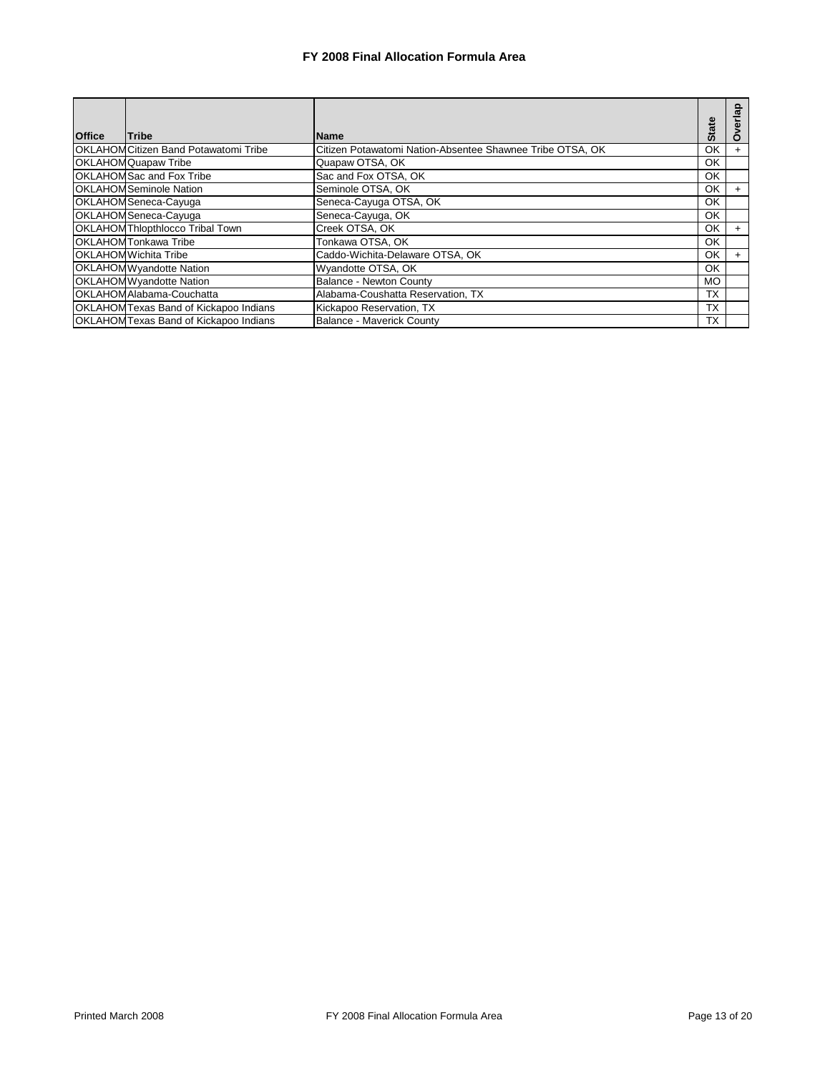| <b>Office</b> | Tribe                                        | <b>Name</b>                                               | <b>State</b> | $\frac{a}{\overline{a}}$ |
|---------------|----------------------------------------------|-----------------------------------------------------------|--------------|--------------------------|
|               | <b>OKLAHOM Citizen Band Potawatomi Tribe</b> | Citizen Potawatomi Nation-Absentee Shawnee Tribe OTSA, OK | OK           |                          |
|               | <b>OKLAHOM Quapaw Tribe</b>                  | Quapaw OTSA, OK                                           | OK           |                          |
|               | <b>OKLAHOM Sac and Fox Tribe</b>             | Sac and Fox OTSA, OK                                      | OK           |                          |
|               | <b>OKLAHOMSeminole Nation</b>                | Seminole OTSA, OK                                         | OK           | $\pm$                    |
|               | OKLAHOM Seneca-Cayuga                        | Seneca-Cayuga OTSA, OK                                    | OK           |                          |
|               | OKLAHOM Seneca-Cayuga                        | Seneca-Cayuga, OK                                         | OK           |                          |
|               | <b>OKLAHOM Thlopthlocco Tribal Town</b>      | Creek OTSA, OK                                            | OK           | $\div$                   |
|               | <b>OKLAHOMTonkawa Tribe</b>                  | Tonkawa OTSA, OK                                          | OK           |                          |
|               | <b>OKLAHOM Wichita Tribe</b>                 | Caddo-Wichita-Delaware OTSA, OK                           | OK           |                          |
|               | <b>OKLAHOMWyandotte Nation</b>               | Wyandotte OTSA, OK                                        | OK           |                          |
|               | <b>OKLAHOMWyandotte Nation</b>               | Balance - Newton County                                   | MO           |                          |
|               | OKLAHOM Alabama-Couchatta                    | Alabama-Coushatta Reservation, TX                         | <b>TX</b>    |                          |
|               | <b>OKLAHOMTexas Band of Kickapoo Indians</b> | Kickapoo Reservation, TX                                  | <b>TX</b>    |                          |
|               | <b>OKLAHOMTexas Band of Kickapoo Indians</b> | Balance - Maverick County                                 | <b>TX</b>    |                          |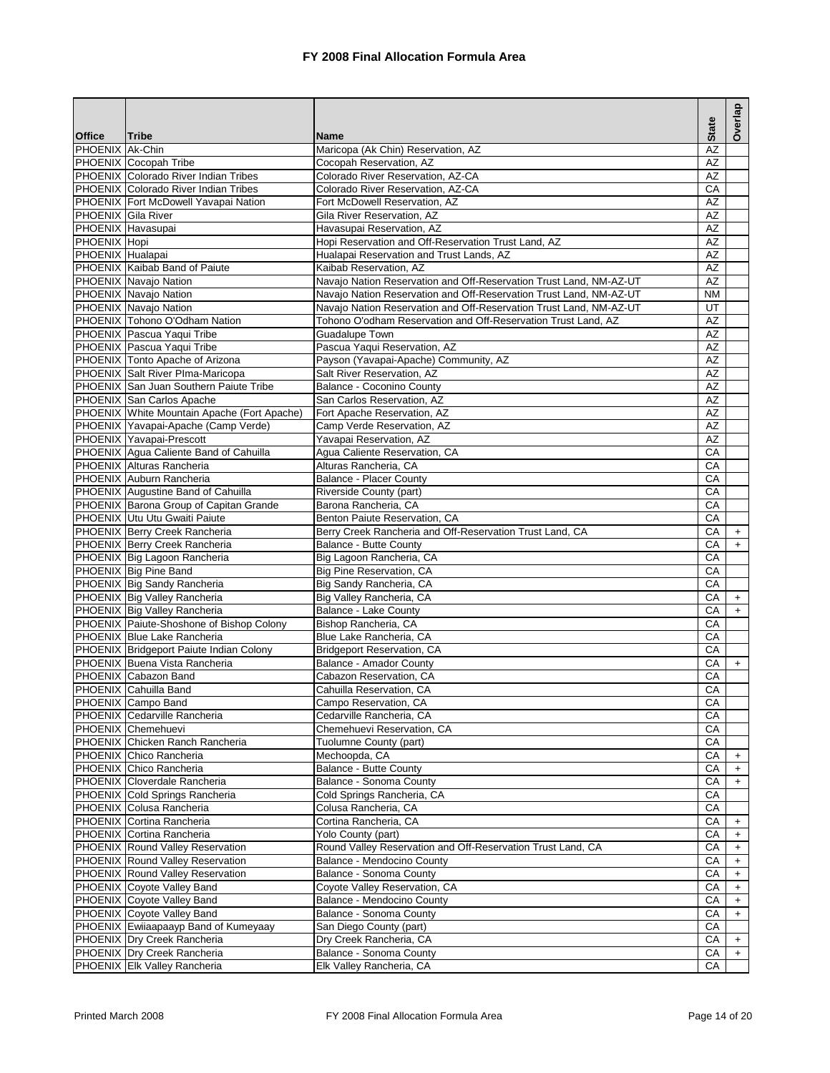|                     |                                                                          |                                                                    | <b>State</b> | Overlap   |
|---------------------|--------------------------------------------------------------------------|--------------------------------------------------------------------|--------------|-----------|
| <b>Office</b>       | <b>Tribe</b>                                                             | <b>Name</b>                                                        |              |           |
| PHOENIX Ak-Chin     |                                                                          | Maricopa (Ak Chin) Reservation, AZ                                 | AZ           |           |
|                     | PHOENIX Cocopah Tribe<br><b>PHOENIX Colorado River Indian Tribes</b>     | Cocopah Reservation, AZ<br>Colorado River Reservation, AZ-CA       | AZ<br>AZ     |           |
|                     | PHOENIX Colorado River Indian Tribes                                     | Colorado River Reservation, AZ-CA                                  | CA           |           |
|                     | PHOENIX Fort McDowell Yavapai Nation                                     | Fort McDowell Reservation, AZ                                      | AZ           |           |
| PHOENIX Gila River  |                                                                          | Gila River Reservation, AZ                                         | AZ           |           |
|                     | PHOENIX Havasupai                                                        | Havasupai Reservation, AZ                                          | AZ           |           |
| <b>PHOENIX</b> Hopi |                                                                          | Hopi Reservation and Off-Reservation Trust Land, AZ                | <b>AZ</b>    |           |
| PHOENIX Hualapai    |                                                                          | Hualapai Reservation and Trust Lands, AZ                           | AZ           |           |
|                     | PHOENIX Kaibab Band of Paiute                                            | Kaibab Reservation, AZ                                             | <b>AZ</b>    |           |
|                     | PHOENIX Navajo Nation                                                    | Navaio Nation Reservation and Off-Reservation Trust Land, NM-AZ-UT | AZ           |           |
|                     | PHOENIX Navajo Nation                                                    | Navajo Nation Reservation and Off-Reservation Trust Land, NM-AZ-UT | <b>NM</b>    |           |
|                     | PHOENIX Navajo Nation                                                    | Navajo Nation Reservation and Off-Reservation Trust Land, NM-AZ-UT | UT           |           |
|                     | PHOENIX Tohono O'Odham Nation                                            | Tohono O'odham Reservation and Off-Reservation Trust Land, AZ      | AZ           |           |
|                     | PHOENIX Pascua Yaqui Tribe                                               | Guadalupe Town                                                     | AZ           |           |
|                     | PHOENIX Pascua Yaqui Tribe                                               | Pascua Yaqui Reservation, AZ                                       | AZ           |           |
|                     | PHOENIX Tonto Apache of Arizona                                          | Payson (Yavapai-Apache) Community, AZ                              | AZ           |           |
|                     | PHOENIX Salt River PIma-Maricopa                                         | Salt River Reservation, AZ                                         | AZ           |           |
|                     | PHOENIX San Juan Southern Paiute Tribe                                   | Balance - Coconino County                                          | AZ           |           |
|                     | PHOENIX San Carlos Apache                                                | San Carlos Reservation, AZ                                         | AZ           |           |
|                     | PHOENIX White Mountain Apache (Fort Apache)                              | Fort Apache Reservation, AZ                                        | AZ           |           |
|                     | PHOENIX Yavapai-Apache (Camp Verde)                                      | Camp Verde Reservation, AZ                                         | AZ           |           |
|                     | PHOENIX Yavapai-Prescott                                                 | Yavapai Reservation, AZ                                            | AZ           |           |
|                     | PHOENIX Agua Caliente Band of Cahuilla                                   | Agua Caliente Reservation, CA                                      | CA           |           |
|                     | PHOENIX Alturas Rancheria                                                | Alturas Rancheria, CA                                              | CA           |           |
|                     | PHOENIX Auburn Rancheria                                                 | <b>Balance - Placer County</b>                                     | CA           |           |
|                     | PHOENIX Augustine Band of Cahuilla                                       | Riverside County (part)                                            | СA           |           |
|                     | PHOENIX Barona Group of Capitan Grande                                   | Barona Rancheria, CA                                               | CA           |           |
|                     | PHOENIX Utu Utu Gwaiti Paiute                                            | Benton Paiute Reservation, CA                                      | CA           |           |
|                     | PHOENIX Berry Creek Rancheria                                            | Berry Creek Rancheria and Off-Reservation Trust Land, CA           | CA           | $^{+}$    |
|                     | PHOENIX Berry Creek Rancheria                                            | Balance - Butte County                                             | СA           | $\ddot{}$ |
|                     | PHOENIX Big Lagoon Rancheria                                             | Big Lagoon Rancheria, CA                                           | CA           |           |
|                     | PHOENIX Big Pine Band                                                    | Big Pine Reservation, CA                                           | CA           |           |
|                     | PHOENIX Big Sandy Rancheria                                              | Big Sandy Rancheria, CA                                            | CA           |           |
|                     | PHOENIX Big Valley Rancheria                                             | Big Valley Rancheria, CA                                           | CA           | $\ddot{}$ |
|                     | PHOENIX Big Valley Rancheria                                             | Balance - Lake County                                              | CA           | $\ddot{}$ |
|                     | PHOENIX Paiute-Shoshone of Bishop Colony<br>PHOENIX Blue Lake Rancheria  | Bishop Rancheria, CA                                               | CA<br>CA     |           |
|                     |                                                                          | Blue Lake Rancheria, CA                                            | CA           |           |
|                     | PHOENIX Bridgeport Paiute Indian Colony<br>PHOENIX Buena Vista Rancheria | <b>Bridgeport Reservation, CA</b><br>Balance - Amador County       | CA           | $\ddot{}$ |
|                     | PHOENIX Cabazon Band                                                     | Cabazon Reservation, CA                                            | CA           |           |
|                     | PHOENIX Cahuilla Band                                                    | Cahuilla Reservation, CA                                           | CA           |           |
|                     | PHOENIX Campo Band                                                       | Campo Reservation, CA                                              | CA           |           |
|                     | PHOENIX Cedarville Rancheria                                             | Cedarville Rancheria, CA                                           | СA           |           |
|                     | PHOENIX Chemehuevi                                                       | Chemehuevi Reservation, CA                                         | СA           |           |
|                     | PHOENIX Chicken Ranch Rancheria                                          | Tuolumne County (part)                                             | CA           |           |
|                     | PHOENIX Chico Rancheria                                                  | Mechoopda, CA                                                      | CA           | $\ddot{}$ |
|                     | PHOENIX Chico Rancheria                                                  | Balance - Butte County                                             | СA           |           |
|                     | PHOENIX Cloverdale Rancheria                                             | Balance - Sonoma County                                            | CA           | $\ddot{}$ |
|                     | PHOENIX Cold Springs Rancheria                                           | Cold Springs Rancheria, CA                                         | СA           |           |
|                     | PHOENIX Colusa Rancheria                                                 | Colusa Rancheria, CA                                               | CA           |           |
|                     | PHOENIX Cortina Rancheria                                                | Cortina Rancheria, CA                                              | CA           | +         |
|                     | PHOENIX Cortina Rancheria                                                | Yolo County (part)                                                 | CA           | $\ddot{}$ |
|                     | PHOENIX Round Valley Reservation                                         | Round Valley Reservation and Off-Reservation Trust Land, CA        | CA           | $\ddot{}$ |
|                     | PHOENIX Round Valley Reservation                                         | Balance - Mendocino County                                         | CA           | $\ddot{}$ |
|                     | <b>PHOENIX</b> Round Valley Reservation                                  | Balance - Sonoma County                                            | СA           | $\ddot{}$ |
|                     | PHOENIX Coyote Valley Band                                               | Coyote Valley Reservation, CA                                      | CA           | $\ddot{}$ |
|                     | PHOENIX Coyote Valley Band                                               | Balance - Mendocino County                                         | CA           | $\ddot{}$ |
|                     | PHOENIX Coyote Valley Band                                               | Balance - Sonoma County                                            | CA           | $\ddot{}$ |
|                     | PHOENIX Ewiiaapaayp Band of Kumeyaay                                     | San Diego County (part)                                            | CA           |           |
|                     | PHOENIX Dry Creek Rancheria                                              | Dry Creek Rancheria, CA                                            | CA           | $\ddot{}$ |
|                     | PHOENIX Dry Creek Rancheria                                              | Balance - Sonoma County                                            | CA           | $\ddot{}$ |
|                     | PHOENIX Elk Valley Rancheria                                             | Elk Valley Rancheria, CA                                           | СA           |           |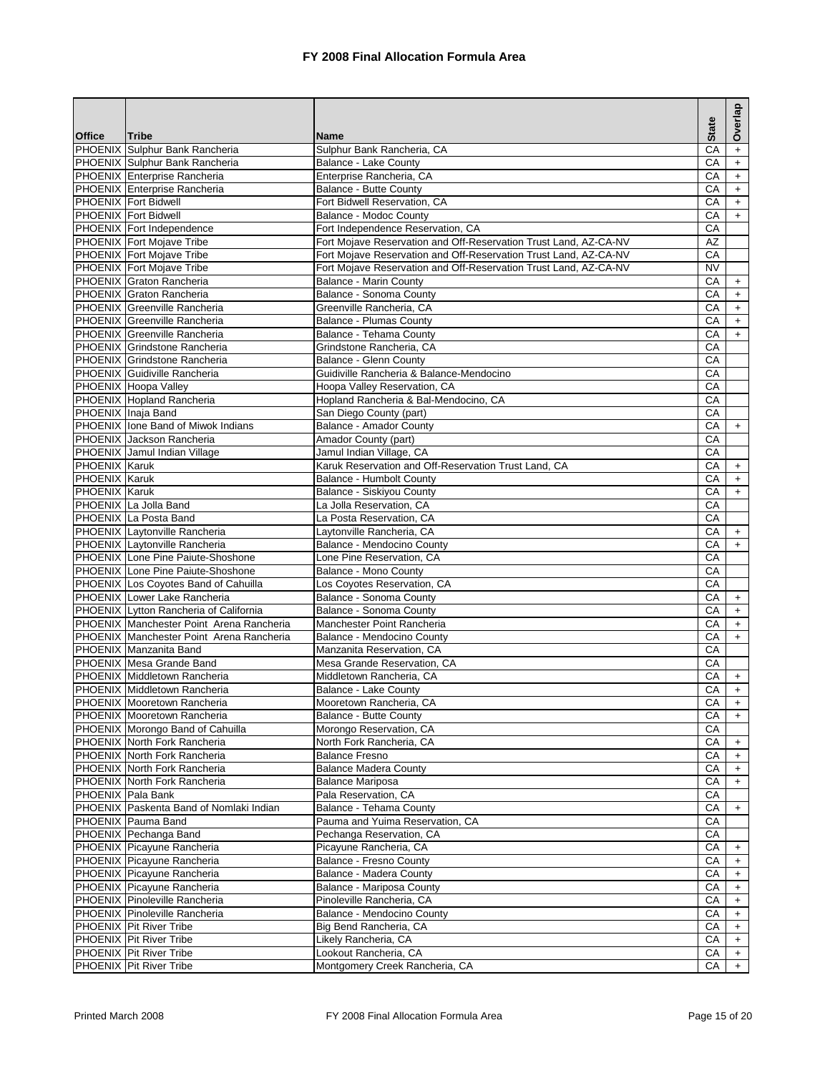|                      |                                           |                                                                  | <b>State</b> | Overlap   |
|----------------------|-------------------------------------------|------------------------------------------------------------------|--------------|-----------|
| <b>Office</b>        | <b>Tribe</b>                              | <b>Name</b>                                                      |              |           |
|                      | PHOENIX Sulphur Bank Rancheria            | Sulphur Bank Rancheria, CA                                       | СA           | $\ddot{}$ |
|                      | PHOENIX Sulphur Bank Rancheria            | Balance - Lake County                                            | CA           | $+$       |
|                      | PHOENIX Enterprise Rancheria              | Enterprise Rancheria, CA                                         | СA           | $+$       |
|                      | PHOENIX Enterprise Rancheria              | Balance - Butte County                                           | CA           | $+$       |
|                      | <b>PHOENIX Fort Bidwell</b>               | Fort Bidwell Reservation, CA                                     | СA           | $\ddot{}$ |
|                      | <b>PHOENIX</b> Fort Bidwell               | Balance - Modoc County                                           | CA           | $+$       |
|                      | PHOENIX Fort Independence                 | Fort Independence Reservation, CA                                | CA           |           |
|                      | <b>PHOENIX Fort Mojave Tribe</b>          | Fort Mojave Reservation and Off-Reservation Trust Land, AZ-CA-NV | AZ           |           |
|                      | PHOENIX Fort Mojave Tribe                 | Fort Mojave Reservation and Off-Reservation Trust Land, AZ-CA-NV | CA           |           |
|                      | PHOENIX Fort Mojave Tribe                 | Fort Mojave Reservation and Off-Reservation Trust Land, AZ-CA-NV | <b>NV</b>    |           |
|                      | PHOENIX Graton Rancheria                  | Balance - Marin County                                           | CA           | $+$       |
|                      | PHOENIX Graton Rancheria                  | Balance - Sonoma County                                          | CA           | $+$       |
|                      | PHOENIX Greenville Rancheria              | Greenville Rancheria, CA                                         | CA           | $+$       |
|                      | PHOENIX Greenville Rancheria              | Balance - Plumas County                                          | CA           | $+$       |
|                      | PHOENIX Greenville Rancheria              | Balance - Tehama County                                          | CA           | $\ddot{}$ |
|                      | PHOENIX Grindstone Rancheria              | Grindstone Rancheria, CA                                         | CA           |           |
|                      | PHOENIX Grindstone Rancheria              | Balance - Glenn County                                           | CA           |           |
|                      | <b>PHOENIX Guidiville Rancheria</b>       | Guidiville Rancheria & Balance-Mendocino                         | CA           |           |
|                      | PHOENIX Hoopa Valley                      | Hoopa Valley Reservation, CA                                     | CA           |           |
|                      | PHOENIX Hopland Rancheria                 | Hopland Rancheria & Bal-Mendocino, CA                            | СA           |           |
|                      | PHOENIX Inaja Band                        | San Diego County (part)                                          | CA           |           |
|                      | <b>PHOENIX</b> lone Band of Miwok Indians | <b>Balance - Amador County</b>                                   | CA           | $+$       |
|                      | <b>PHOENIX Jackson Rancheria</b>          | Amador County (part)                                             | CA           |           |
|                      | PHOENIX Jamul Indian Village              | Jamul Indian Village, CA                                         | CA           |           |
| <b>PHOENIX Karuk</b> |                                           | Karuk Reservation and Off-Reservation Trust Land, CA             | CA           | $+$       |
| <b>PHOENIX</b> Karuk |                                           | Balance - Humbolt County                                         | СA           | $\ddot{}$ |
| <b>PHOENIX Karuk</b> |                                           | Balance - Siskiyou County                                        | СA           | $+$       |
|                      | PHOENIX La Jolla Band                     | La Jolla Reservation, CA                                         | CA           |           |
|                      | PHOENIX La Posta Band                     | La Posta Reservation, CA                                         | CA           |           |
|                      | PHOENIX Laytonville Rancheria             | Laytonville Rancheria, CA                                        | СA           | $\ddot{}$ |
|                      | PHOENIX Laytonville Rancheria             | Balance - Mendocino County                                       | CA           | $+$       |
|                      | <b>PHOENIX</b> Lone Pine Paiute-Shoshone  | Lone Pine Reservation, CA                                        | CA           |           |
|                      | PHOENIX Lone Pine Paiute-Shoshone         | Balance - Mono County                                            | CA           |           |
|                      | PHOENIX Los Coyotes Band of Cahuilla      | Los Coyotes Reservation, CA                                      | CA           |           |
|                      | PHOENIX Lower Lake Rancheria              | Balance - Sonoma County                                          | CA           | $+$       |
|                      | PHOENIX Lytton Rancheria of California    | Balance - Sonoma County                                          | СA           | $\ddot{}$ |
|                      | PHOENIX Manchester Point Arena Rancheria  | Manchester Point Rancheria                                       | CA           | $+$       |
|                      | PHOENIX Manchester Point Arena Rancheria  | Balance - Mendocino County                                       | CA           | $+$       |
|                      | PHOENIX Manzanita Band                    | Manzanita Reservation, CA                                        | CA           |           |
|                      | PHOENIX Mesa Grande Band                  | Mesa Grande Reservation, CA                                      | CA           |           |
|                      | PHOENIX Middletown Rancheria              | Middletown Rancheria, CA                                         | СA           | $+$       |
|                      | PHOENIX Middletown Rancheria              | Balance - Lake County                                            | CA           | $+$       |
|                      | PHOENIX Mooretown Rancheria               | Mooretown Rancheria, CA                                          | CA           | $+$       |
|                      | PHOENIX Mooretown Rancheria               | <b>Balance - Butte County</b>                                    | CA           | $+$       |
|                      | PHOENIX Morongo Band of Cahuilla          | Morongo Reservation, CA                                          | СA           |           |
|                      | PHOENIX North Fork Rancheria              | North Fork Rancheria, CA                                         | CA           | $+$       |
|                      | PHOENIX North Fork Rancheria              | <b>Balance Fresno</b>                                            | СA           | $\ddot{}$ |
|                      | PHOENIX North Fork Rancheria              | <b>Balance Madera County</b>                                     | CA           | $+$       |
|                      | <b>PHOENIX North Fork Rancheria</b>       | <b>Balance Mariposa</b>                                          | CA           | $\ddot{}$ |
|                      | PHOENIX Pala Bank                         | Pala Reservation, CA                                             | CA           |           |
|                      | PHOENIX Paskenta Band of Nomlaki Indian   | Balance - Tehama County                                          | CA           | $+$       |
|                      | PHOENIX Pauma Band                        | Pauma and Yuima Reservation, CA                                  | СA           |           |
|                      | PHOENIX Pechanga Band                     | Pechanga Reservation, CA                                         | CA           |           |
|                      | PHOENIX Picayune Rancheria                | Picayune Rancheria, CA                                           | CA           | $\ddot{}$ |
|                      | PHOENIX Picayune Rancheria                | Balance - Fresno County                                          | СA           | $\ddot{}$ |
|                      | PHOENIX Picayune Rancheria                | Balance - Madera County                                          | CA           | $+$       |
|                      | PHOENIX Picayune Rancheria                | Balance - Mariposa County                                        | СA           | $\ddot{}$ |
|                      | PHOENIX Pinoleville Rancheria             | Pinoleville Rancheria, CA                                        | CA           | $+$       |
|                      | PHOENIX Pinoleville Rancheria             | <b>Balance - Mendocino County</b>                                | CA           | $+$       |
|                      | PHOENIX Pit River Tribe                   | Big Bend Rancheria, CA                                           | СA           | $+$       |
|                      | <b>PHOENIX</b> Pit River Tribe            | Likely Rancheria, CA                                             | CA           | $+$       |
|                      | <b>PHOENIX</b> Pit River Tribe            | Lookout Rancheria, CA                                            | CA           | $+$       |
|                      | PHOENIX Pit River Tribe                   | Montgomery Creek Rancheria, CA                                   | CA           | $+$       |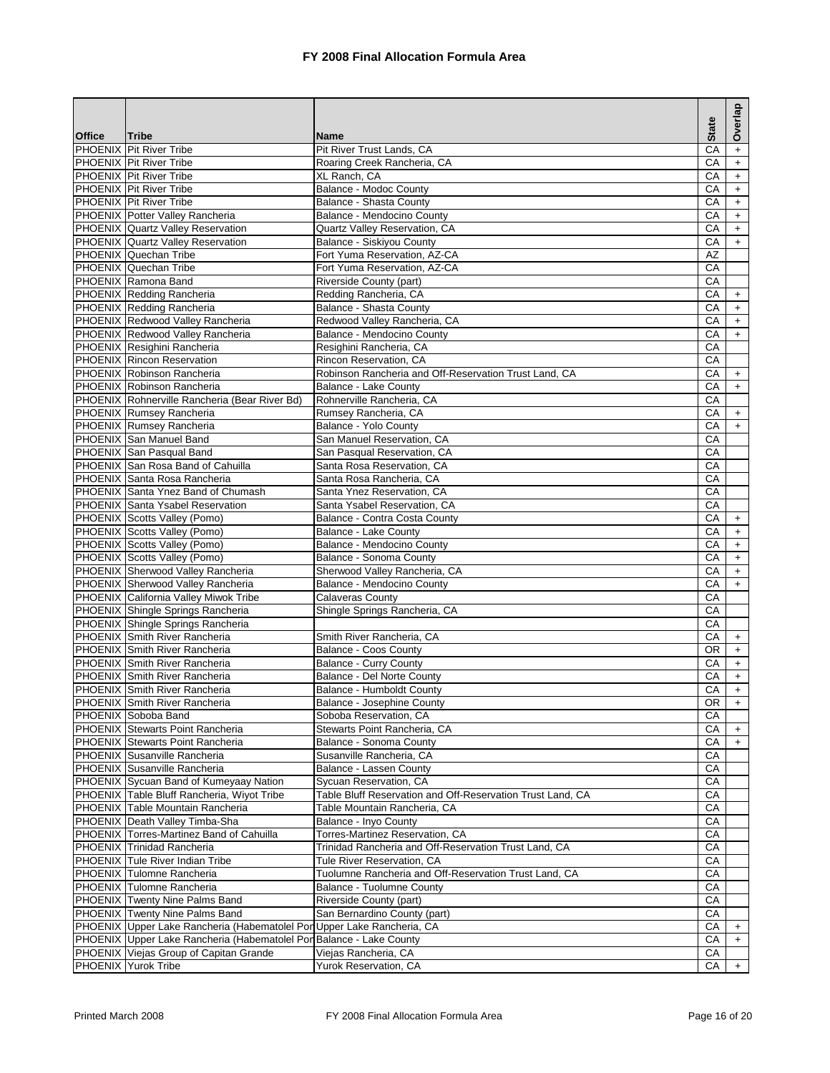|               |                                                                        |                                                                                 |              | Overlap          |
|---------------|------------------------------------------------------------------------|---------------------------------------------------------------------------------|--------------|------------------|
| <b>Office</b> | <b>Tribe</b>                                                           | <b>Name</b>                                                                     | <b>State</b> |                  |
|               | <b>PHOENIX</b> Pit River Tribe                                         | Pit River Trust Lands, CA                                                       | CA           | $+$              |
|               | <b>PHOENIX</b> Pit River Tribe                                         | Roaring Creek Rancheria, CA                                                     | CA           | $+$              |
|               | <b>PHOENIX</b> Pit River Tribe                                         | XL Ranch, CA                                                                    | CA           | $\boldsymbol{+}$ |
|               | PHOENIX Pit River Tribe                                                | Balance - Modoc County                                                          | CA           | $+$              |
|               | <b>PHOENIX</b> Pit River Tribe                                         | Balance - Shasta County                                                         | CA           | $+$              |
|               | PHOENIX Potter Valley Rancheria                                        | Balance - Mendocino County                                                      | CA           | $+$              |
|               | PHOENIX Quartz Valley Reservation                                      | Quartz Valley Reservation, CA                                                   | CA           | $\ddot{}$        |
|               | PHOENIX Quartz Valley Reservation                                      | Balance - Siskiyou County                                                       | CA           | $\ddot{}$        |
|               | PHOENIX Quechan Tribe                                                  | Fort Yuma Reservation, AZ-CA                                                    | <b>AZ</b>    |                  |
|               | PHOENIX Quechan Tribe                                                  | Fort Yuma Reservation, AZ-CA                                                    | CA           |                  |
|               | PHOENIX Ramona Band                                                    | Riverside County (part)                                                         | CA           |                  |
|               | PHOENIX Redding Rancheria                                              | Redding Rancheria, CA                                                           | СA           | $\ddot{}$        |
|               | PHOENIX Redding Rancheria                                              | Balance - Shasta County                                                         | CA           | $\ddot{}$        |
|               | PHOENIX Redwood Valley Rancheria                                       | Redwood Valley Rancheria, CA                                                    | CA           | $+$              |
|               | PHOENIX Redwood Valley Rancheria                                       | Balance - Mendocino County                                                      | СA           | $\ddot{}$        |
|               | PHOENIX Resighini Rancheria<br><b>PHOENIX</b> Rincon Reservation       | Resighini Rancheria, CA                                                         | CA           |                  |
|               | PHOENIX Robinson Rancheria                                             | Rincon Reservation, CA<br>Robinson Rancheria and Off-Reservation Trust Land, CA | СA<br>CA     | $+$              |
|               | PHOENIX Robinson Rancheria                                             | Balance - Lake County                                                           | CA           | $+$              |
|               | PHOENIX Rohnerville Rancheria (Bear River Bd)                          | Rohnerville Rancheria, CA                                                       | CA           |                  |
|               | PHOENIX Rumsey Rancheria                                               | Rumsey Rancheria, CA                                                            | CA           | $\ddot{}$        |
|               | <b>PHOENIX</b> Rumsey Rancheria                                        | Balance - Yolo County                                                           | CA           | $+$              |
|               | PHOENIX San Manuel Band                                                | San Manuel Reservation, CA                                                      | CA           |                  |
|               | PHOENIX San Pasqual Band                                               | San Pasqual Reservation, CA                                                     | CA           |                  |
|               | PHOENIX San Rosa Band of Cahuilla                                      | Santa Rosa Reservation, CA                                                      | CA           |                  |
|               | PHOENIX Santa Rosa Rancheria                                           | Santa Rosa Rancheria, CA                                                        | CA           |                  |
|               | PHOENIX Santa Ynez Band of Chumash                                     | Santa Ynez Reservation, CA                                                      | CA           |                  |
|               | PHOENIX Santa Ysabel Reservation                                       | Santa Ysabel Reservation, CA                                                    | CA           |                  |
|               | PHOENIX Scotts Valley (Pomo)                                           | Balance - Contra Costa County                                                   | CA           | $\ddot{}$        |
|               | PHOENIX Scotts Valley (Pomo)                                           | Balance - Lake County                                                           | CA           | $+$              |
|               | PHOENIX Scotts Valley (Pomo)                                           | Balance - Mendocino County                                                      | CA           | $\ddot{}$        |
|               | PHOENIX Scotts Valley (Pomo)                                           | Balance - Sonoma County                                                         | CA           | $+$              |
|               | PHOENIX Sherwood Valley Rancheria                                      | Sherwood Valley Rancheria, CA                                                   | CA           | $+$              |
|               | PHOENIX Sherwood Valley Rancheria                                      | Balance - Mendocino County                                                      | CA           | $+$              |
|               | PHOENIX California Valley Miwok Tribe                                  | Calaveras County                                                                | CA           |                  |
|               | PHOENIX Shingle Springs Rancheria                                      | Shingle Springs Rancheria, CA                                                   | СA           |                  |
|               | PHOENIX Shingle Springs Rancheria                                      |                                                                                 | CA           |                  |
|               | PHOENIX Smith River Rancheria                                          | Smith River Rancheria, CA                                                       | CA           | $+$              |
|               | PHOENIX Smith River Rancheria                                          | Balance - Coos County                                                           | <b>OR</b>    | $+$              |
|               | <b>PHOENIX</b> Smith River Rancheria                                   | <b>Balance - Curry County</b>                                                   | CA           | $\pm$            |
|               | <b>PHOENIX Smith River Rancheria</b>                                   | Balance - Del Norte County                                                      | CA           | $+$              |
|               | PHOENIX Smith River Rancheria<br><b>PHOENIX</b> Smith River Rancheria  | Balance - Humboldt County                                                       | CA<br>OR     | $+$              |
|               |                                                                        | Balance - Josephine County                                                      |              | $+$              |
|               | PHOENIX Soboba Band<br>PHOENIX Stewarts Point Rancheria                | Soboba Reservation, CA                                                          | СA           |                  |
|               | PHOENIX Stewarts Point Rancheria                                       | Stewarts Point Rancheria, CA<br>Balance - Sonoma County                         | СA<br>СA     | $+$              |
|               | PHOENIX Susanville Rancheria                                           | Susanville Rancheria, CA                                                        | СA           | $+$              |
|               | PHOENIX Susanville Rancheria                                           | Balance - Lassen County                                                         | CA           |                  |
|               | PHOENIX Sycuan Band of Kumeyaay Nation                                 | Sycuan Reservation, CA                                                          | СA           |                  |
|               | PHOENIX Table Bluff Rancheria, Wiyot Tribe                             | Table Bluff Reservation and Off-Reservation Trust Land, CA                      | CA           |                  |
|               | PHOENIX Table Mountain Rancheria                                       | Table Mountain Rancheria, CA                                                    | CA           |                  |
|               | PHOENIX Death Valley Timba-Sha                                         | Balance - Inyo County                                                           | СA           |                  |
|               | PHOENIX Torres-Martinez Band of Cahuilla                               | Torres-Martinez Reservation, CA                                                 | СA           |                  |
|               | PHOENIX Trinidad Rancheria                                             | Trinidad Rancheria and Off-Reservation Trust Land, CA                           | СA           |                  |
|               | PHOENIX Tule River Indian Tribe                                        | Tule River Reservation, CA                                                      | CA           |                  |
|               | PHOENIX Tulomne Rancheria                                              | Tuolumne Rancheria and Off-Reservation Trust Land, CA                           | CA           |                  |
|               | PHOENIX Tulomne Rancheria                                              | Balance - Tuolumne County                                                       | СA           |                  |
|               | <b>PHOENIX</b> Twenty Nine Palms Band                                  | Riverside County (part)                                                         | СA           |                  |
|               | PHOENIX Twenty Nine Palms Band                                         | San Bernardino County (part)                                                    | CA           |                  |
|               | PHOENIX Upper Lake Rancheria (Habematolel Pon Upper Lake Rancheria, CA |                                                                                 | CA           | $^{+}$           |
|               | PHOENIX Upper Lake Rancheria (Habematolel Pon Balance - Lake County    |                                                                                 | CA           | $+$              |
|               | PHOENIX Viejas Group of Capitan Grande                                 | Viejas Rancheria, CA                                                            | CA           |                  |
|               | PHOENIX Yurok Tribe                                                    | Yurok Reservation, CA                                                           | СA           | $+$              |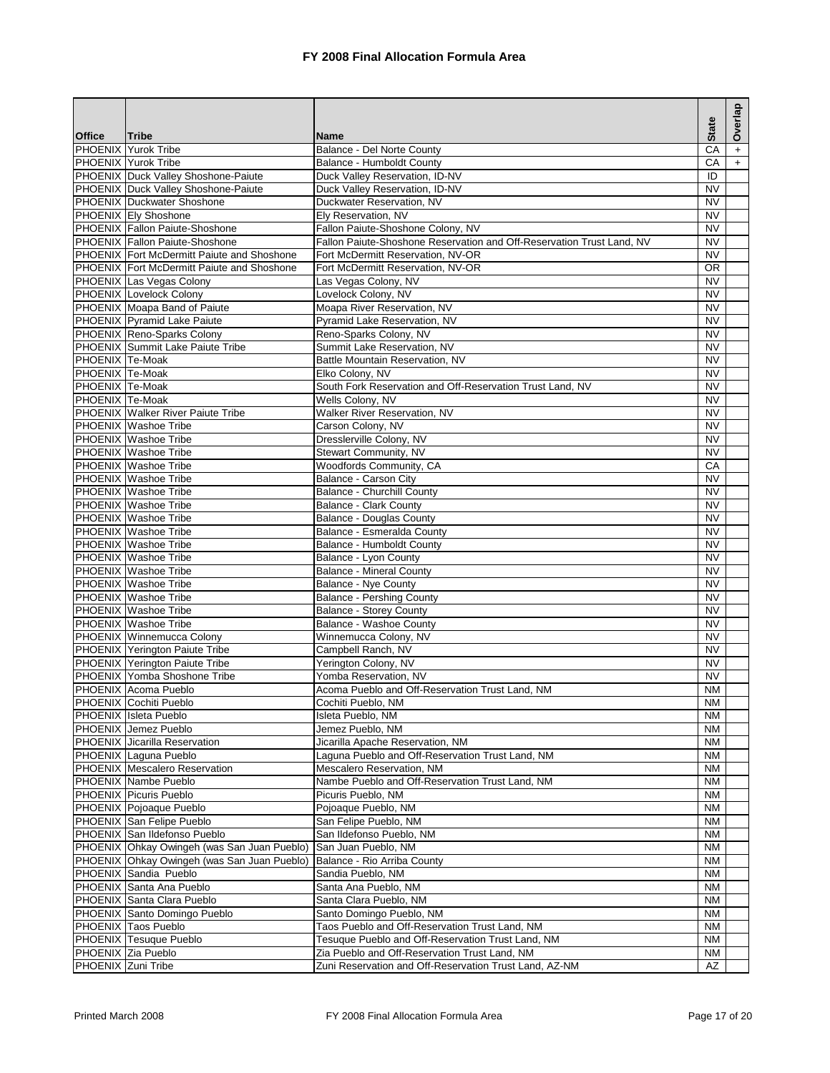|                        |                                                   |                                                                       |                        | Overlap   |
|------------------------|---------------------------------------------------|-----------------------------------------------------------------------|------------------------|-----------|
|                        |                                                   |                                                                       | <b>State</b>           |           |
| <b>Office</b>          | <b>Tribe</b><br>PHOENIX Yurok Tribe               | <b>Name</b><br>Balance - Del Norte County                             | CA                     | $\ddot{}$ |
|                        | PHOENIX Yurok Tribe                               | Balance - Humboldt County                                             | CA                     | $+$       |
|                        | PHOENIX Duck Valley Shoshone-Paiute               | Duck Valley Reservation, ID-NV                                        | ID                     |           |
|                        | PHOENIX Duck Valley Shoshone-Paiute               | Duck Valley Reservation, ID-NV                                        | <b>NV</b>              |           |
|                        | PHOENIX Duckwater Shoshone                        | Duckwater Reservation, NV                                             | <b>NV</b>              |           |
|                        | <b>PHOENIX Ely Shoshone</b>                       | Ely Reservation, NV                                                   | <b>NV</b>              |           |
|                        | PHOENIX Fallon Paiute-Shoshone                    | Fallon Paiute-Shoshone Colony, NV                                     | <b>NV</b>              |           |
|                        | PHOENIX Fallon Paiute-Shoshone                    | Fallon Paiute-Shoshone Reservation and Off-Reservation Trust Land, NV | <b>NV</b>              |           |
|                        | <b>PHOENIX</b> Fort McDermitt Paiute and Shoshone | Fort McDermitt Reservation, NV-OR                                     | <b>NV</b>              |           |
|                        | <b>PHOENIX</b> Fort McDermitt Paiute and Shoshone | Fort McDermitt Reservation, NV-OR                                     | <b>OR</b>              |           |
|                        | PHOENIX Las Vegas Colony                          | Las Vegas Colony, NV                                                  | <b>NV</b>              |           |
|                        | <b>PHOENIX Lovelock Colony</b>                    | Lovelock Colony, NV                                                   | <b>NV</b>              |           |
|                        | PHOENIX Moapa Band of Paiute                      | Moapa River Reservation, NV                                           | <b>NV</b>              |           |
|                        | PHOENIX Pyramid Lake Paiute                       | Pyramid Lake Reservation, NV                                          | <b>NV</b>              |           |
|                        | PHOENIX Reno-Sparks Colony                        | Reno-Sparks Colony, NV                                                | <b>NV</b>              |           |
|                        | <b>PHOENIX</b> Summit Lake Paiute Tribe           | Summit Lake Reservation, NV                                           | <b>NV</b>              |           |
| PHOENIX Te-Moak        |                                                   | Battle Mountain Reservation, NV                                       | <b>NV</b>              |           |
| PHOENIX Te-Moak        |                                                   | Elko Colony, NV                                                       | <b>NV</b>              |           |
| PHOENIX Te-Moak        |                                                   | South Fork Reservation and Off-Reservation Trust Land, NV             | <b>NV</b>              |           |
| <b>PHOENIX Te-Moak</b> |                                                   | Wells Colony, NV                                                      | <b>NV</b>              |           |
|                        | <b>PHOENIX</b> Walker River Paiute Tribe          | Walker River Reservation, NV                                          | <b>NV</b>              |           |
|                        | PHOENIX Washoe Tribe                              | Carson Colony, NV                                                     | <b>NV</b>              |           |
|                        | PHOENIX Washoe Tribe                              | Dresslerville Colony, NV                                              | <b>NV</b>              |           |
|                        | <b>PHOENIX</b> Washoe Tribe                       | Stewart Community, NV                                                 | <b>NV</b>              |           |
|                        | PHOENIX Washoe Tribe<br>PHOENIX Washoe Tribe      | Woodfords Community, CA                                               | CA                     |           |
|                        | <b>PHOENIX</b> Washoe Tribe                       | Balance - Carson City<br><b>Balance - Churchill County</b>            | <b>NV</b><br><b>NV</b> |           |
|                        | PHOENIX Washoe Tribe                              | <b>Balance - Clark County</b>                                         | <b>NV</b>              |           |
|                        | PHOENIX Washoe Tribe                              | <b>Balance - Douglas County</b>                                       | <b>NV</b>              |           |
|                        | <b>PHOENIX</b> Washoe Tribe                       | Balance - Esmeralda County                                            | <b>NV</b>              |           |
|                        | <b>PHOENIX</b> Washoe Tribe                       | Balance - Humboldt County                                             | <b>NV</b>              |           |
|                        | <b>PHOENIX</b> Washoe Tribe                       | Balance - Lyon County                                                 | <b>NV</b>              |           |
|                        | <b>PHOENIX</b> Washoe Tribe                       | <b>Balance - Mineral County</b>                                       | <b>NV</b>              |           |
|                        | PHOENIX Washoe Tribe                              | Balance - Nye County                                                  | <b>NV</b>              |           |
|                        | <b>PHOENIX</b> Washoe Tribe                       | <b>Balance - Pershing County</b>                                      | <b>NV</b>              |           |
|                        | PHOENIX Washoe Tribe                              | <b>Balance - Storey County</b>                                        | <b>NV</b>              |           |
|                        | PHOENIX Washoe Tribe                              | Balance - Washoe County                                               | <b>NV</b>              |           |
|                        | PHOENIX Winnemucca Colony                         | Winnemucca Colony, NV                                                 | <b>NV</b>              |           |
|                        | PHOENIX Yerington Paiute Tribe                    | Campbell Ranch, NV                                                    | <b>NV</b>              |           |
|                        | PHOENIX Yerington Paiute Tribe                    | Yerington Colony, NV                                                  | <b>NV</b>              |           |
|                        | <b>PHOENIX Yomba Shoshone Tribe</b>               | Yomba Reservation, NV                                                 | <b>NV</b>              |           |
|                        | PHOENIX Acoma Pueblo                              | Acoma Pueblo and Off-Reservation Trust Land, NM                       | <b>NM</b>              |           |
|                        | PHOENIX Cochiti Pueblo                            | Cochiti Pueblo, NM                                                    | <b>NM</b>              |           |
|                        | PHOENIX Isleta Pueblo                             | Isleta Pueblo, NM                                                     | NM                     |           |
|                        | PHOENIX Jemez Pueblo                              | Jemez Pueblo, NM                                                      | ΝM                     |           |
|                        | PHOENIX Jicarilla Reservation                     | Jicarilla Apache Reservation, NM                                      | <b>NM</b>              |           |
|                        | PHOENIX Laguna Pueblo                             | Laguna Pueblo and Off-Reservation Trust Land, NM                      | NM                     |           |
|                        | <b>PHOENIX</b> Mescalero Reservation              | Mescalero Reservation, NM                                             | <b>NM</b>              |           |
|                        | PHOENIX Nambe Pueblo                              | Nambe Pueblo and Off-Reservation Trust Land, NM                       | NM                     |           |
|                        | PHOENIX Picuris Pueblo<br>PHOENIX Pojoaque Pueblo | Picuris Pueblo, NM<br>Pojoaque Pueblo, NM                             | <b>NM</b>              |           |
|                        | PHOENIX San Felipe Pueblo                         | San Felipe Pueblo, NM                                                 | ΝM<br>ΝM               |           |
|                        | PHOENIX San Ildefonso Pueblo                      | San Ildefonso Pueblo, NM                                              | ΝM                     |           |
|                        | PHOENIX Ohkay Owingeh (was San Juan Pueblo)       | San Juan Pueblo, NM                                                   | NM                     |           |
|                        | PHOENIX Ohkay Owingeh (was San Juan Pueblo)       | Balance - Rio Arriba County                                           | ΝM                     |           |
|                        | PHOENIX Sandia Pueblo                             | Sandia Pueblo, NM                                                     | NM                     |           |
|                        | PHOENIX Santa Ana Pueblo                          | Santa Ana Pueblo, NM                                                  | ΝM                     |           |
|                        | PHOENIX Santa Clara Pueblo                        | Santa Clara Pueblo, NM                                                | <b>NM</b>              |           |
|                        | PHOENIX Santo Domingo Pueblo                      | Santo Domingo Pueblo, NM                                              | ΝM                     |           |
|                        | PHOENIX Taos Pueblo                               | Taos Pueblo and Off-Reservation Trust Land, NM                        | ΝM                     |           |
|                        | PHOENIX Tesuque Pueblo                            | Tesuque Pueblo and Off-Reservation Trust Land, NM                     | ΝM                     |           |
|                        | PHOENIX Zia Pueblo                                | Zia Pueblo and Off-Reservation Trust Land, NM                         | NM                     |           |
| PHOENIX Zuni Tribe     |                                                   | Zuni Reservation and Off-Reservation Trust Land, AZ-NM                | AZ                     |           |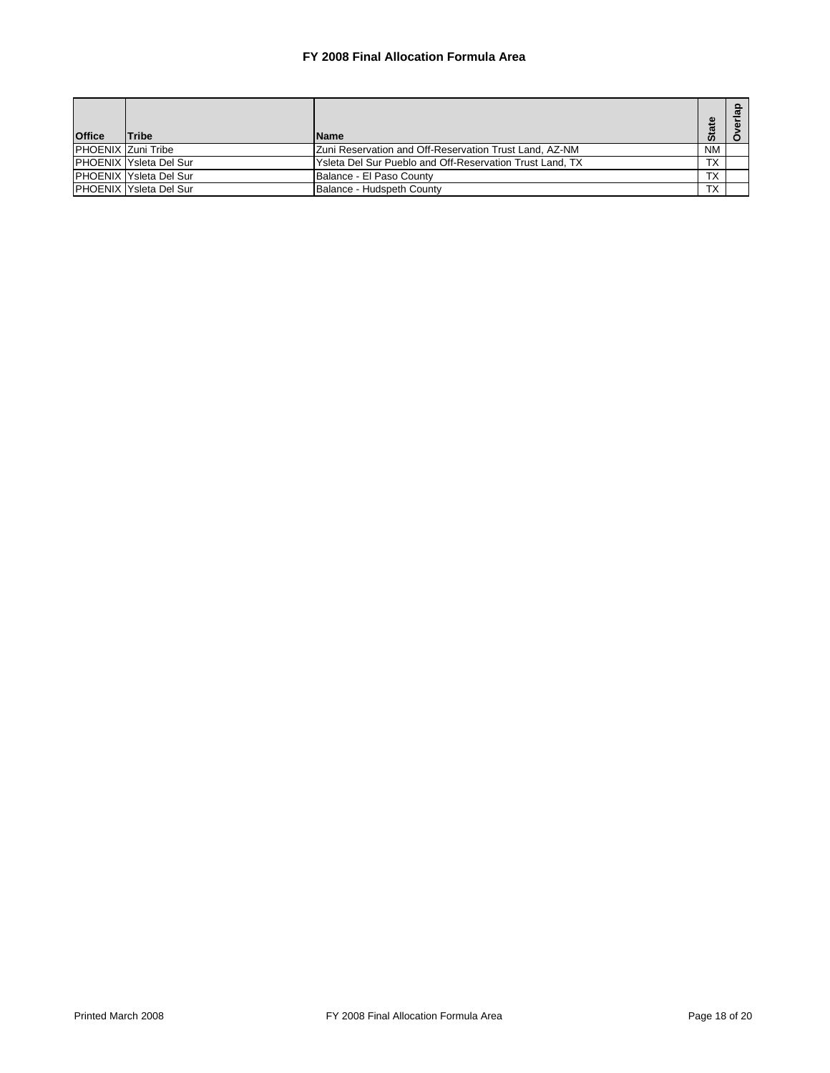| <b>Office</b>             | <b>Tribe</b>                   | <b>Name</b>                                              | 은<br><b>Sta</b> |  |
|---------------------------|--------------------------------|----------------------------------------------------------|-----------------|--|
| <b>PHOENIX Zuni Tribe</b> |                                | Zuni Reservation and Off-Reservation Trust Land, AZ-NM   | <b>NM</b>       |  |
|                           | <b>PHOENIX Ysleta Del Sur</b>  | Ysleta Del Sur Pueblo and Off-Reservation Trust Land, TX | <b>TX</b>       |  |
|                           | <b>IPHOENIX Ysleta Del Sur</b> | Balance - El Paso County                                 | TX              |  |
|                           | <b>PHOENIX Ysleta Del Sur</b>  | Balance - Hudspeth County                                | <b>TX</b>       |  |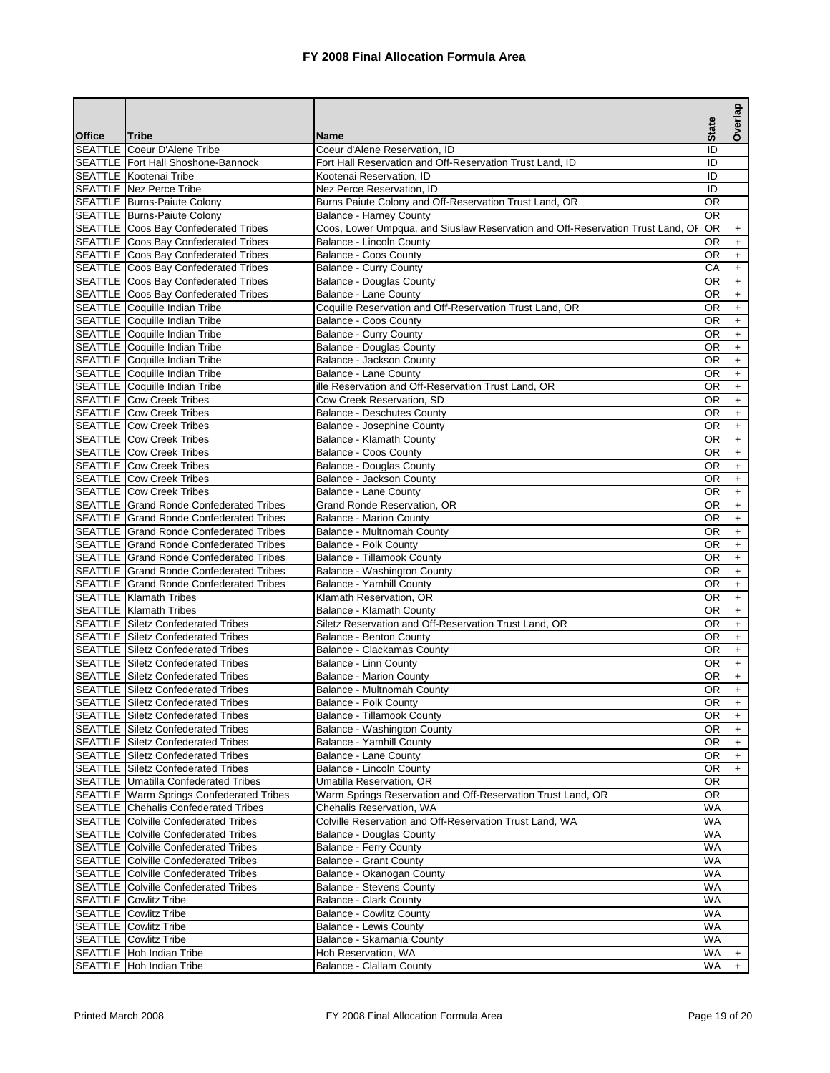|               |                                                                                        |                                                                                |                 | Overlap          |
|---------------|----------------------------------------------------------------------------------------|--------------------------------------------------------------------------------|-----------------|------------------|
|               |                                                                                        |                                                                                | <b>State</b>    |                  |
| <b>Office</b> | <b>Tribe</b><br><b>SEATTLE</b> Coeur D'Alene Tribe                                     | <b>Name</b><br>Coeur d'Alene Reservation, ID                                   | ID              |                  |
|               | <b>SEATTLE Fort Hall Shoshone-Bannock</b>                                              | Fort Hall Reservation and Off-Reservation Trust Land, ID                       | ID              |                  |
|               | <b>SEATTLE Kootenai Tribe</b>                                                          | Kootenai Reservation. ID                                                       | ID              |                  |
|               | <b>SEATTLE Nez Perce Tribe</b>                                                         | Nez Perce Reservation, ID                                                      | ID              |                  |
|               | <b>SEATTLE Burns-Paiute Colony</b>                                                     | Burns Paiute Colony and Off-Reservation Trust Land, OR                         | <b>OR</b>       |                  |
|               | <b>SEATTLE Burns-Paiute Colony</b>                                                     | Balance - Harney County                                                        | <b>OR</b>       |                  |
|               | SEATTLE Coos Bay Confederated Tribes                                                   | Coos, Lower Umpqua, and Siuslaw Reservation and Off-Reservation Trust Land, Of | 0R              | $\ddot{}$        |
|               | SEATTLE Coos Bay Confederated Tribes                                                   | <b>Balance - Lincoln County</b>                                                | <b>OR</b>       | $+$              |
|               | <b>SEATTLE</b> Coos Bay Confederated Tribes                                            | Balance - Coos County                                                          | OR.             | $+$              |
|               | <b>SEATTLE</b> Coos Bay Confederated Tribes                                            | <b>Balance - Curry County</b>                                                  | CA              | $\ddot{}$        |
|               | <b>SEATTLE</b> Coos Bay Confederated Tribes                                            | <b>Balance - Douglas County</b>                                                | OR              | $+$              |
|               | <b>SEATTLE Coos Bay Confederated Tribes</b>                                            | Balance - Lane County                                                          | OR.             | $\ddot{}$        |
|               | <b>SEATTLE</b> Coquille Indian Tribe                                                   | Coquille Reservation and Off-Reservation Trust Land, OR                        | <b>OR</b>       | $+$              |
|               | SEATTLE Coquille Indian Tribe                                                          | <b>Balance - Coos County</b>                                                   | OR              | $+$              |
|               | SEATTLE Coquille Indian Tribe                                                          | <b>Balance - Curry County</b>                                                  | 0R              | $\ddot{}$        |
|               | SEATTLE Coquille Indian Tribe                                                          | <b>Balance - Douglas County</b>                                                | OR.             | $+$              |
|               | <b>SEATTLE</b> Coquille Indian Tribe<br><b>SEATTLE</b> Coquille Indian Tribe           | Balance - Jackson County                                                       | OR<br><b>OR</b> | $+$              |
|               | SEATTLE Coquille Indian Tribe                                                          | Balance - Lane County<br>ille Reservation and Off-Reservation Trust Land, OR   | OR              | $+$              |
|               | <b>SEATTLE Cow Creek Tribes</b>                                                        | Cow Creek Reservation, SD                                                      | OR              | $+$<br>$+$       |
|               | <b>SEATTLE Cow Creek Tribes</b>                                                        | <b>Balance - Deschutes County</b>                                              | OR              | $+$              |
|               | <b>SEATTLE Cow Creek Tribes</b>                                                        | Balance - Josephine County                                                     | <b>OR</b>       | $+$              |
|               | <b>SEATTLE Cow Creek Tribes</b>                                                        | Balance - Klamath County                                                       | OR.             | $+$              |
|               | <b>SEATTLE Cow Creek Tribes</b>                                                        | Balance - Coos County                                                          | <b>OR</b>       | $+$              |
|               | <b>SEATTLE Cow Creek Tribes</b>                                                        | <b>Balance - Douglas County</b>                                                | 0R              | $+$              |
|               | <b>SEATTLE Cow Creek Tribes</b>                                                        | Balance - Jackson County                                                       | <b>OR</b>       | $+$              |
|               | <b>SEATTLE Cow Creek Tribes</b>                                                        | <b>Balance - Lane County</b>                                                   | OR.             | $+$              |
|               | <b>SEATTLE Grand Ronde Confederated Tribes</b>                                         | Grand Ronde Reservation, OR                                                    | OR              | $+$              |
|               | <b>SEATTLE Grand Ronde Confederated Tribes</b>                                         | <b>Balance - Marion County</b>                                                 | OR              | $+$              |
|               | <b>SEATTLE Grand Ronde Confederated Tribes</b>                                         | Balance - Multnomah County                                                     | OR.             | $+$              |
|               | <b>SEATTLE Grand Ronde Confederated Tribes</b>                                         | Balance - Polk County                                                          | 0R              | $+$              |
|               | <b>SEATTLE Grand Ronde Confederated Tribes</b>                                         | <b>Balance - Tillamook County</b>                                              | OR              | $+$              |
|               | <b>SEATTLE Grand Ronde Confederated Tribes</b>                                         | Balance - Washington County                                                    | OR.             | $+$              |
|               | <b>SEATTLE Grand Ronde Confederated Tribes</b>                                         | Balance - Yamhill County                                                       | OR.             | $\boldsymbol{+}$ |
|               | <b>SEATTLE</b> Klamath Tribes                                                          | Klamath Reservation, OR                                                        | OR              | $+$              |
|               | <b>SEATTLE Klamath Tribes</b>                                                          | Balance - Klamath County                                                       | 0R              | $+$              |
|               | <b>SEATTLE Siletz Confederated Tribes</b>                                              | Siletz Reservation and Off-Reservation Trust Land, OR                          | OR.             | $+$              |
|               | <b>SEATTLE Siletz Confederated Tribes</b>                                              | Balance - Benton County                                                        | OR.             | $+$              |
|               | <b>SEATTLE Siletz Confederated Tribes</b>                                              | <b>Balance - Clackamas County</b>                                              | OR              | $+$              |
|               | <b>SEATTLE Siletz Confederated Tribes</b>                                              | Balance - Linn County                                                          | <b>OR</b>       | $+$              |
|               | <b>SEATTLE Siletz Confederated Tribes</b>                                              | <b>Balance - Marion County</b>                                                 | OR.             | $+$              |
|               | <b>SEATTLE Siletz Confederated Tribes</b>                                              | Balance - Multnomah County                                                     | OR<br>OR.       | $+$              |
|               | <b>SEATTLE Siletz Confederated Tribes</b><br><b>SEATTLE Siletz Confederated Tribes</b> | Balance - Polk County<br><b>Balance - Tillamook County</b>                     |                 | $+$              |
|               | <b>SEATTLE Siletz Confederated Tribes</b>                                              | Balance - Washington County                                                    | OR<br>OR        | $\ddot{}$<br>$+$ |
|               | <b>SEATTLE Siletz Confederated Tribes</b>                                              | Balance - Yamhill County                                                       | OR              | $\ddot{}$        |
|               | <b>SEATTLE Siletz Confederated Tribes</b>                                              | Balance - Lane County                                                          | OR              | $\ddot{}$        |
|               | <b>SEATTLE Siletz Confederated Tribes</b>                                              | Balance - Lincoln County                                                       | OR              | $+$              |
|               | <b>SEATTLE Umatilla Confederated Tribes</b>                                            | Umatilla Reservation, OR                                                       | OR.             |                  |
|               | <b>SEATTLE Warm Springs Confederated Tribes</b>                                        | Warm Springs Reservation and Off-Reservation Trust Land, OR                    | <b>OR</b>       |                  |
|               | <b>SEATTLE Chehalis Confederated Tribes</b>                                            | Chehalis Reservation, WA                                                       | WA              |                  |
|               | <b>SEATTLE Colville Confederated Tribes</b>                                            | Colville Reservation and Off-Reservation Trust Land, WA                        | WA              |                  |
|               | <b>SEATTLE</b> Colville Confederated Tribes                                            | <b>Balance - Douglas County</b>                                                | WA              |                  |
|               | <b>SEATTLE Colville Confederated Tribes</b>                                            | <b>Balance - Ferry County</b>                                                  | WA              |                  |
|               | <b>SEATTLE</b> Colville Confederated Tribes                                            | <b>Balance - Grant County</b>                                                  | <b>WA</b>       |                  |
|               | <b>SEATTLE Colville Confederated Tribes</b>                                            | Balance - Okanogan County                                                      | WA              |                  |
|               | <b>SEATTLE Colville Confederated Tribes</b>                                            | <b>Balance - Stevens County</b>                                                | WA              |                  |
|               | <b>SEATTLE Cowlitz Tribe</b>                                                           | Balance - Clark County                                                         | WA              |                  |
|               | <b>SEATTLE</b> Cowlitz Tribe                                                           | <b>Balance - Cowlitz County</b>                                                | WA              |                  |
|               | <b>SEATTLE</b> Cowlitz Tribe                                                           | Balance - Lewis County                                                         | WA              |                  |
|               | <b>SEATTLE</b> Cowlitz Tribe                                                           | Balance - Skamania County                                                      | WA              |                  |
|               | SEATTLE Hoh Indian Tribe                                                               | Hoh Reservation, WA                                                            | WA              | $+$              |
|               | SEATTLE Hoh Indian Tribe                                                               | <b>Balance - Clallam County</b>                                                | WA              | $+$              |